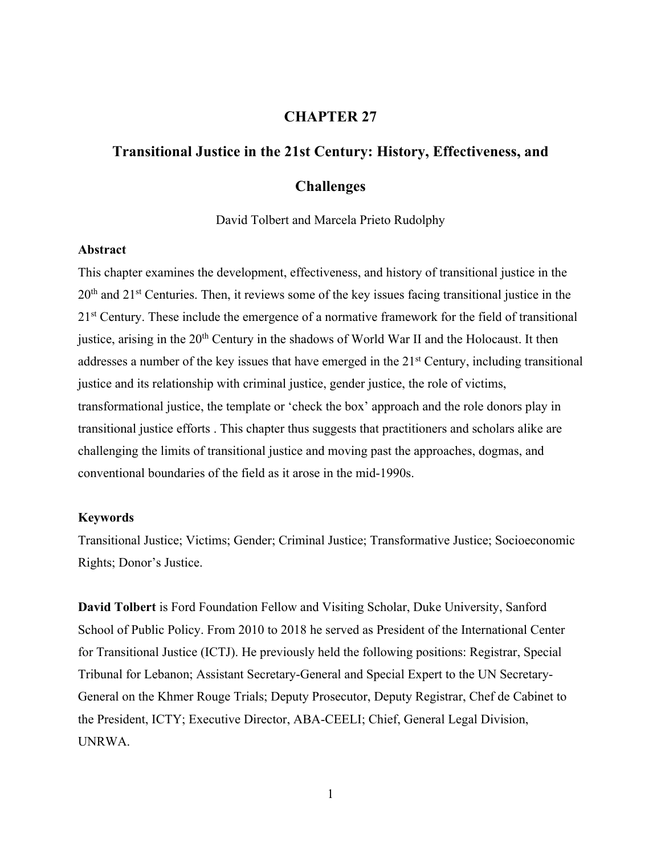## **CHAPTER 27**

# **Transitional Justice in the 21st Century: History, Effectiveness, and Challenges**

David Tolbert and Marcela Prieto Rudolphy

## **Abstract**

This chapter examines the development, effectiveness, and history of transitional justice in the 20<sup>th</sup> and 21<sup>st</sup> Centuries. Then, it reviews some of the key issues facing transitional justice in the 2<sup>1st</sup> Century. These include the emergence of a normative framework for the field of transitional justice, arising in the  $20<sup>th</sup>$  Century in the shadows of World War II and the Holocaust. It then addresses a number of the key issues that have emerged in the  $21<sup>st</sup>$  Century, including transitional justice and its relationship with criminal justice, gender justice, the role of victims, transformational justice, the template or 'check the box' approach and the role donors play in transitional justice efforts . This chapter thus suggests that practitioners and scholars alike are challenging the limits of transitional justice and moving past the approaches, dogmas, and conventional boundaries of the field as it arose in the mid-1990s.

## **Keywords**

Transitional Justice; Victims; Gender; Criminal Justice; Transformative Justice; Socioeconomic Rights; Donor's Justice.

**David Tolbert** is Ford Foundation Fellow and Visiting Scholar, Duke University, Sanford School of Public Policy. From 2010 to 2018 he served as President of the International Center for Transitional Justice (ICTJ). He previously held the following positions: Registrar, Special Tribunal for Lebanon; Assistant Secretary-General and Special Expert to the UN Secretary-General on the Khmer Rouge Trials; Deputy Prosecutor, Deputy Registrar, Chef de Cabinet to the President, ICTY; Executive Director, ABA-CEELI; Chief, General Legal Division, UNRWA.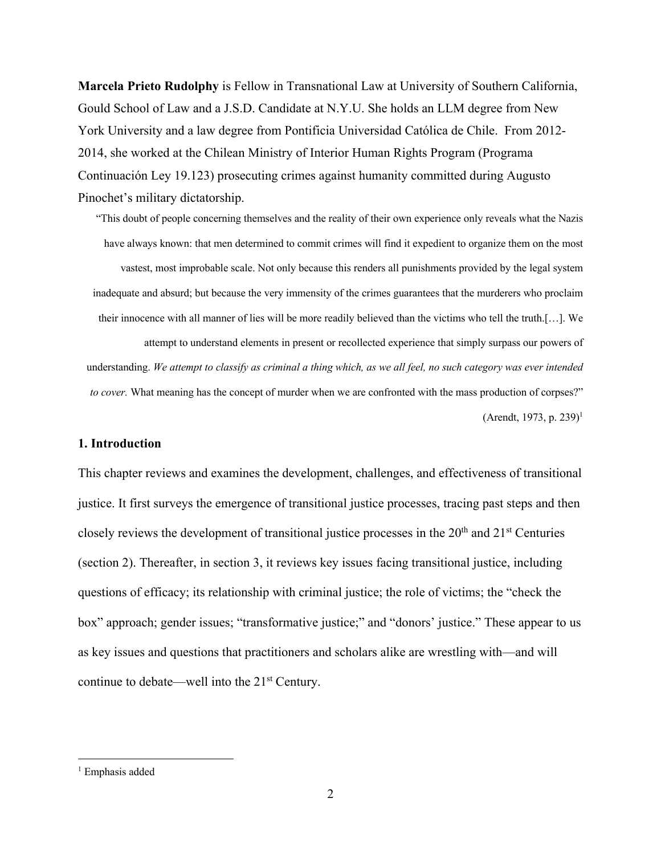**Marcela Prieto Rudolphy** is Fellow in Transnational Law at University of Southern California, Gould School of Law and a J.S.D. Candidate at N.Y.U. She holds an LLM degree from New York University and a law degree from Pontificia Universidad Católica de Chile. From 2012- 2014, she worked at the Chilean Ministry of Interior Human Rights Program (Programa Continuación Ley 19.123) prosecuting crimes against humanity committed during Augusto Pinochet's military dictatorship.

"This doubt of people concerning themselves and the reality of their own experience only reveals what the Nazis have always known: that men determined to commit crimes will find it expedient to organize them on the most vastest, most improbable scale. Not only because this renders all punishments provided by the legal system inadequate and absurd; but because the very immensity of the crimes guarantees that the murderers who proclaim their innocence with all manner of lies will be more readily believed than the victims who tell the truth.[…]. We attempt to understand elements in present or recollected experience that simply surpass our powers of understanding. We attempt to classify as criminal a thing which, as we all feel, no such category was ever intended *to cover*. What meaning has the concept of murder when we are confronted with the mass production of corpses?" (Arendt, 1973, p. 239)<sup>1</sup>

## **1. Introduction**

This chapter reviews and examines the development, challenges, and effectiveness of transitional justice. It first surveys the emergence of transitional justice processes, tracing past steps and then closely reviews the development of transitional justice processes in the  $20<sup>th</sup>$  and  $21<sup>st</sup>$  Centuries (section 2). Thereafter, in section 3, it reviews key issues facing transitional justice, including questions of efficacy; its relationship with criminal justice; the role of victims; the "check the box" approach; gender issues; "transformative justice;" and "donors' justice." These appear to us as key issues and questions that practitioners and scholars alike are wrestling with—and will continue to debate—well into the 21<sup>st</sup> Century.

<sup>&</sup>lt;sup>1</sup> Emphasis added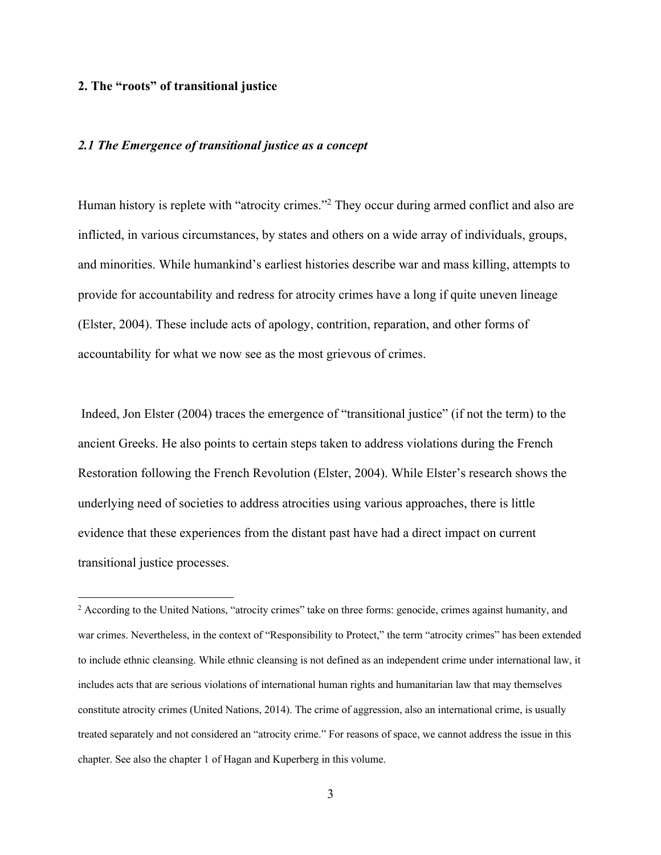#### **2. The "roots" of transitional justice**

## *2.1 The Emergence of transitional justice as a concept*

Human history is replete with "atrocity crimes."2 They occur during armed conflict and also are inflicted, in various circumstances, by states and others on a wide array of individuals, groups, and minorities. While humankind's earliest histories describe war and mass killing, attempts to provide for accountability and redress for atrocity crimes have a long if quite uneven lineage (Elster, 2004). These include acts of apology, contrition, reparation, and other forms of accountability for what we now see as the most grievous of crimes.

Indeed, Jon Elster (2004) traces the emergence of "transitional justice" (if not the term) to the ancient Greeks. He also points to certain steps taken to address violations during the French Restoration following the French Revolution (Elster, 2004). While Elster's research shows the underlying need of societies to address atrocities using various approaches, there is little evidence that these experiences from the distant past have had a direct impact on current transitional justice processes.

<sup>&</sup>lt;sup>2</sup> According to the United Nations, "atrocity crimes" take on three forms: genocide, crimes against humanity, and war crimes. Nevertheless, in the context of "Responsibility to Protect," the term "atrocity crimes" has been extended to include ethnic cleansing. While ethnic cleansing is not defined as an independent crime under international law, it includes acts that are serious violations of international human rights and humanitarian law that may themselves constitute atrocity crimes (United Nations, 2014). The crime of aggression, also an international crime, is usually treated separately and not considered an "atrocity crime." For reasons of space, we cannot address the issue in this chapter. See also the chapter 1 of Hagan and Kuperberg in this volume.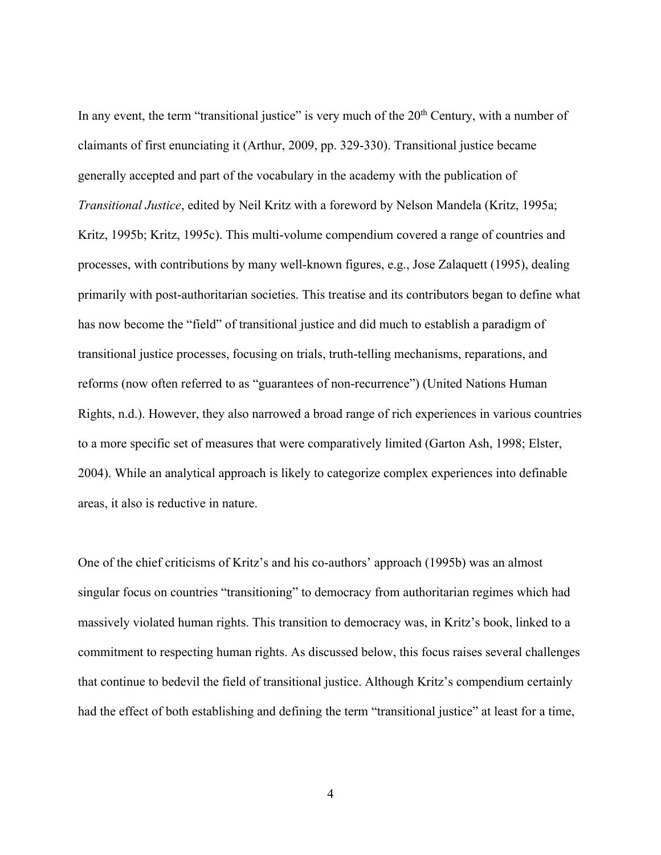In any event, the term "transitional justice" is very much of the  $20<sup>th</sup>$  Century, with a number of claimants of first enunciating it (Arthur, 2009, pp. 329-330). Transitional justice became generally accepted and part of the vocabulary in the academy with the publication of *Transitional Justice*, edited by Neil Kritz with a foreword by Nelson Mandela (Kritz, 1995a; Kritz, 1995b; Kritz, 1995c). This multi-volume compendium covered a range of countries and processes, with contributions by many well-known figures, e.g., Jose Zalaquett (1995), dealing primarily with post-authoritarian societies. This treatise and its contributors began to define what has now become the "field" of transitional justice and did much to establish a paradigm of transitional justice processes, focusing on trials, truth-telling mechanisms, reparations, and reforms (now often referred to as "guarantees of non-recurrence") (United Nations Human Rights, n.d.). However, they also narrowed a broad range of rich experiences in various countries to a more specific set of measures that were comparatively limited (Garton Ash, 1998; Elster, 2004). While an analytical approach is likely to categorize complex experiences into definable areas, it also is reductive in nature.

One of the chief criticisms of Kritz's and his co-authors' approach (1995b) was an almost singular focus on countries "transitioning" to democracy from authoritarian regimes which had massively violated human rights. This transition to democracy was, in Kritz's book, linked to a commitment to respecting human rights. As discussed below, this focus raises several challenges that continue to bedevil the field of transitional justice. Although Kritz's compendium certainly had the effect of both establishing and defining the term "transitional justice" at least for a time,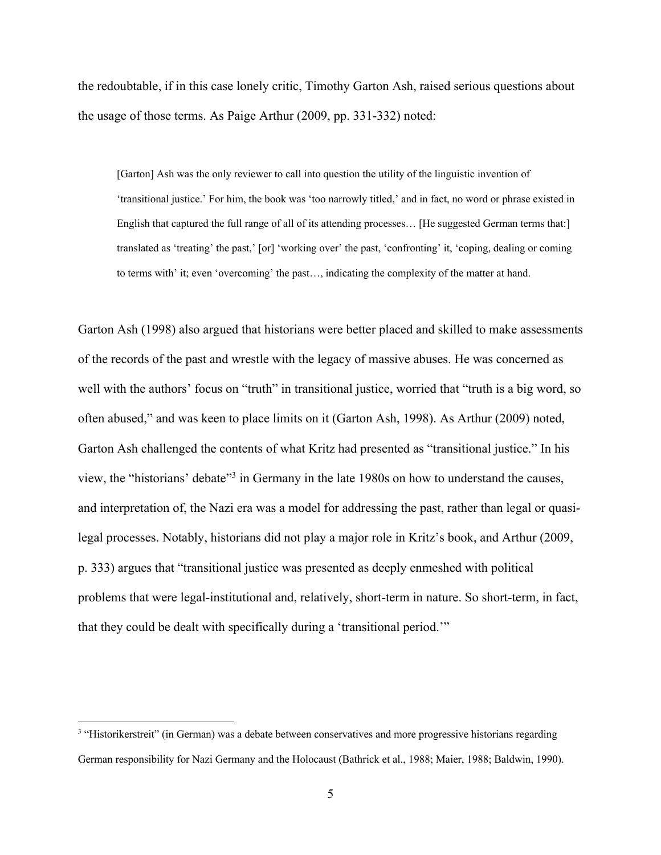the redoubtable, if in this case lonely critic, Timothy Garton Ash, raised serious questions about the usage of those terms. As Paige Arthur (2009, pp. 331-332) noted:

[Garton] Ash was the only reviewer to call into question the utility of the linguistic invention of 'transitional justice.' For him, the book was 'too narrowly titled,' and in fact, no word or phrase existed in English that captured the full range of all of its attending processes… [He suggested German terms that:] translated as 'treating' the past,' [or] 'working over' the past, 'confronting' it, 'coping, dealing or coming to terms with' it; even 'overcoming' the past…, indicating the complexity of the matter at hand.

Garton Ash (1998) also argued that historians were better placed and skilled to make assessments of the records of the past and wrestle with the legacy of massive abuses. He was concerned as well with the authors' focus on "truth" in transitional justice, worried that "truth is a big word, so often abused," and was keen to place limits on it (Garton Ash, 1998). As Arthur (2009) noted, Garton Ash challenged the contents of what Kritz had presented as "transitional justice." In his view, the "historians' debate"3 in Germany in the late 1980s on how to understand the causes, and interpretation of, the Nazi era was a model for addressing the past, rather than legal or quasilegal processes. Notably, historians did not play a major role in Kritz's book, and Arthur (2009, p. 333) argues that "transitional justice was presented as deeply enmeshed with political problems that were legal-institutional and, relatively, short-term in nature. So short-term, in fact, that they could be dealt with specifically during a 'transitional period.'"

<sup>&</sup>lt;sup>3</sup> "Historikerstreit" (in German) was a debate between conservatives and more progressive historians regarding German responsibility for Nazi Germany and the Holocaust (Bathrick et al., 1988; Maier, 1988; Baldwin, 1990).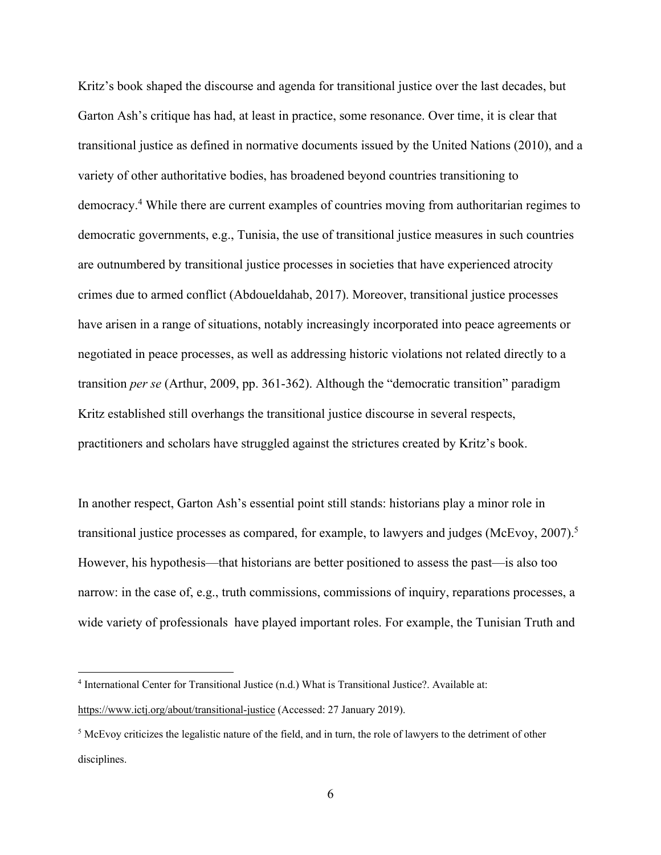Kritz's book shaped the discourse and agenda for transitional justice over the last decades, but Garton Ash's critique has had, at least in practice, some resonance. Over time, it is clear that transitional justice as defined in normative documents issued by the United Nations (2010), and a variety of other authoritative bodies, has broadened beyond countries transitioning to democracy.4 While there are current examples of countries moving from authoritarian regimes to democratic governments, e.g., Tunisia, the use of transitional justice measures in such countries are outnumbered by transitional justice processes in societies that have experienced atrocity crimes due to armed conflict (Abdoueldahab, 2017). Moreover, transitional justice processes have arisen in a range of situations, notably increasingly incorporated into peace agreements or negotiated in peace processes, as well as addressing historic violations not related directly to a transition *per se* (Arthur, 2009, pp. 361-362). Although the "democratic transition" paradigm Kritz established still overhangs the transitional justice discourse in several respects, practitioners and scholars have struggled against the strictures created by Kritz's book.

In another respect, Garton Ash's essential point still stands: historians play a minor role in transitional justice processes as compared, for example, to lawyers and judges (McEvoy, 2007).<sup>5</sup> However, his hypothesis—that historians are better positioned to assess the past—is also too narrow: in the case of, e.g., truth commissions, commissions of inquiry, reparations processes, a wide variety of professionals have played important roles. For example, the Tunisian Truth and

<sup>4</sup> International Center for Transitional Justice (n.d.) What is Transitional Justice?. Available at:

https://www.ictj.org/about/transitional-justice (Accessed: 27 January 2019).

<sup>&</sup>lt;sup>5</sup> McEvoy criticizes the legalistic nature of the field, and in turn, the role of lawyers to the detriment of other disciplines.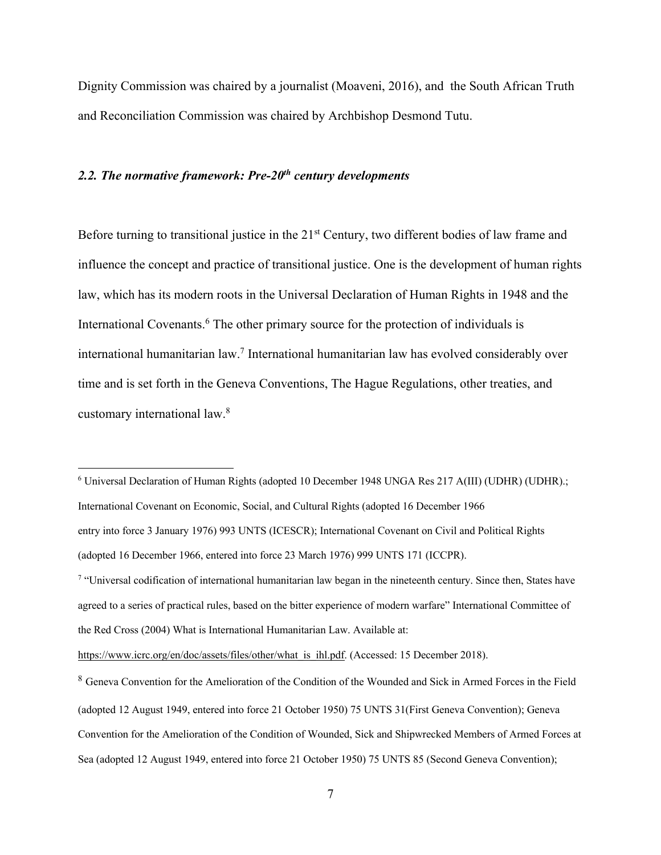Dignity Commission was chaired by a journalist (Moaveni, 2016), and the South African Truth and Reconciliation Commission was chaired by Archbishop Desmond Tutu.

## *2.2. The normative framework: Pre-20th century developments*

Before turning to transitional justice in the 21<sup>st</sup> Century, two different bodies of law frame and influence the concept and practice of transitional justice. One is the development of human rights law, which has its modern roots in the Universal Declaration of Human Rights in 1948 and the International Covenants. <sup>6</sup> The other primary source for the protection of individuals is international humanitarian law.7 International humanitarian law has evolved considerably over time and is set forth in the Geneva Conventions, The Hague Regulations, other treaties, and customary international law.8

<sup>6</sup> Universal Declaration of Human Rights (adopted 10 December 1948 UNGA Res 217 A(III) (UDHR) (UDHR).; International Covenant on Economic, Social, and Cultural Rights (adopted 16 December 1966 entry into force 3 January 1976) 993 UNTS (ICESCR); International Covenant on Civil and Political Rights (adopted 16 December 1966, entered into force 23 March 1976) 999 UNTS 171 (ICCPR). <sup>7</sup> "Universal codification of international humanitarian law began in the nineteenth century. Since then, States have agreed to a series of practical rules, based on the bitter experience of modern warfare" International Committee of the Red Cross (2004) What is International Humanitarian Law. Available at: https://www.icrc.org/en/doc/assets/files/other/what is ihl.pdf. (Accessed: 15 December 2018).

<sup>8</sup> Geneva Convention for the Amelioration of the Condition of the Wounded and Sick in Armed Forces in the Field (adopted 12 August 1949, entered into force 21 October 1950) 75 UNTS 31(First Geneva Convention); Geneva Convention for the Amelioration of the Condition of Wounded, Sick and Shipwrecked Members of Armed Forces at Sea (adopted 12 August 1949, entered into force 21 October 1950) 75 UNTS 85 (Second Geneva Convention);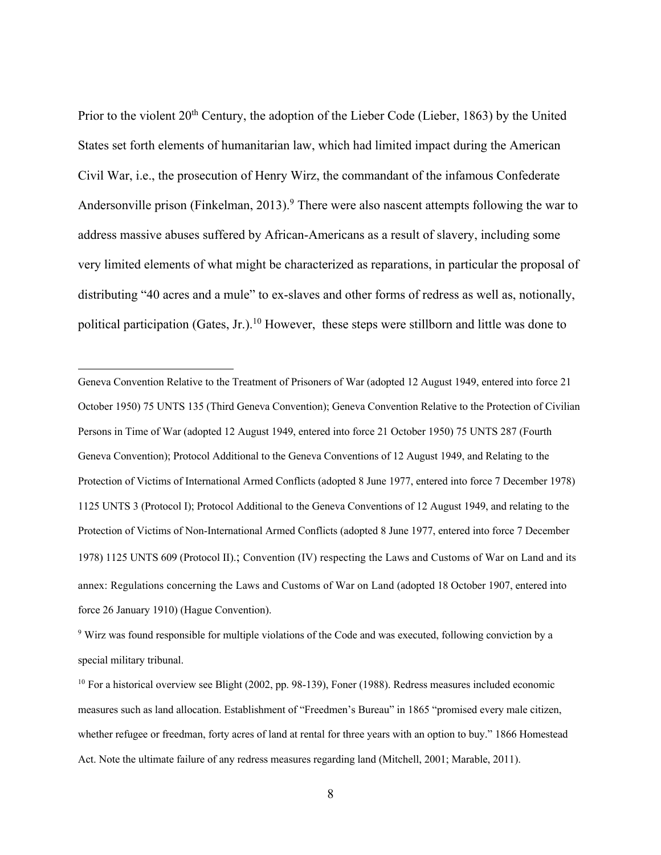Prior to the violent 20<sup>th</sup> Century, the adoption of the Lieber Code (Lieber, 1863) by the United States set forth elements of humanitarian law, which had limited impact during the American Civil War, i.e., the prosecution of Henry Wirz, the commandant of the infamous Confederate Andersonville prison (Finkelman, 2013).<sup>9</sup> There were also nascent attempts following the war to address massive abuses suffered by African-Americans as a result of slavery, including some very limited elements of what might be characterized as reparations, in particular the proposal of distributing "40 acres and a mule" to ex-slaves and other forms of redress as well as, notionally, political participation (Gates, Jr.).<sup>10</sup> However, these steps were stillborn and little was done to

Geneva Convention Relative to the Treatment of Prisoners of War (adopted 12 August 1949, entered into force 21 October 1950) 75 UNTS 135 (Third Geneva Convention); Geneva Convention Relative to the Protection of Civilian Persons in Time of War (adopted 12 August 1949, entered into force 21 October 1950) 75 UNTS 287 (Fourth Geneva Convention); Protocol Additional to the Geneva Conventions of 12 August 1949, and Relating to the Protection of Victims of International Armed Conflicts (adopted 8 June 1977, entered into force 7 December 1978) 1125 UNTS 3 (Protocol I); Protocol Additional to the Geneva Conventions of 12 August 1949, and relating to the Protection of Victims of Non-International Armed Conflicts (adopted 8 June 1977, entered into force 7 December 1978) 1125 UNTS 609 (Protocol II).; Convention (IV) respecting the Laws and Customs of War on Land and its annex: Regulations concerning the Laws and Customs of War on Land (adopted 18 October 1907, entered into force 26 January 1910) (Hague Convention).

<sup>9</sup> Wirz was found responsible for multiple violations of the Code and was executed, following conviction by a special military tribunal.

<sup>&</sup>lt;sup>10</sup> For a historical overview see Blight (2002, pp. 98-139), Foner (1988). Redress measures included economic measures such as land allocation. Establishment of "Freedmen's Bureau" in 1865 "promised every male citizen, whether refugee or freedman, forty acres of land at rental for three years with an option to buy." 1866 Homestead Act. Note the ultimate failure of any redress measures regarding land (Mitchell, 2001; Marable, 2011).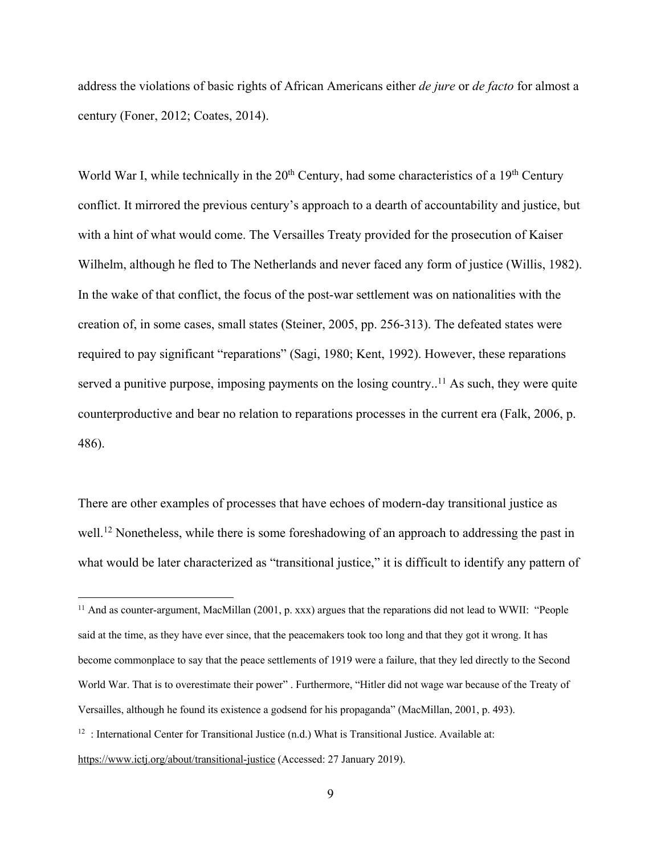address the violations of basic rights of African Americans either *de jure* or *de facto* for almost a century (Foner, 2012; Coates, 2014).

World War I, while technically in the  $20<sup>th</sup>$  Century, had some characteristics of a 19<sup>th</sup> Century conflict. It mirrored the previous century's approach to a dearth of accountability and justice, but with a hint of what would come. The Versailles Treaty provided for the prosecution of Kaiser Wilhelm, although he fled to The Netherlands and never faced any form of justice (Willis, 1982). In the wake of that conflict, the focus of the post-war settlement was on nationalities with the creation of, in some cases, small states (Steiner, 2005, pp. 256-313). The defeated states were required to pay significant "reparations" (Sagi, 1980; Kent, 1992). However, these reparations served a punitive purpose, imposing payments on the losing country..<sup>11</sup> As such, they were quite counterproductive and bear no relation to reparations processes in the current era (Falk, 2006, p. 486).

There are other examples of processes that have echoes of modern-day transitional justice as well.<sup>12</sup> Nonetheless, while there is some foreshadowing of an approach to addressing the past in what would be later characterized as "transitional justice," it is difficult to identify any pattern of

<sup>&</sup>lt;sup>11</sup> And as counter-argument, MacMillan (2001, p. xxx) argues that the reparations did not lead to WWII: "People said at the time, as they have ever since, that the peacemakers took too long and that they got it wrong. It has become commonplace to say that the peace settlements of 1919 were a failure, that they led directly to the Second World War. That is to overestimate their power" . Furthermore, "Hitler did not wage war because of the Treaty of Versailles, although he found its existence a godsend for his propaganda" (MacMillan, 2001, p. 493).  $12$ : International Center for Transitional Justice (n.d.) What is Transitional Justice. Available at: https://www.ictj.org/about/transitional-justice (Accessed: 27 January 2019).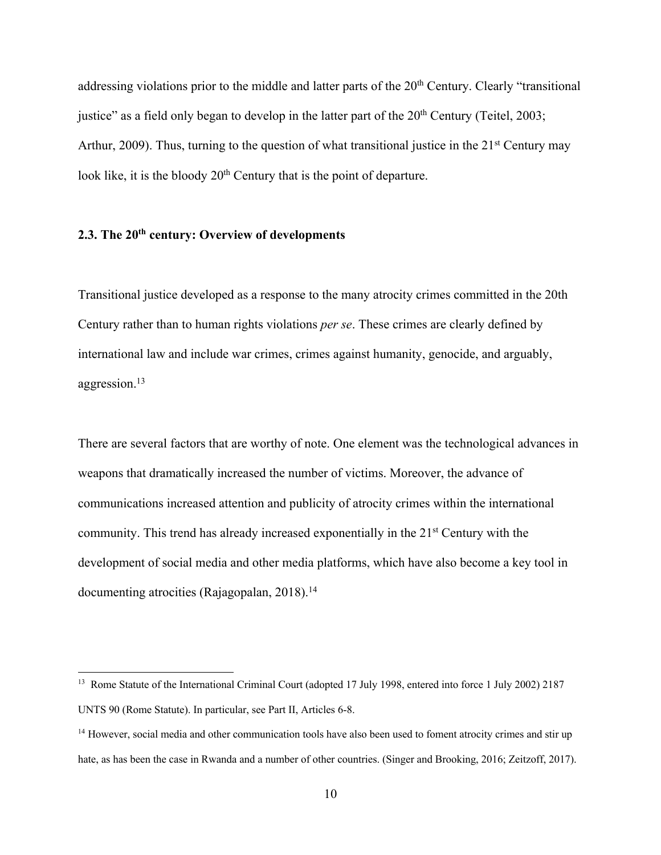addressing violations prior to the middle and latter parts of the 20<sup>th</sup> Century. Clearly "transitional justice" as a field only began to develop in the latter part of the  $20<sup>th</sup>$  Century (Teitel, 2003; Arthur, 2009). Thus, turning to the question of what transitional justice in the  $21<sup>st</sup>$  Century may look like, it is the bloody  $20<sup>th</sup>$  Century that is the point of departure.

## **2.3. The 20th century: Overview of developments**

Transitional justice developed as a response to the many atrocity crimes committed in the 20th Century rather than to human rights violations *per se*. These crimes are clearly defined by international law and include war crimes, crimes against humanity, genocide, and arguably, aggression. 13

There are several factors that are worthy of note. One element was the technological advances in weapons that dramatically increased the number of victims. Moreover, the advance of communications increased attention and publicity of atrocity crimes within the international community. This trend has already increased exponentially in the 21<sup>st</sup> Century with the development of social media and other media platforms, which have also become a key tool in documenting atrocities (Rajagopalan, 2018). 14

<sup>&</sup>lt;sup>13</sup> Rome Statute of the International Criminal Court (adopted 17 July 1998, entered into force 1 July 2002) 2187 UNTS 90 (Rome Statute). In particular, see Part II, Articles 6-8.

<sup>&</sup>lt;sup>14</sup> However, social media and other communication tools have also been used to foment atrocity crimes and stir up hate, as has been the case in Rwanda and a number of other countries. (Singer and Brooking, 2016; Zeitzoff, 2017).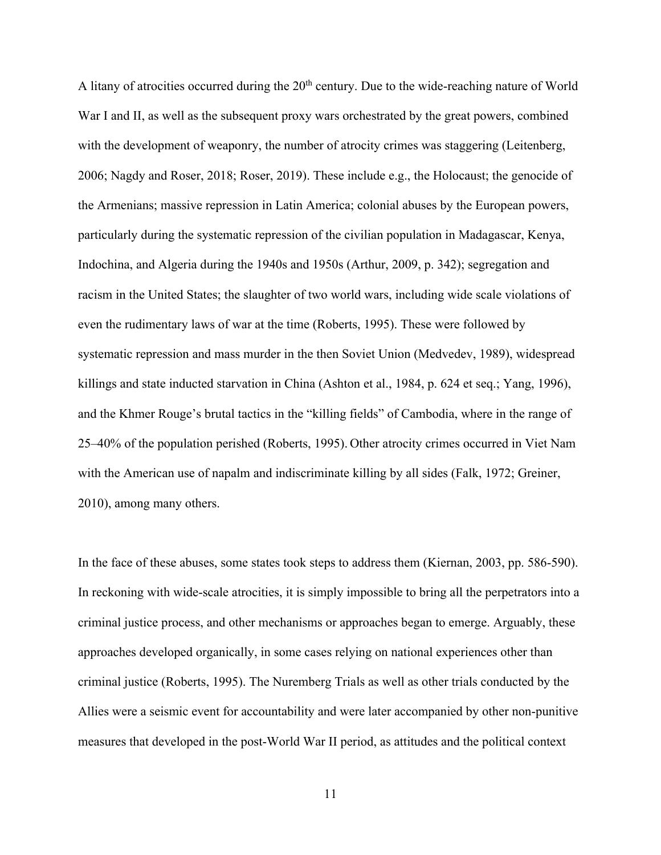A litany of atrocities occurred during the  $20<sup>th</sup>$  century. Due to the wide-reaching nature of World War I and II, as well as the subsequent proxy wars orchestrated by the great powers, combined with the development of weaponry, the number of atrocity crimes was staggering (Leitenberg, 2006; Nagdy and Roser, 2018; Roser, 2019). These include e.g., the Holocaust; the genocide of the Armenians; massive repression in Latin America; colonial abuses by the European powers, particularly during the systematic repression of the civilian population in Madagascar, Kenya, Indochina, and Algeria during the 1940s and 1950s (Arthur, 2009, p. 342); segregation and racism in the United States; the slaughter of two world wars, including wide scale violations of even the rudimentary laws of war at the time (Roberts, 1995). These were followed by systematic repression and mass murder in the then Soviet Union (Medvedev, 1989), widespread killings and state inducted starvation in China (Ashton et al., 1984, p. 624 et seq.; Yang, 1996), and the Khmer Rouge's brutal tactics in the "killing fields" of Cambodia, where in the range of 25–40% of the population perished (Roberts, 1995). Other atrocity crimes occurred in Viet Nam with the American use of napalm and indiscriminate killing by all sides (Falk, 1972; Greiner, 2010), among many others.

In the face of these abuses, some states took steps to address them (Kiernan, 2003, pp. 586-590). In reckoning with wide-scale atrocities, it is simply impossible to bring all the perpetrators into a criminal justice process, and other mechanisms or approaches began to emerge. Arguably, these approaches developed organically, in some cases relying on national experiences other than criminal justice (Roberts, 1995). The Nuremberg Trials as well as other trials conducted by the Allies were a seismic event for accountability and were later accompanied by other non-punitive measures that developed in the post-World War II period, as attitudes and the political context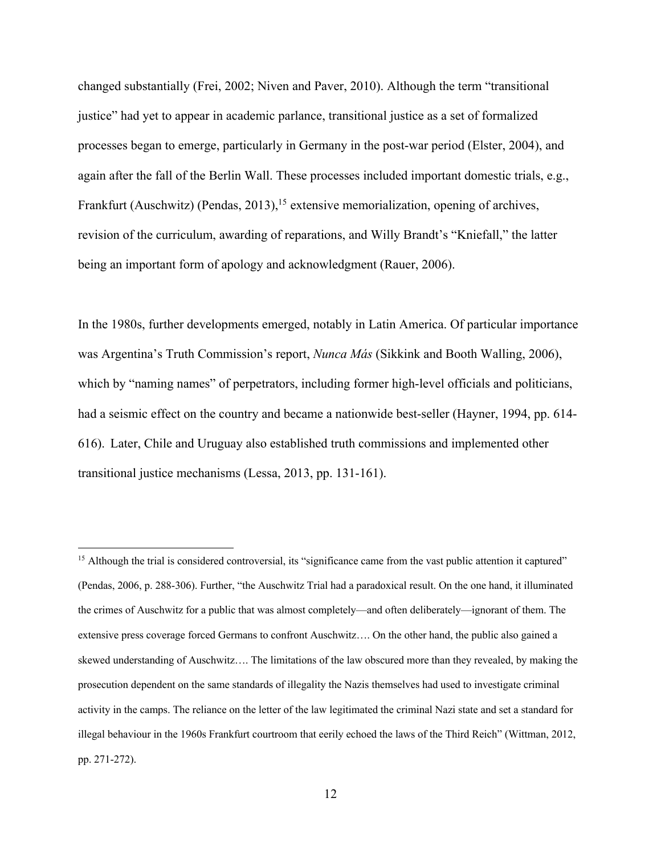changed substantially (Frei, 2002; Niven and Paver, 2010). Although the term "transitional justice" had yet to appear in academic parlance, transitional justice as a set of formalized processes began to emerge, particularly in Germany in the post-war period (Elster, 2004), and again after the fall of the Berlin Wall. These processes included important domestic trials, e.g., Frankfurt (Auschwitz) (Pendas, 2013),<sup>15</sup> extensive memorialization, opening of archives, revision of the curriculum, awarding of reparations, and Willy Brandt's "Kniefall," the latter being an important form of apology and acknowledgment (Rauer, 2006).

In the 1980s, further developments emerged, notably in Latin America. Of particular importance was Argentina's Truth Commission's report, *Nunca Más* (Sikkink and Booth Walling, 2006), which by "naming names" of perpetrators, including former high-level officials and politicians, had a seismic effect on the country and became a nationwide best-seller (Hayner, 1994, pp. 614- 616). Later, Chile and Uruguay also established truth commissions and implemented other transitional justice mechanisms (Lessa, 2013, pp. 131-161).

<sup>&</sup>lt;sup>15</sup> Although the trial is considered controversial, its "significance came from the vast public attention it captured" (Pendas, 2006, p. 288-306). Further, "the Auschwitz Trial had a paradoxical result. On the one hand, it illuminated the crimes of Auschwitz for a public that was almost completely—and often deliberately—ignorant of them. The extensive press coverage forced Germans to confront Auschwitz…. On the other hand, the public also gained a skewed understanding of Auschwitz…. The limitations of the law obscured more than they revealed, by making the prosecution dependent on the same standards of illegality the Nazis themselves had used to investigate criminal activity in the camps. The reliance on the letter of the law legitimated the criminal Nazi state and set a standard for illegal behaviour in the 1960s Frankfurt courtroom that eerily echoed the laws of the Third Reich" (Wittman, 2012, pp. 271-272).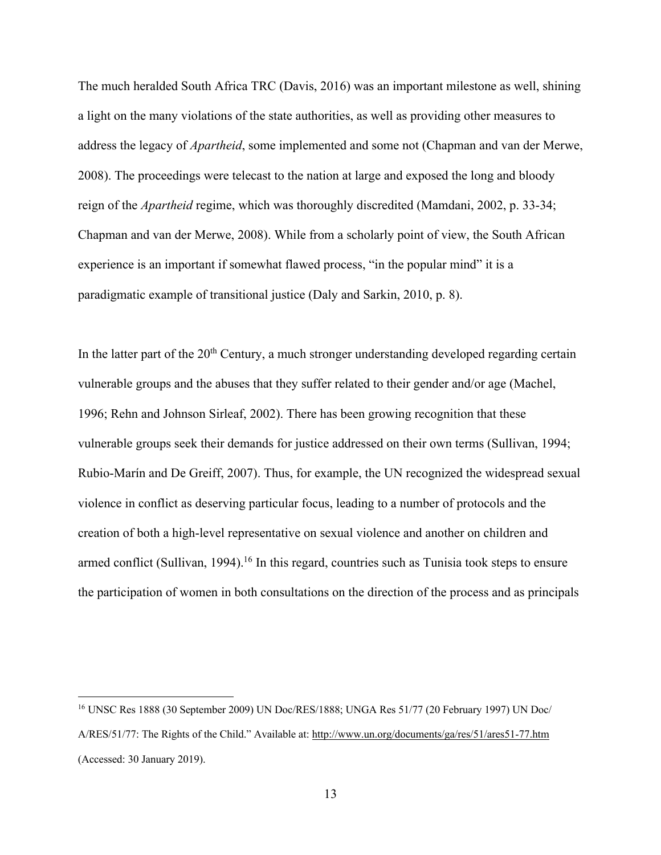The much heralded South Africa TRC (Davis, 2016) was an important milestone as well, shining a light on the many violations of the state authorities, as well as providing other measures to address the legacy of *Apartheid*, some implemented and some not (Chapman and van der Merwe, 2008). The proceedings were telecast to the nation at large and exposed the long and bloody reign of the *Apartheid* regime, which was thoroughly discredited (Mamdani, 2002, p. 33-34; Chapman and van der Merwe, 2008). While from a scholarly point of view, the South African experience is an important if somewhat flawed process, "in the popular mind" it is a paradigmatic example of transitional justice (Daly and Sarkin, 2010, p. 8).

In the latter part of the  $20<sup>th</sup>$  Century, a much stronger understanding developed regarding certain vulnerable groups and the abuses that they suffer related to their gender and/or age (Machel, 1996; Rehn and Johnson Sirleaf, 2002). There has been growing recognition that these vulnerable groups seek their demands for justice addressed on their own terms (Sullivan, 1994; Rubio-Marín and De Greiff, 2007). Thus, for example, the UN recognized the widespread sexual violence in conflict as deserving particular focus, leading to a number of protocols and the creation of both a high-level representative on sexual violence and another on children and armed conflict (Sullivan, 1994).<sup>16</sup> In this regard, countries such as Tunisia took steps to ensure the participation of women in both consultations on the direction of the process and as principals

<sup>16</sup> UNSC Res 1888 (30 September 2009) UN Doc/RES/1888; UNGA Res 51/77 (20 February 1997) UN Doc/ A/RES/51/77: The Rights of the Child." Available at: http://www.un.org/documents/ga/res/51/ares51-77.htm (Accessed: 30 January 2019).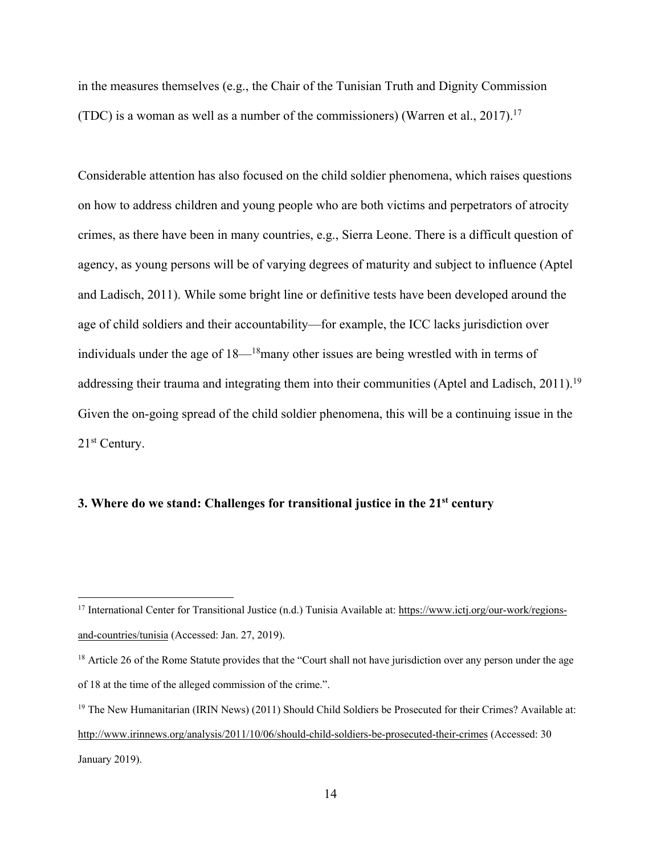in the measures themselves (e.g., the Chair of the Tunisian Truth and Dignity Commission (TDC) is a woman as well as a number of the commissioners) (Warren et al., 2017).<sup>17</sup>

Considerable attention has also focused on the child soldier phenomena, which raises questions on how to address children and young people who are both victims and perpetrators of atrocity crimes, as there have been in many countries, e.g., Sierra Leone. There is a difficult question of agency, as young persons will be of varying degrees of maturity and subject to influence (Aptel and Ladisch, 2011). While some bright line or definitive tests have been developed around the age of child soldiers and their accountability—for example, the ICC lacks jurisdiction over individuals under the age of 18—18many other issues are being wrestled with in terms of addressing their trauma and integrating them into their communities (Aptel and Ladisch, 2011).<sup>19</sup> Given the on-going spread of the child soldier phenomena, this will be a continuing issue in the 21st Century.

## **3. Where do we stand: Challenges for transitional justice in the 21st century**

<sup>&</sup>lt;sup>17</sup> International Center for Transitional Justice (n.d.) Tunisia Available at: https://www.ictj.org/our-work/regionsand-countries/tunisia (Accessed: Jan. 27, 2019).

<sup>&</sup>lt;sup>18</sup> Article 26 of the Rome Statute provides that the "Court shall not have jurisdiction over any person under the age of 18 at the time of the alleged commission of the crime.".

<sup>&</sup>lt;sup>19</sup> The New Humanitarian (IRIN News) (2011) Should Child Soldiers be Prosecuted for their Crimes? Available at: http://www.irinnews.org/analysis/2011/10/06/should-child-soldiers-be-prosecuted-their-crimes (Accessed: 30 January 2019).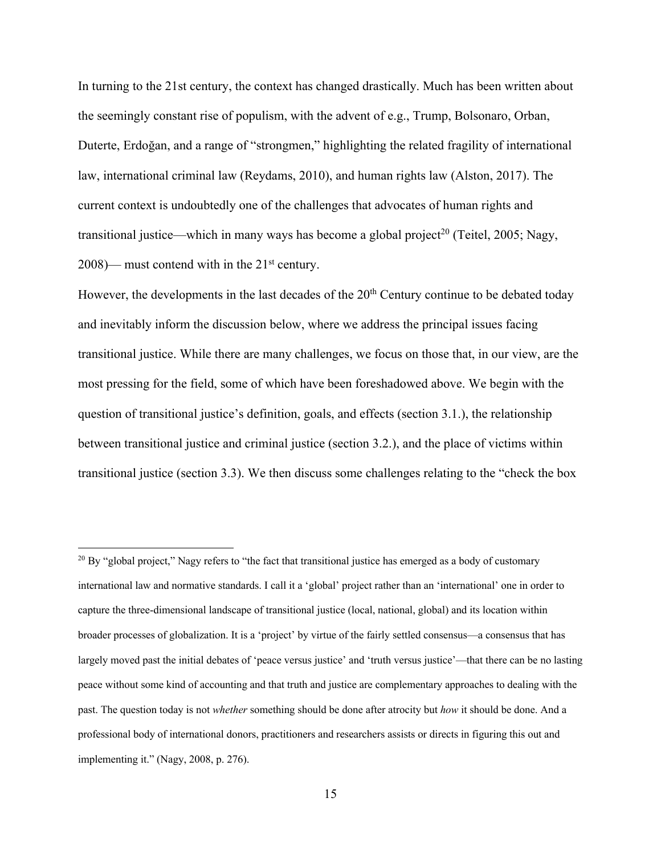In turning to the 21st century, the context has changed drastically. Much has been written about the seemingly constant rise of populism, with the advent of e.g., Trump, Bolsonaro, Orban, Duterte, Erdoğan, and a range of "strongmen," highlighting the related fragility of international law, international criminal law (Reydams, 2010), and human rights law (Alston, 2017). The current context is undoubtedly one of the challenges that advocates of human rights and transitional justice—which in many ways has become a global project<sup>20</sup> (Teitel, 2005; Nagy,  $2008$ )— must contend with in the  $21<sup>st</sup>$  century.

However, the developments in the last decades of the 20<sup>th</sup> Century continue to be debated today and inevitably inform the discussion below, where we address the principal issues facing transitional justice. While there are many challenges, we focus on those that, in our view, are the most pressing for the field, some of which have been foreshadowed above. We begin with the question of transitional justice's definition, goals, and effects (section 3.1.), the relationship between transitional justice and criminal justice (section 3.2.), and the place of victims within transitional justice (section 3.3). We then discuss some challenges relating to the "check the box

 $^{20}$  By "global project," Nagy refers to "the fact that transitional justice has emerged as a body of customary international law and normative standards. I call it a 'global' project rather than an 'international' one in order to capture the three-dimensional landscape of transitional justice (local, national, global) and its location within broader processes of globalization. It is a 'project' by virtue of the fairly settled consensus—a consensus that has largely moved past the initial debates of 'peace versus justice' and 'truth versus justice'—that there can be no lasting peace without some kind of accounting and that truth and justice are complementary approaches to dealing with the past. The question today is not *whether* something should be done after atrocity but *how* it should be done. And a professional body of international donors, practitioners and researchers assists or directs in figuring this out and implementing it." (Nagy, 2008, p. 276).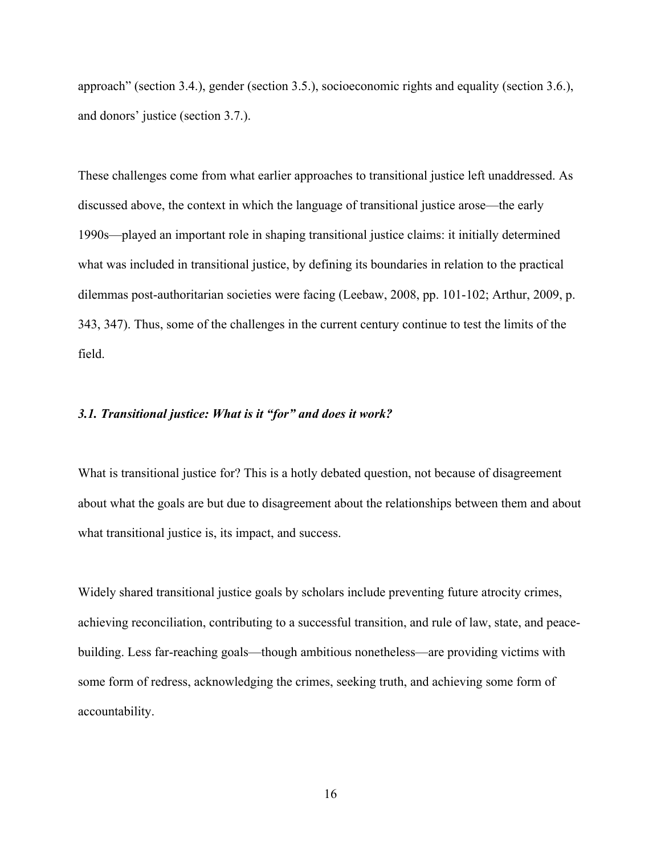approach" (section 3.4.), gender (section 3.5.), socioeconomic rights and equality (section 3.6.), and donors' justice (section 3.7.).

These challenges come from what earlier approaches to transitional justice left unaddressed. As discussed above, the context in which the language of transitional justice arose—the early 1990s—played an important role in shaping transitional justice claims: it initially determined what was included in transitional justice, by defining its boundaries in relation to the practical dilemmas post-authoritarian societies were facing (Leebaw, 2008, pp. 101-102; Arthur, 2009, p. 343, 347). Thus, some of the challenges in the current century continue to test the limits of the field.

## *3.1. Transitional justice: What is it "for" and does it work?*

What is transitional justice for? This is a hotly debated question, not because of disagreement about what the goals are but due to disagreement about the relationships between them and about what transitional justice is, its impact, and success.

Widely shared transitional justice goals by scholars include preventing future atrocity crimes, achieving reconciliation, contributing to a successful transition, and rule of law, state, and peacebuilding. Less far-reaching goals—though ambitious nonetheless—are providing victims with some form of redress, acknowledging the crimes, seeking truth, and achieving some form of accountability.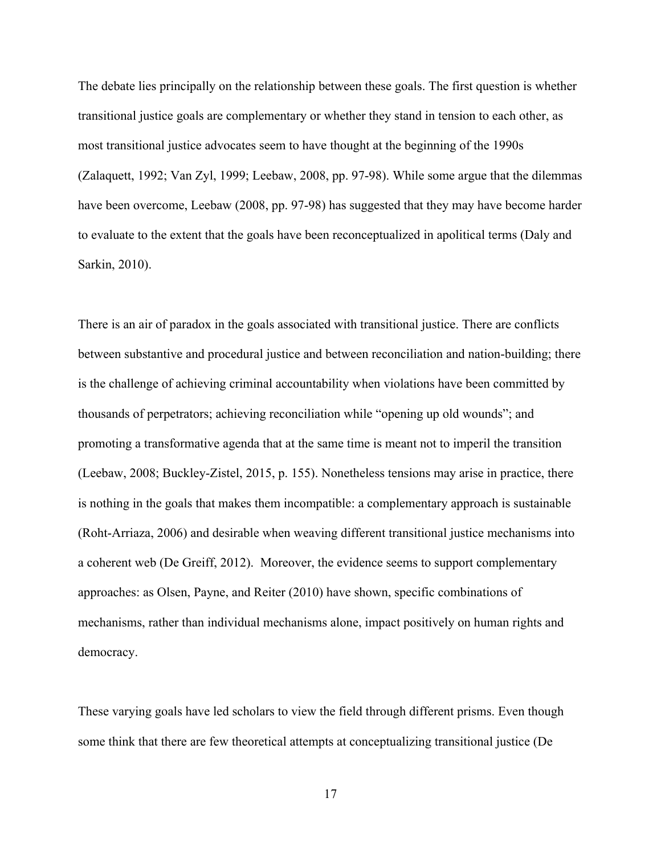The debate lies principally on the relationship between these goals. The first question is whether transitional justice goals are complementary or whether they stand in tension to each other, as most transitional justice advocates seem to have thought at the beginning of the 1990s (Zalaquett, 1992; Van Zyl, 1999; Leebaw, 2008, pp. 97-98). While some argue that the dilemmas have been overcome, Leebaw (2008, pp. 97-98) has suggested that they may have become harder to evaluate to the extent that the goals have been reconceptualized in apolitical terms (Daly and Sarkin, 2010).

There is an air of paradox in the goals associated with transitional justice. There are conflicts between substantive and procedural justice and between reconciliation and nation-building; there is the challenge of achieving criminal accountability when violations have been committed by thousands of perpetrators; achieving reconciliation while "opening up old wounds"; and promoting a transformative agenda that at the same time is meant not to imperil the transition (Leebaw, 2008; Buckley-Zistel, 2015, p. 155). Nonetheless tensions may arise in practice, there is nothing in the goals that makes them incompatible: a complementary approach is sustainable (Roht-Arriaza, 2006) and desirable when weaving different transitional justice mechanisms into a coherent web (De Greiff, 2012). Moreover, the evidence seems to support complementary approaches: as Olsen, Payne, and Reiter (2010) have shown, specific combinations of mechanisms, rather than individual mechanisms alone, impact positively on human rights and democracy.

These varying goals have led scholars to view the field through different prisms. Even though some think that there are few theoretical attempts at conceptualizing transitional justice (De

17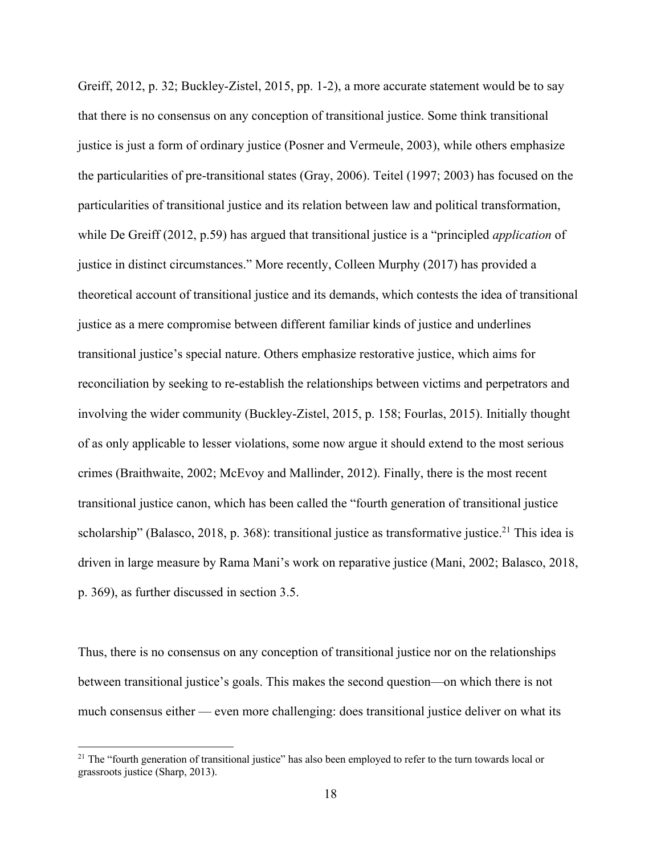Greiff, 2012, p. 32; Buckley-Zistel, 2015, pp. 1-2), a more accurate statement would be to say that there is no consensus on any conception of transitional justice. Some think transitional justice is just a form of ordinary justice (Posner and Vermeule, 2003), while others emphasize the particularities of pre-transitional states (Gray, 2006). Teitel (1997; 2003) has focused on the particularities of transitional justice and its relation between law and political transformation, while De Greiff (2012, p.59) has argued that transitional justice is a "principled *application* of justice in distinct circumstances." More recently, Colleen Murphy (2017) has provided a theoretical account of transitional justice and its demands, which contests the idea of transitional justice as a mere compromise between different familiar kinds of justice and underlines transitional justice's special nature. Others emphasize restorative justice, which aims for reconciliation by seeking to re-establish the relationships between victims and perpetrators and involving the wider community (Buckley-Zistel, 2015, p. 158; Fourlas, 2015). Initially thought of as only applicable to lesser violations, some now argue it should extend to the most serious crimes (Braithwaite, 2002; McEvoy and Mallinder, 2012). Finally, there is the most recent transitional justice canon, which has been called the "fourth generation of transitional justice scholarship" (Balasco, 2018, p. 368): transitional justice as transformative justice.<sup>21</sup> This idea is driven in large measure by Rama Mani's work on reparative justice (Mani, 2002; Balasco, 2018, p. 369), as further discussed in section 3.5.

Thus, there is no consensus on any conception of transitional justice nor on the relationships between transitional justice's goals. This makes the second question—on which there is not much consensus either — even more challenging: does transitional justice deliver on what its

<sup>&</sup>lt;sup>21</sup> The "fourth generation of transitional justice" has also been employed to refer to the turn towards local or grassroots justice (Sharp, 2013).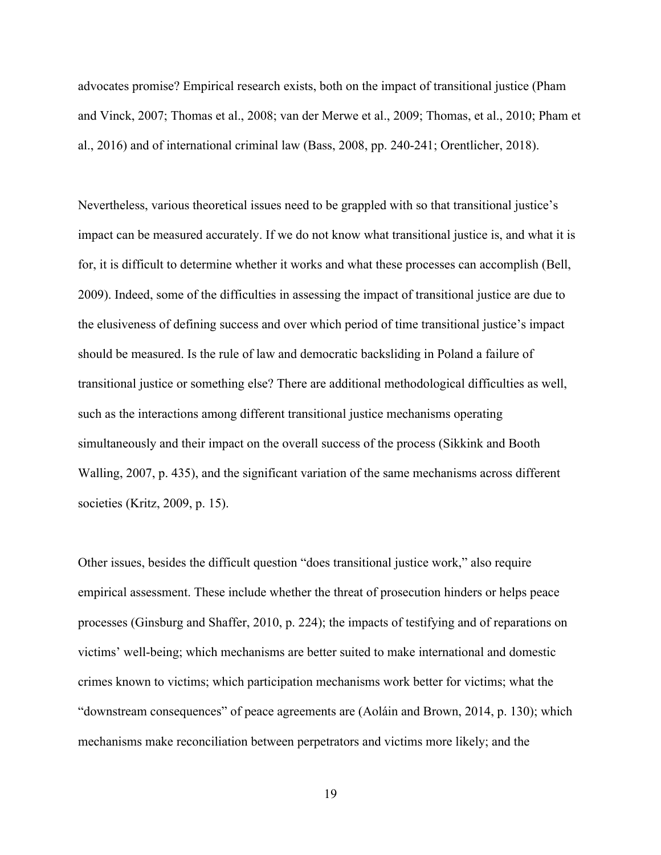advocates promise? Empirical research exists, both on the impact of transitional justice (Pham and Vinck, 2007; Thomas et al., 2008; van der Merwe et al., 2009; Thomas, et al., 2010; Pham et al., 2016) and of international criminal law (Bass, 2008, pp. 240-241; Orentlicher, 2018).

Nevertheless, various theoretical issues need to be grappled with so that transitional justice's impact can be measured accurately. If we do not know what transitional justice is, and what it is for, it is difficult to determine whether it works and what these processes can accomplish (Bell, 2009). Indeed, some of the difficulties in assessing the impact of transitional justice are due to the elusiveness of defining success and over which period of time transitional justice's impact should be measured. Is the rule of law and democratic backsliding in Poland a failure of transitional justice or something else? There are additional methodological difficulties as well, such as the interactions among different transitional justice mechanisms operating simultaneously and their impact on the overall success of the process (Sikkink and Booth Walling, 2007, p. 435), and the significant variation of the same mechanisms across different societies (Kritz, 2009, p. 15).

Other issues, besides the difficult question "does transitional justice work," also require empirical assessment. These include whether the threat of prosecution hinders or helps peace processes (Ginsburg and Shaffer, 2010, p. 224); the impacts of testifying and of reparations on victims' well-being; which mechanisms are better suited to make international and domestic crimes known to victims; which participation mechanisms work better for victims; what the "downstream consequences" of peace agreements are (Aoláin and Brown, 2014, p. 130); which mechanisms make reconciliation between perpetrators and victims more likely; and the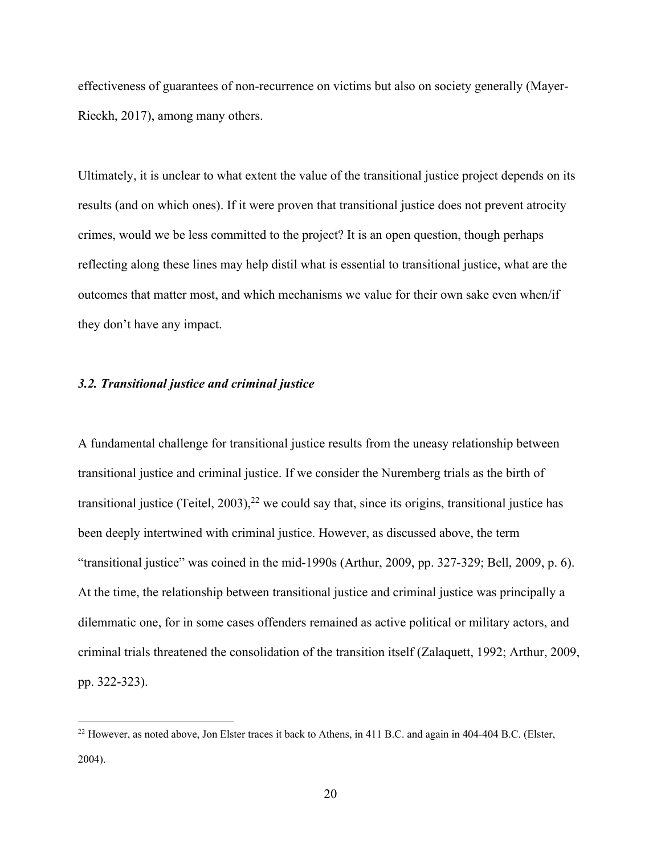effectiveness of guarantees of non-recurrence on victims but also on society generally (Mayer-Rieckh, 2017), among many others.

Ultimately, it is unclear to what extent the value of the transitional justice project depends on its results (and on which ones). If it were proven that transitional justice does not prevent atrocity crimes, would we be less committed to the project? It is an open question, though perhaps reflecting along these lines may help distil what is essential to transitional justice, what are the outcomes that matter most, and which mechanisms we value for their own sake even when/if they don't have any impact.

## *3.2. Transitional justice and criminal justice*

A fundamental challenge for transitional justice results from the uneasy relationship between transitional justice and criminal justice. If we consider the Nuremberg trials as the birth of transitional justice (Teitel, 2003),<sup>22</sup> we could say that, since its origins, transitional justice has been deeply intertwined with criminal justice. However, as discussed above, the term "transitional justice" was coined in the mid-1990s (Arthur, 2009, pp. 327-329; Bell, 2009, p. 6). At the time, the relationship between transitional justice and criminal justice was principally a dilemmatic one, for in some cases offenders remained as active political or military actors, and criminal trials threatened the consolidation of the transition itself (Zalaquett, 1992; Arthur, 2009, pp. 322-323).

<sup>&</sup>lt;sup>22</sup> However, as noted above, Jon Elster traces it back to Athens, in 411 B.C. and again in 404-404 B.C. (Elster, 2004).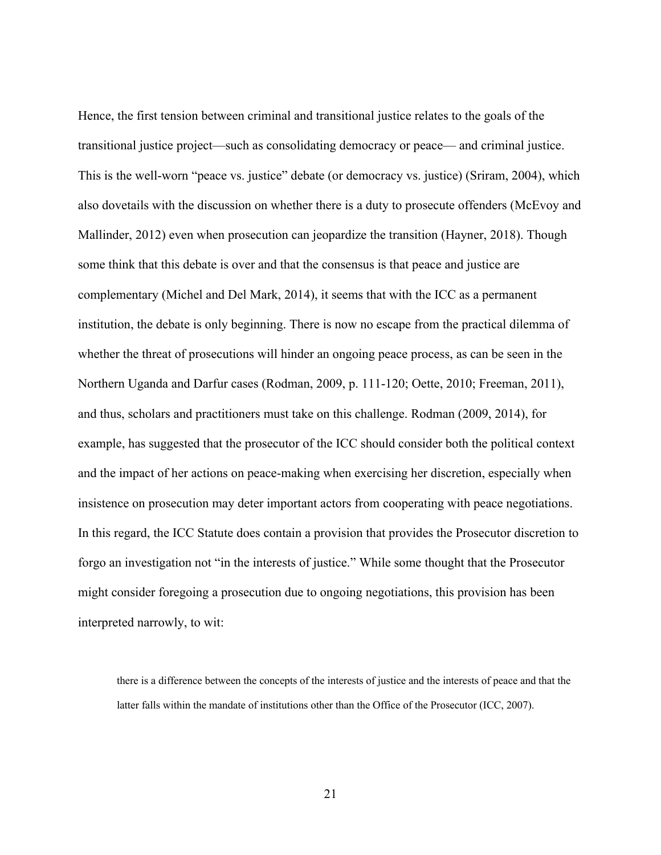Hence, the first tension between criminal and transitional justice relates to the goals of the transitional justice project—such as consolidating democracy or peace— and criminal justice. This is the well-worn "peace vs. justice" debate (or democracy vs. justice) (Sriram, 2004), which also dovetails with the discussion on whether there is a duty to prosecute offenders (McEvoy and Mallinder, 2012) even when prosecution can jeopardize the transition (Hayner, 2018). Though some think that this debate is over and that the consensus is that peace and justice are complementary (Michel and Del Mark, 2014), it seems that with the ICC as a permanent institution, the debate is only beginning. There is now no escape from the practical dilemma of whether the threat of prosecutions will hinder an ongoing peace process, as can be seen in the Northern Uganda and Darfur cases (Rodman, 2009, p. 111-120; Oette, 2010; Freeman, 2011), and thus, scholars and practitioners must take on this challenge. Rodman (2009, 2014), for example, has suggested that the prosecutor of the ICC should consider both the political context and the impact of her actions on peace-making when exercising her discretion, especially when insistence on prosecution may deter important actors from cooperating with peace negotiations. In this regard, the ICC Statute does contain a provision that provides the Prosecutor discretion to forgo an investigation not "in the interests of justice." While some thought that the Prosecutor might consider foregoing a prosecution due to ongoing negotiations, this provision has been interpreted narrowly, to wit:

there is a difference between the concepts of the interests of justice and the interests of peace and that the latter falls within the mandate of institutions other than the Office of the Prosecutor (ICC, 2007).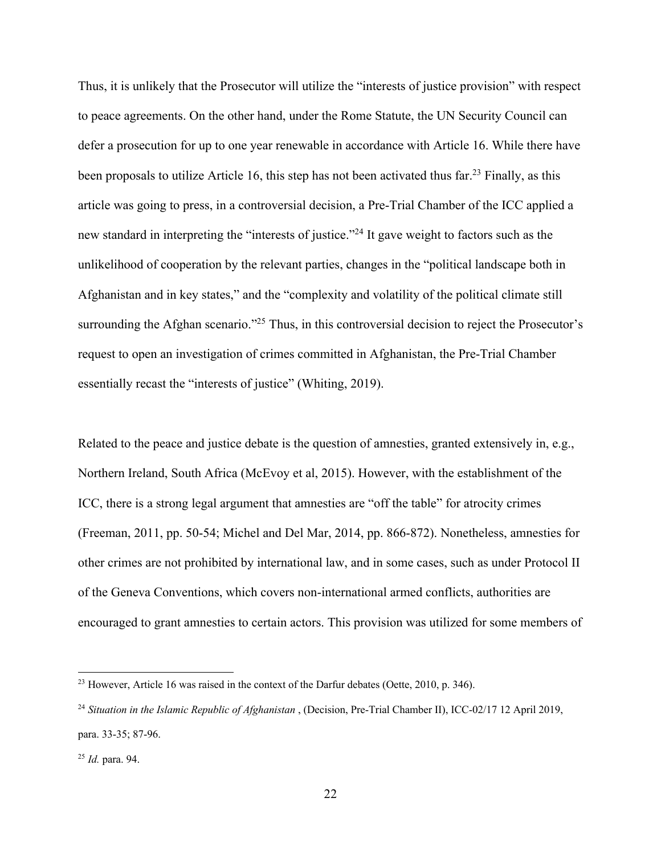Thus, it is unlikely that the Prosecutor will utilize the "interests of justice provision" with respect to peace agreements. On the other hand, under the Rome Statute, the UN Security Council can defer a prosecution for up to one year renewable in accordance with Article 16. While there have been proposals to utilize Article 16, this step has not been activated thus far.<sup>23</sup> Finally, as this article was going to press, in a controversial decision, a Pre-Trial Chamber of the ICC applied a new standard in interpreting the "interests of justice."24 It gave weight to factors such as the unlikelihood of cooperation by the relevant parties, changes in the "political landscape both in Afghanistan and in key states," and the "complexity and volatility of the political climate still surrounding the Afghan scenario."<sup>25</sup> Thus, in this controversial decision to reject the Prosecutor's request to open an investigation of crimes committed in Afghanistan, the Pre-Trial Chamber essentially recast the "interests of justice" (Whiting, 2019).

Related to the peace and justice debate is the question of amnesties, granted extensively in, e.g., Northern Ireland, South Africa (McEvoy et al, 2015). However, with the establishment of the ICC, there is a strong legal argument that amnesties are "off the table" for atrocity crimes (Freeman, 2011, pp. 50-54; Michel and Del Mar, 2014, pp. 866-872). Nonetheless, amnesties for other crimes are not prohibited by international law, and in some cases, such as under Protocol II of the Geneva Conventions, which covers non-international armed conflicts, authorities are encouraged to grant amnesties to certain actors. This provision was utilized for some members of

 $^{23}$  However, Article 16 was raised in the context of the Darfur debates (Oette, 2010, p. 346).

<sup>24</sup> *Situation in the Islamic Republic of Afghanistan* , (Decision, Pre-Trial Chamber II), ICC-02/17 12 April 2019, para. 33-35; 87-96.

<sup>25</sup> *Id.* para. 94.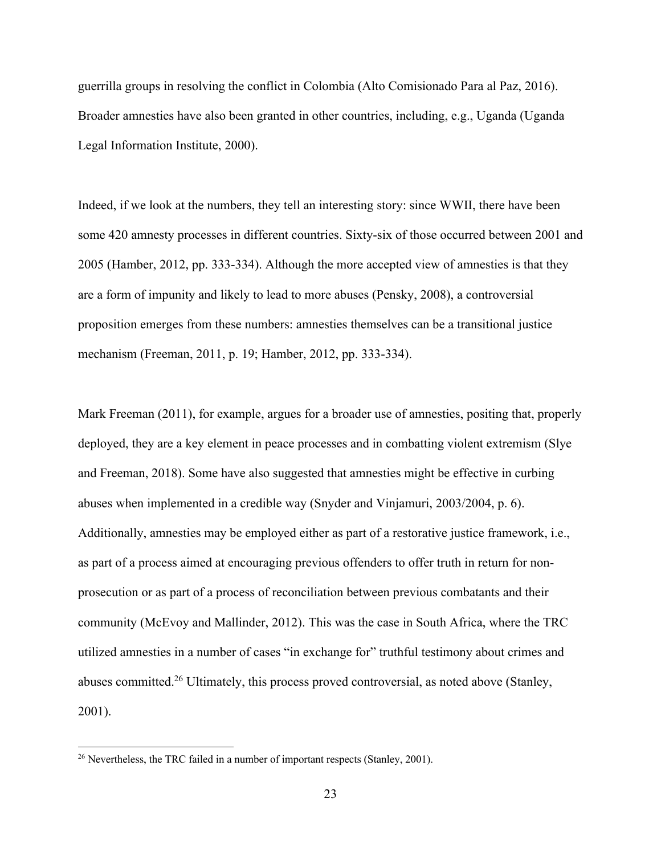guerrilla groups in resolving the conflict in Colombia (Alto Comisionado Para al Paz, 2016). Broader amnesties have also been granted in other countries, including, e.g., Uganda (Uganda Legal Information Institute, 2000).

Indeed, if we look at the numbers, they tell an interesting story: since WWII, there have been some 420 amnesty processes in different countries. Sixty-six of those occurred between 2001 and 2005 (Hamber, 2012, pp. 333-334). Although the more accepted view of amnesties is that they are a form of impunity and likely to lead to more abuses (Pensky, 2008), a controversial proposition emerges from these numbers: amnesties themselves can be a transitional justice mechanism (Freeman, 2011, p. 19; Hamber, 2012, pp. 333-334).

Mark Freeman (2011), for example, argues for a broader use of amnesties, positing that, properly deployed, they are a key element in peace processes and in combatting violent extremism (Slye and Freeman, 2018). Some have also suggested that amnesties might be effective in curbing abuses when implemented in a credible way (Snyder and Vinjamuri, 2003/2004, p. 6). Additionally, amnesties may be employed either as part of a restorative justice framework, i.e., as part of a process aimed at encouraging previous offenders to offer truth in return for nonprosecution or as part of a process of reconciliation between previous combatants and their community (McEvoy and Mallinder, 2012). This was the case in South Africa, where the TRC utilized amnesties in a number of cases "in exchange for" truthful testimony about crimes and abuses committed.26 Ultimately, this process proved controversial, as noted above (Stanley, 2001).

<sup>&</sup>lt;sup>26</sup> Nevertheless, the TRC failed in a number of important respects (Stanley, 2001).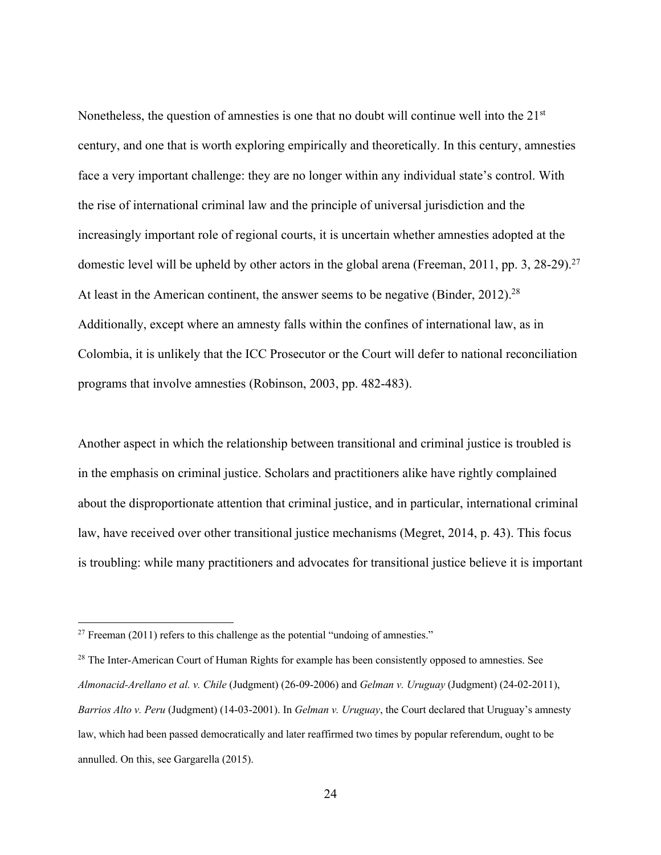Nonetheless, the question of amnesties is one that no doubt will continue well into the 21<sup>st</sup> century, and one that is worth exploring empirically and theoretically. In this century, amnesties face a very important challenge: they are no longer within any individual state's control. With the rise of international criminal law and the principle of universal jurisdiction and the increasingly important role of regional courts, it is uncertain whether amnesties adopted at the domestic level will be upheld by other actors in the global arena (Freeman, 2011, pp. 3, 28-29).<sup>27</sup> At least in the American continent, the answer seems to be negative (Binder, 2012).<sup>28</sup> Additionally, except where an amnesty falls within the confines of international law, as in Colombia, it is unlikely that the ICC Prosecutor or the Court will defer to national reconciliation programs that involve amnesties (Robinson, 2003, pp. 482-483).

Another aspect in which the relationship between transitional and criminal justice is troubled is in the emphasis on criminal justice. Scholars and practitioners alike have rightly complained about the disproportionate attention that criminal justice, and in particular, international criminal law, have received over other transitional justice mechanisms (Megret, 2014, p. 43). This focus is troubling: while many practitioners and advocates for transitional justice believe it is important

 $27$  Freeman (2011) refers to this challenge as the potential "undoing of amnesties."

<sup>&</sup>lt;sup>28</sup> The Inter-American Court of Human Rights for example has been consistently opposed to amnesties. See *Almonacid-Arellano et al. v. Chile* (Judgment) (26-09-2006) and *Gelman v. Uruguay* (Judgment) (24-02-2011), *Barrios Alto v. Peru* (Judgment) (14-03-2001). In *Gelman v. Uruguay*, the Court declared that Uruguay's amnesty law, which had been passed democratically and later reaffirmed two times by popular referendum, ought to be annulled. On this, see Gargarella (2015).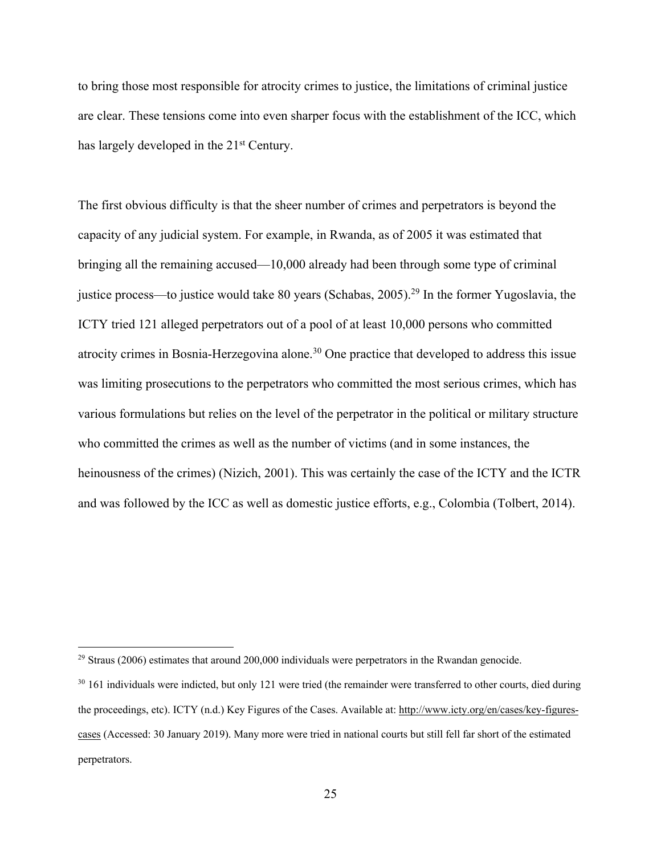to bring those most responsible for atrocity crimes to justice, the limitations of criminal justice are clear. These tensions come into even sharper focus with the establishment of the ICC, which has largely developed in the 21<sup>st</sup> Century.

The first obvious difficulty is that the sheer number of crimes and perpetrators is beyond the capacity of any judicial system. For example, in Rwanda, as of 2005 it was estimated that bringing all the remaining accused—10,000 already had been through some type of criminal justice process—to justice would take 80 years (Schabas, 2005).<sup>29</sup> In the former Yugoslavia, the ICTY tried 121 alleged perpetrators out of a pool of at least 10,000 persons who committed atrocity crimes in Bosnia-Herzegovina alone.<sup>30</sup> One practice that developed to address this issue was limiting prosecutions to the perpetrators who committed the most serious crimes, which has various formulations but relies on the level of the perpetrator in the political or military structure who committed the crimes as well as the number of victims (and in some instances, the heinousness of the crimes) (Nizich, 2001). This was certainly the case of the ICTY and the ICTR and was followed by the ICC as well as domestic justice efforts, e.g., Colombia (Tolbert, 2014).

 $29$  Straus (2006) estimates that around 200,000 individuals were perpetrators in the Rwandan genocide.

<sup>&</sup>lt;sup>30</sup> 161 individuals were indicted, but only 121 were tried (the remainder were transferred to other courts, died during the proceedings, etc). ICTY (n.d.) Key Figures of the Cases. Available at: http://www.icty.org/en/cases/key-figurescases (Accessed: 30 January 2019). Many more were tried in national courts but still fell far short of the estimated perpetrators.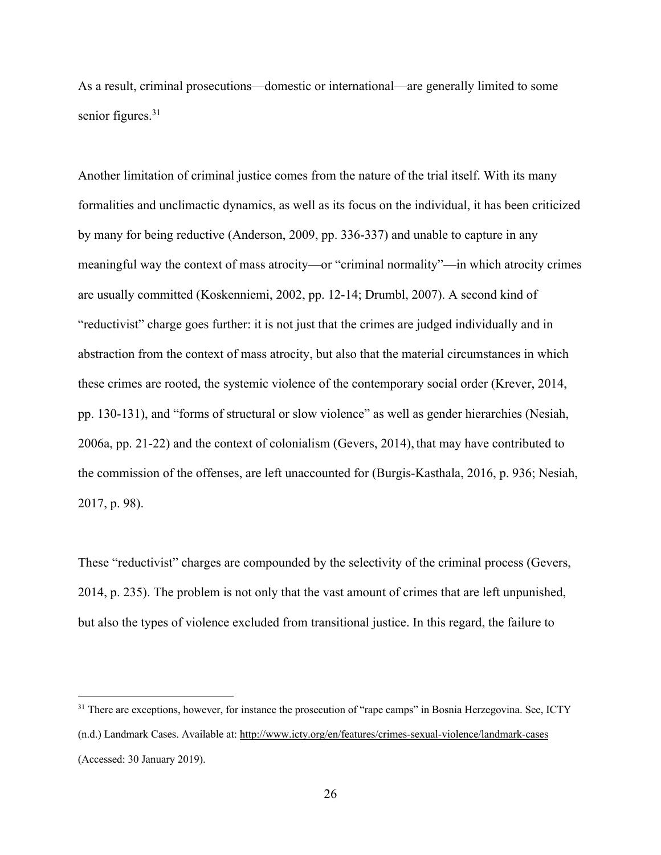As a result, criminal prosecutions—domestic or international—are generally limited to some senior figures.<sup>31</sup>

Another limitation of criminal justice comes from the nature of the trial itself. With its many formalities and unclimactic dynamics, as well as its focus on the individual, it has been criticized by many for being reductive (Anderson, 2009, pp. 336-337) and unable to capture in any meaningful way the context of mass atrocity—or "criminal normality"—in which atrocity crimes are usually committed (Koskenniemi, 2002, pp. 12-14; Drumbl, 2007). A second kind of "reductivist" charge goes further: it is not just that the crimes are judged individually and in abstraction from the context of mass atrocity, but also that the material circumstances in which these crimes are rooted, the systemic violence of the contemporary social order (Krever, 2014, pp. 130-131), and "forms of structural or slow violence" as well as gender hierarchies (Nesiah, 2006a, pp. 21-22) and the context of colonialism (Gevers, 2014), that may have contributed to the commission of the offenses, are left unaccounted for (Burgis-Kasthala, 2016, p. 936; Nesiah, 2017, p. 98).

These "reductivist" charges are compounded by the selectivity of the criminal process (Gevers, 2014, p. 235). The problem is not only that the vast amount of crimes that are left unpunished, but also the types of violence excluded from transitional justice. In this regard, the failure to

<sup>&</sup>lt;sup>31</sup> There are exceptions, however, for instance the prosecution of "rape camps" in Bosnia Herzegovina. See, ICTY (n.d.) Landmark Cases. Available at: http://www.icty.org/en/features/crimes-sexual-violence/landmark-cases (Accessed: 30 January 2019).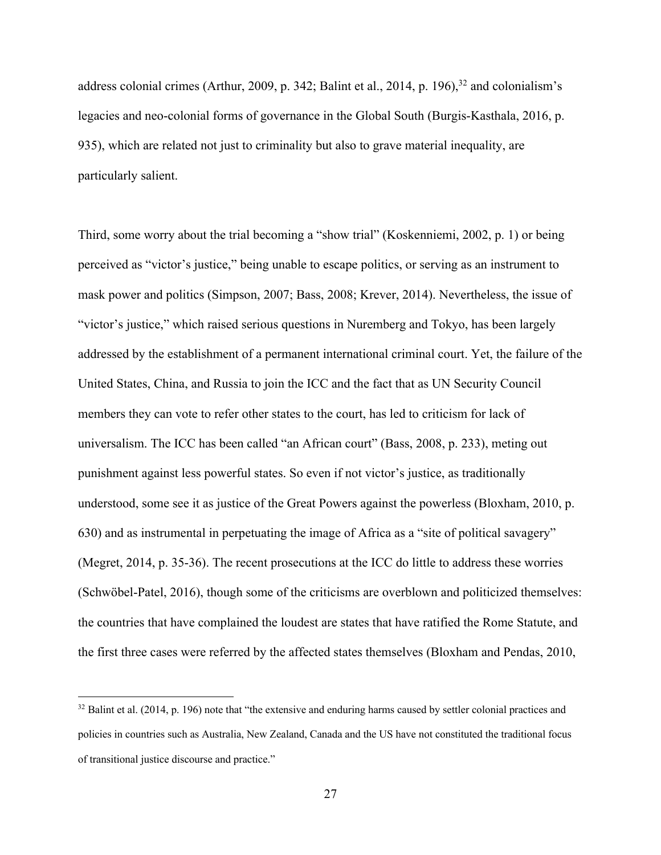address colonial crimes (Arthur, 2009, p. 342; Balint et al., 2014, p. 196), <sup>32</sup> and colonialism's legacies and neo-colonial forms of governance in the Global South (Burgis-Kasthala, 2016, p. 935), which are related not just to criminality but also to grave material inequality, are particularly salient.

Third, some worry about the trial becoming a "show trial" (Koskenniemi, 2002, p. 1) or being perceived as "victor's justice," being unable to escape politics, or serving as an instrument to mask power and politics (Simpson, 2007; Bass, 2008; Krever, 2014). Nevertheless, the issue of "victor's justice," which raised serious questions in Nuremberg and Tokyo, has been largely addressed by the establishment of a permanent international criminal court. Yet, the failure of the United States, China, and Russia to join the ICC and the fact that as UN Security Council members they can vote to refer other states to the court, has led to criticism for lack of universalism. The ICC has been called "an African court" (Bass, 2008, p. 233), meting out punishment against less powerful states. So even if not victor's justice, as traditionally understood, some see it as justice of the Great Powers against the powerless (Bloxham, 2010, p. 630) and as instrumental in perpetuating the image of Africa as a "site of political savagery" (Megret, 2014, p. 35-36). The recent prosecutions at the ICC do little to address these worries (Schwöbel-Patel, 2016), though some of the criticisms are overblown and politicized themselves: the countries that have complained the loudest are states that have ratified the Rome Statute, and the first three cases were referred by the affected states themselves (Bloxham and Pendas, 2010,

 $32$  Balint et al. (2014, p. 196) note that "the extensive and enduring harms caused by settler colonial practices and policies in countries such as Australia, New Zealand, Canada and the US have not constituted the traditional focus of transitional justice discourse and practice."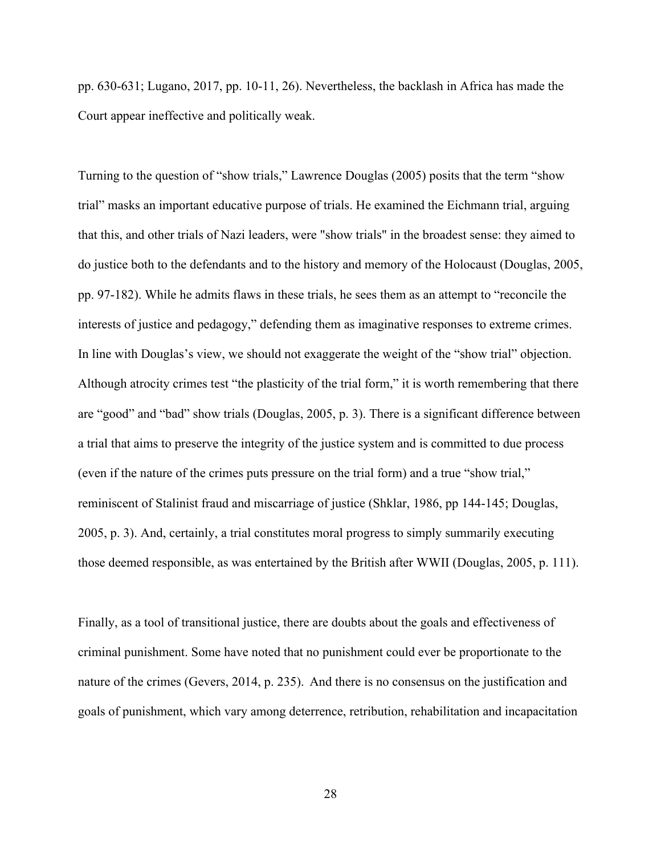pp. 630-631; Lugano, 2017, pp. 10-11, 26). Nevertheless, the backlash in Africa has made the Court appear ineffective and politically weak.

Turning to the question of "show trials," Lawrence Douglas (2005) posits that the term "show trial" masks an important educative purpose of trials. He examined the Eichmann trial, arguing that this, and other trials of Nazi leaders, were "show trials" in the broadest sense: they aimed to do justice both to the defendants and to the history and memory of the Holocaust (Douglas, 2005, pp. 97-182). While he admits flaws in these trials, he sees them as an attempt to "reconcile the interests of justice and pedagogy," defending them as imaginative responses to extreme crimes. In line with Douglas's view, we should not exaggerate the weight of the "show trial" objection. Although atrocity crimes test "the plasticity of the trial form," it is worth remembering that there are "good" and "bad" show trials (Douglas, 2005, p. 3). There is a significant difference between a trial that aims to preserve the integrity of the justice system and is committed to due process (even if the nature of the crimes puts pressure on the trial form) and a true "show trial," reminiscent of Stalinist fraud and miscarriage of justice (Shklar, 1986, pp 144-145; Douglas, 2005, p. 3). And, certainly, a trial constitutes moral progress to simply summarily executing those deemed responsible, as was entertained by the British after WWII (Douglas, 2005, p. 111).

Finally, as a tool of transitional justice, there are doubts about the goals and effectiveness of criminal punishment. Some have noted that no punishment could ever be proportionate to the nature of the crimes (Gevers, 2014, p. 235). And there is no consensus on the justification and goals of punishment, which vary among deterrence, retribution, rehabilitation and incapacitation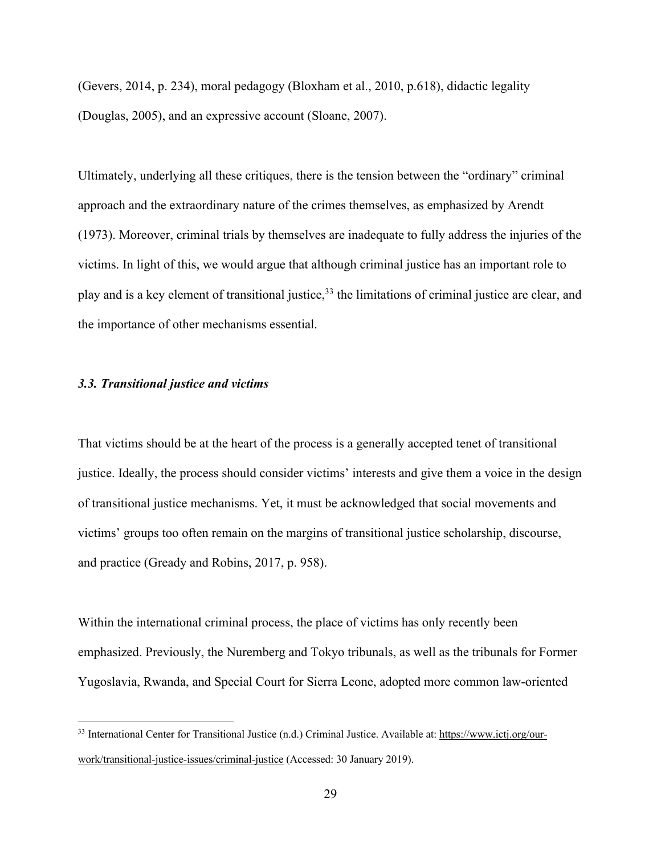(Gevers, 2014, p. 234), moral pedagogy (Bloxham et al., 2010, p.618), didactic legality (Douglas, 2005), and an expressive account (Sloane, 2007).

Ultimately, underlying all these critiques, there is the tension between the "ordinary" criminal approach and the extraordinary nature of the crimes themselves, as emphasized by Arendt (1973). Moreover, criminal trials by themselves are inadequate to fully address the injuries of the victims. In light of this, we would argue that although criminal justice has an important role to play and is a key element of transitional justice,<sup>33</sup> the limitations of criminal justice are clear, and the importance of other mechanisms essential.

## *3.3. Transitional justice and victims*

That victims should be at the heart of the process is a generally accepted tenet of transitional justice. Ideally, the process should consider victims' interests and give them a voice in the design of transitional justice mechanisms. Yet, it must be acknowledged that social movements and victims' groups too often remain on the margins of transitional justice scholarship, discourse, and practice (Gready and Robins, 2017, p. 958).

Within the international criminal process, the place of victims has only recently been emphasized. Previously, the Nuremberg and Tokyo tribunals, as well as the tribunals for Former Yugoslavia, Rwanda, and Special Court for Sierra Leone, adopted more common law-oriented

<sup>33</sup> International Center for Transitional Justice (n.d.) Criminal Justice. Available at: https://www.ictj.org/ourwork/transitional-justice-issues/criminal-justice (Accessed: 30 January 2019).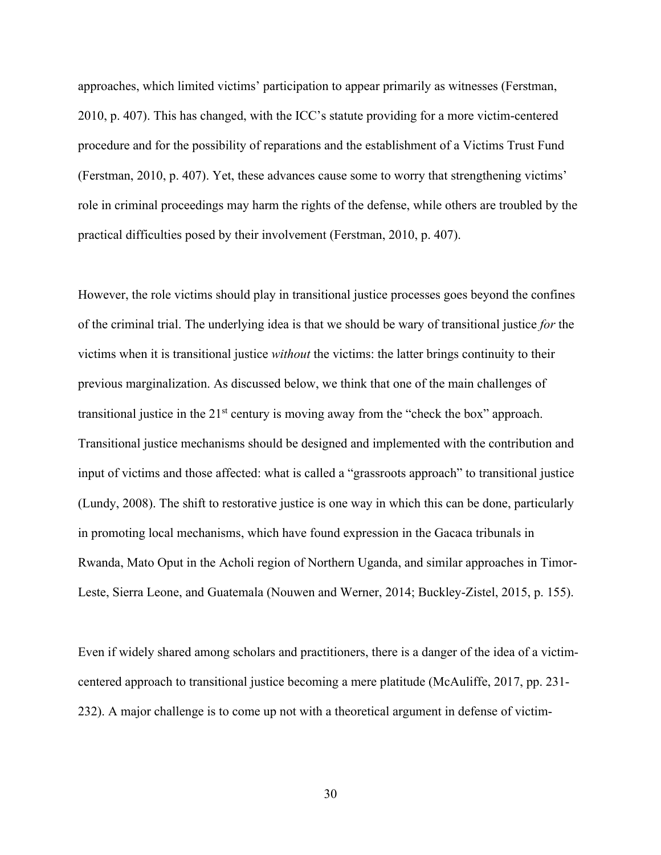approaches, which limited victims' participation to appear primarily as witnesses (Ferstman, 2010, p. 407). This has changed, with the ICC's statute providing for a more victim-centered procedure and for the possibility of reparations and the establishment of a Victims Trust Fund (Ferstman, 2010, p. 407). Yet, these advances cause some to worry that strengthening victims' role in criminal proceedings may harm the rights of the defense, while others are troubled by the practical difficulties posed by their involvement (Ferstman, 2010, p. 407).

However, the role victims should play in transitional justice processes goes beyond the confines of the criminal trial. The underlying idea is that we should be wary of transitional justice *for* the victims when it is transitional justice *without* the victims: the latter brings continuity to their previous marginalization. As discussed below, we think that one of the main challenges of transitional justice in the  $21<sup>st</sup>$  century is moving away from the "check the box" approach. Transitional justice mechanisms should be designed and implemented with the contribution and input of victims and those affected: what is called a "grassroots approach" to transitional justice (Lundy, 2008). The shift to restorative justice is one way in which this can be done, particularly in promoting local mechanisms, which have found expression in the Gacaca tribunals in Rwanda, Mato Oput in the Acholi region of Northern Uganda, and similar approaches in Timor-Leste, Sierra Leone, and Guatemala (Nouwen and Werner, 2014; Buckley-Zistel, 2015, p. 155).

Even if widely shared among scholars and practitioners, there is a danger of the idea of a victimcentered approach to transitional justice becoming a mere platitude (McAuliffe, 2017, pp. 231- 232). A major challenge is to come up not with a theoretical argument in defense of victim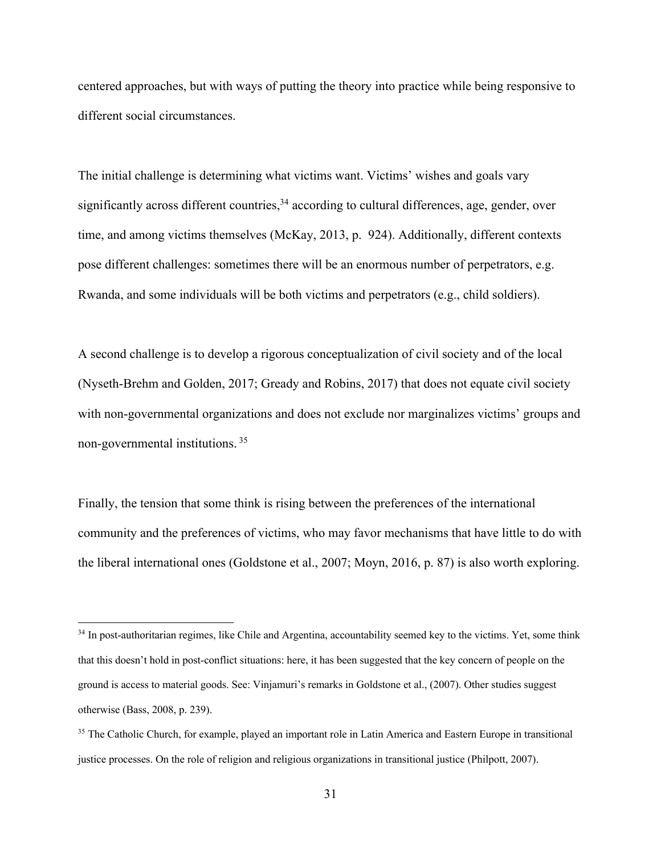centered approaches, but with ways of putting the theory into practice while being responsive to different social circumstances.

The initial challenge is determining what victims want. Victims' wishes and goals vary significantly across different countries,<sup>34</sup> according to cultural differences, age, gender, over time, and among victims themselves (McKay, 2013, p. 924). Additionally, different contexts pose different challenges: sometimes there will be an enormous number of perpetrators, e.g. Rwanda, and some individuals will be both victims and perpetrators (e.g., child soldiers).

A second challenge is to develop a rigorous conceptualization of civil society and of the local (Nyseth-Brehm and Golden, 2017; Gready and Robins, 2017) that does not equate civil society with non-governmental organizations and does not exclude nor marginalizes victims' groups and non-governmental institutions. 35

Finally, the tension that some think is rising between the preferences of the international community and the preferences of victims, who may favor mechanisms that have little to do with the liberal international ones (Goldstone et al., 2007; Moyn, 2016, p. 87) is also worth exploring.

<sup>&</sup>lt;sup>34</sup> In post-authoritarian regimes, like Chile and Argentina, accountability seemed key to the victims. Yet, some think that this doesn't hold in post-conflict situations: here, it has been suggested that the key concern of people on the ground is access to material goods. See: Vinjamuri's remarks in Goldstone et al., (2007). Other studies suggest otherwise (Bass, 2008, p. 239).

<sup>&</sup>lt;sup>35</sup> The Catholic Church, for example, played an important role in Latin America and Eastern Europe in transitional justice processes. On the role of religion and religious organizations in transitional justice (Philpott, 2007).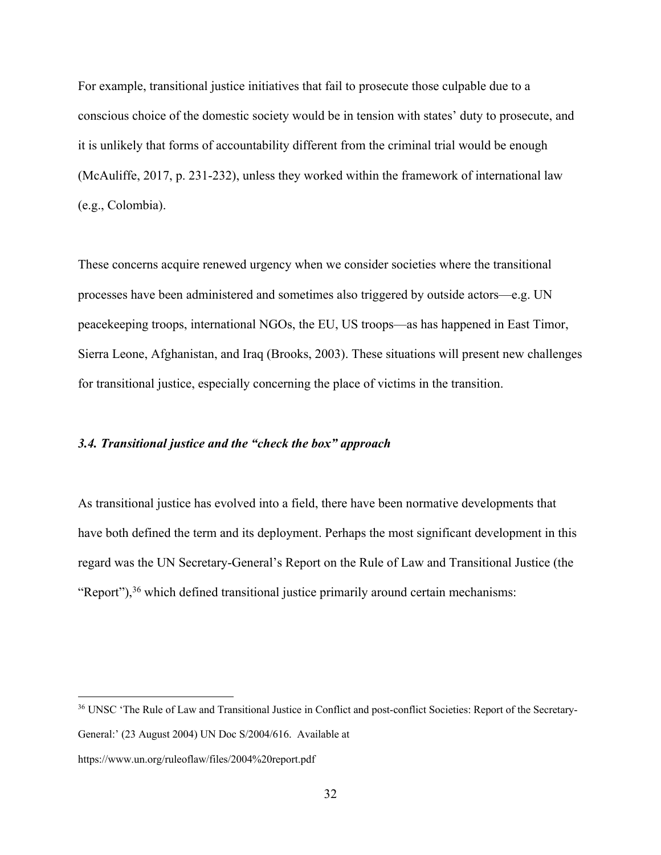For example, transitional justice initiatives that fail to prosecute those culpable due to a conscious choice of the domestic society would be in tension with states' duty to prosecute, and it is unlikely that forms of accountability different from the criminal trial would be enough (McAuliffe, 2017, p. 231-232), unless they worked within the framework of international law (e.g., Colombia).

These concerns acquire renewed urgency when we consider societies where the transitional processes have been administered and sometimes also triggered by outside actors—e.g. UN peacekeeping troops, international NGOs, the EU, US troops—as has happened in East Timor, Sierra Leone, Afghanistan, and Iraq (Brooks, 2003). These situations will present new challenges for transitional justice, especially concerning the place of victims in the transition.

#### *3.4. Transitional justice and the "check the box" approach*

As transitional justice has evolved into a field, there have been normative developments that have both defined the term and its deployment. Perhaps the most significant development in this regard was the UN Secretary-General's Report on the Rule of Law and Transitional Justice (the "Report"), $36$  which defined transitional justice primarily around certain mechanisms:

<sup>36</sup> UNSC 'The Rule of Law and Transitional Justice in Conflict and post-conflict Societies: Report of the Secretary-General:' (23 August 2004) UN Doc S/2004/616. Available at

https://www.un.org/ruleoflaw/files/2004%20report.pdf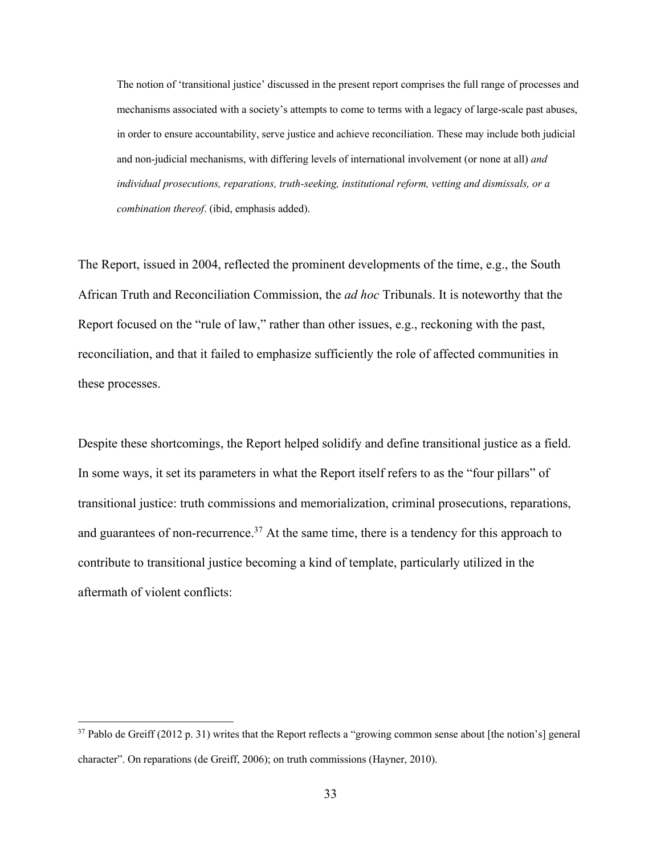The notion of 'transitional justice' discussed in the present report comprises the full range of processes and mechanisms associated with a society's attempts to come to terms with a legacy of large-scale past abuses, in order to ensure accountability, serve justice and achieve reconciliation. These may include both judicial and non-judicial mechanisms, with differing levels of international involvement (or none at all) *and individual prosecutions, reparations, truth-seeking, institutional reform, vetting and dismissals, or a combination thereof*. (ibid, emphasis added).

The Report, issued in 2004, reflected the prominent developments of the time, e.g., the South African Truth and Reconciliation Commission, the *ad hoc* Tribunals. It is noteworthy that the Report focused on the "rule of law," rather than other issues, e.g., reckoning with the past, reconciliation, and that it failed to emphasize sufficiently the role of affected communities in these processes.

Despite these shortcomings, the Report helped solidify and define transitional justice as a field. In some ways, it set its parameters in what the Report itself refers to as the "four pillars" of transitional justice: truth commissions and memorialization, criminal prosecutions, reparations, and guarantees of non-recurrence.<sup>37</sup> At the same time, there is a tendency for this approach to contribute to transitional justice becoming a kind of template, particularly utilized in the aftermath of violent conflicts:

 $37$  Pablo de Greiff (2012 p. 31) writes that the Report reflects a "growing common sense about [the notion's] general character". On reparations (de Greiff, 2006); on truth commissions (Hayner, 2010).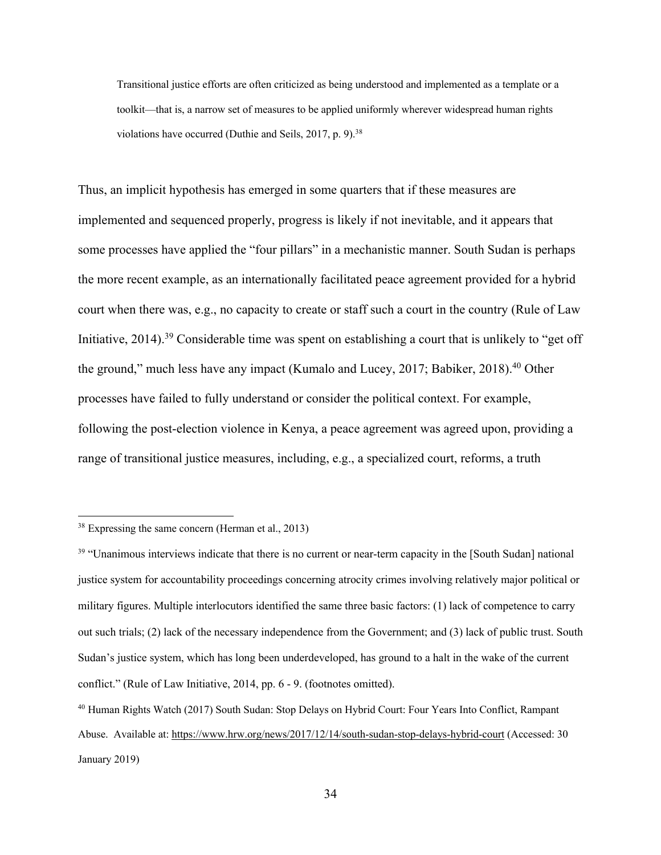Transitional justice efforts are often criticized as being understood and implemented as a template or a toolkit—that is, a narrow set of measures to be applied uniformly wherever widespread human rights violations have occurred (Duthie and Seils, 2017, p. 9).<sup>38</sup>

Thus, an implicit hypothesis has emerged in some quarters that if these measures are implemented and sequenced properly, progress is likely if not inevitable, and it appears that some processes have applied the "four pillars" in a mechanistic manner. South Sudan is perhaps the more recent example, as an internationally facilitated peace agreement provided for a hybrid court when there was, e.g., no capacity to create or staff such a court in the country (Rule of Law Initiative, 2014).<sup>39</sup> Considerable time was spent on establishing a court that is unlikely to "get off the ground," much less have any impact (Kumalo and Lucey, 2017; Babiker, 2018).<sup>40</sup> Other processes have failed to fully understand or consider the political context. For example, following the post-election violence in Kenya, a peace agreement was agreed upon, providing a range of transitional justice measures, including, e.g., a specialized court, reforms, a truth

<sup>38</sup> Expressing the same concern (Herman et al., 2013)

<sup>&</sup>lt;sup>39</sup> "Unanimous interviews indicate that there is no current or near-term capacity in the [South Sudan] national justice system for accountability proceedings concerning atrocity crimes involving relatively major political or military figures. Multiple interlocutors identified the same three basic factors: (1) lack of competence to carry out such trials; (2) lack of the necessary independence from the Government; and (3) lack of public trust. South Sudan's justice system, which has long been underdeveloped, has ground to a halt in the wake of the current conflict." (Rule of Law Initiative, 2014, pp. 6 - 9. (footnotes omitted).

<sup>40</sup> Human Rights Watch (2017) South Sudan: Stop Delays on Hybrid Court: Four Years Into Conflict, Rampant Abuse. Available at: https://www.hrw.org/news/2017/12/14/south-sudan-stop-delays-hybrid-court (Accessed: 30 January 2019)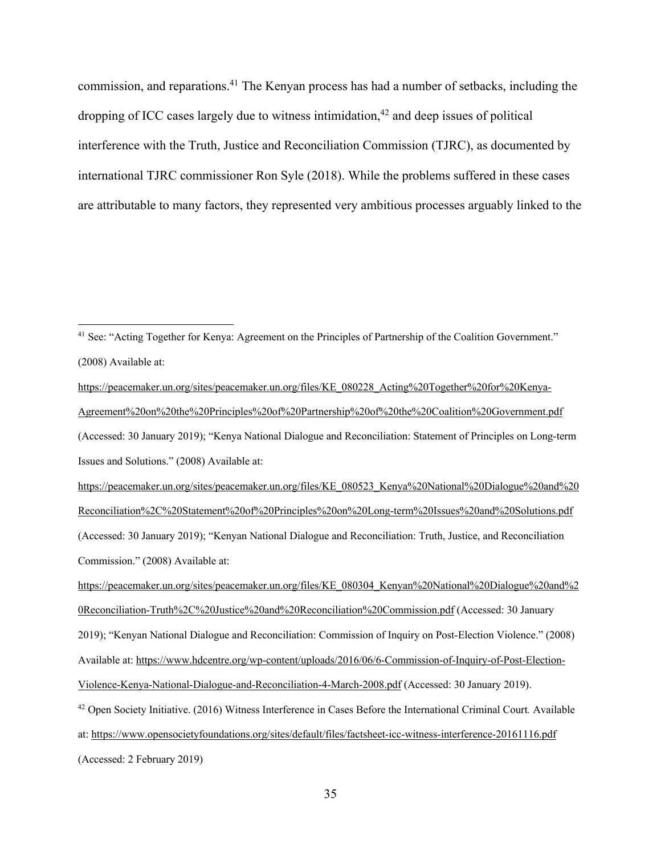commission, and reparations.41 The Kenyan process has had a number of setbacks, including the dropping of ICC cases largely due to witness intimidation,  $42$  and deep issues of political interference with the Truth, Justice and Reconciliation Commission (TJRC), as documented by international TJRC commissioner Ron Syle (2018). While the problems suffered in these cases are attributable to many factors, they represented very ambitious processes arguably linked to the

<sup>&</sup>lt;sup>41</sup> See: "Acting Together for Kenya: Agreement on the Principles of Partnership of the Coalition Government." (2008) Available at:

https://peacemaker.un.org/sites/peacemaker.un.org/files/KE\_080228\_Acting%20Together%20for%20Kenya-Agreement%20on%20the%20Principles%20of%20Partnership%20of%20the%20Coalition%20Government.pdf (Accessed: 30 January 2019); "Kenya National Dialogue and Reconciliation: Statement of Principles on Long-term Issues and Solutions." (2008) Available at: https://peacemaker.un.org/sites/peacemaker.un.org/files/KE\_080523\_Kenya%20National%20Dialogue%20and%20 Reconciliation%2C%20Statement%20of%20Principles%20on%20Long-term%20Issues%20and%20Solutions.pdf (Accessed: 30 January 2019); "Kenyan National Dialogue and Reconciliation: Truth, Justice, and Reconciliation Commission." (2008) Available at:

https://peacemaker.un.org/sites/peacemaker.un.org/files/KE\_080304\_Kenyan%20National%20Dialogue%20and%2 0Reconciliation-Truth%2C%20Justice%20and%20Reconciliation%20Commission.pdf (Accessed: 30 January 2019); "Kenyan National Dialogue and Reconciliation: Commission of Inquiry on Post-Election Violence." (2008) Available at: https://www.hdcentre.org/wp-content/uploads/2016/06/6-Commission-of-Inquiry-of-Post-Election-Violence-Kenya-National-Dialogue-and-Reconciliation-4-March-2008.pdf (Accessed: 30 January 2019).

<sup>42</sup> Open Society Initiative. (2016) Witness Interference in Cases Before the International Criminal Court*.* Available at: https://www.opensocietyfoundations.org/sites/default/files/factsheet-icc-witness-interference-20161116.pdf

<sup>(</sup>Accessed: 2 February 2019)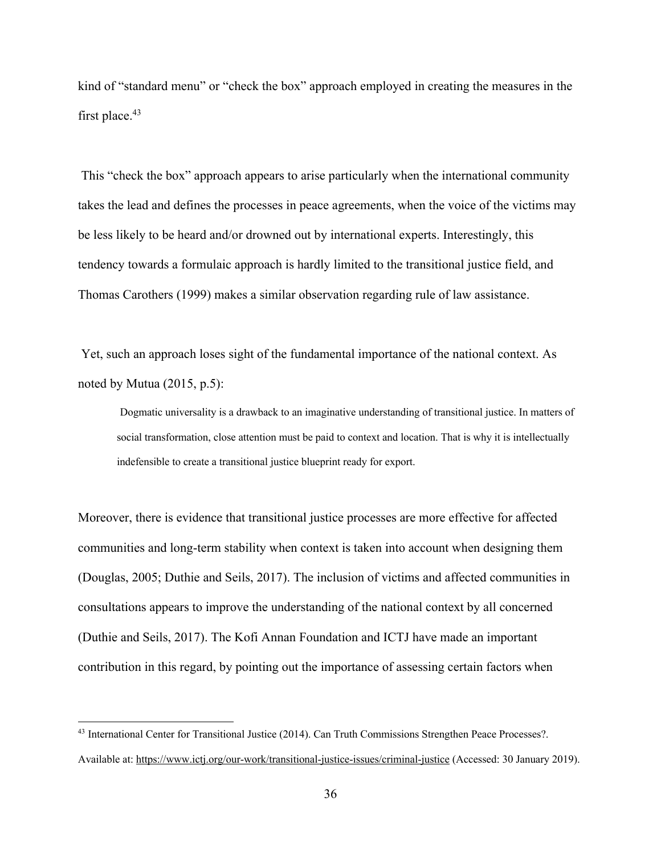kind of "standard menu" or "check the box" approach employed in creating the measures in the first place.<sup>43</sup>

This "check the box" approach appears to arise particularly when the international community takes the lead and defines the processes in peace agreements, when the voice of the victims may be less likely to be heard and/or drowned out by international experts. Interestingly, this tendency towards a formulaic approach is hardly limited to the transitional justice field, and Thomas Carothers (1999) makes a similar observation regarding rule of law assistance.

Yet, such an approach loses sight of the fundamental importance of the national context. As noted by Mutua (2015, p.5):

Dogmatic universality is a drawback to an imaginative understanding of transitional justice. In matters of social transformation, close attention must be paid to context and location. That is why it is intellectually indefensible to create a transitional justice blueprint ready for export.

Moreover, there is evidence that transitional justice processes are more effective for affected communities and long-term stability when context is taken into account when designing them (Douglas, 2005; Duthie and Seils, 2017). The inclusion of victims and affected communities in consultations appears to improve the understanding of the national context by all concerned (Duthie and Seils, 2017). The Kofi Annan Foundation and ICTJ have made an important contribution in this regard, by pointing out the importance of assessing certain factors when

<sup>43</sup> International Center for Transitional Justice (2014). Can Truth Commissions Strengthen Peace Processes?. Available at: https://www.ictj.org/our-work/transitional-justice-issues/criminal-justice (Accessed: 30 January 2019).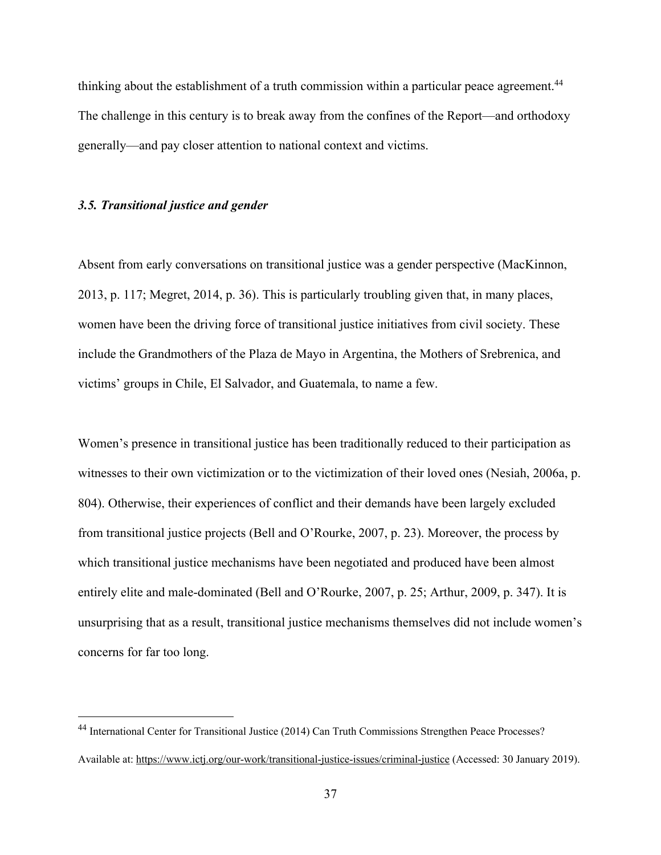thinking about the establishment of a truth commission within a particular peace agreement.<sup>44</sup> The challenge in this century is to break away from the confines of the Report—and orthodoxy generally—and pay closer attention to national context and victims.

## *3.5. Transitional justice and gender*

Absent from early conversations on transitional justice was a gender perspective (MacKinnon, 2013, p. 117; Megret, 2014, p. 36). This is particularly troubling given that, in many places, women have been the driving force of transitional justice initiatives from civil society. These include the Grandmothers of the Plaza de Mayo in Argentina, the Mothers of Srebrenica, and victims' groups in Chile, El Salvador, and Guatemala, to name a few.

Women's presence in transitional justice has been traditionally reduced to their participation as witnesses to their own victimization or to the victimization of their loved ones (Nesiah, 2006a, p. 804). Otherwise, their experiences of conflict and their demands have been largely excluded from transitional justice projects (Bell and O'Rourke, 2007, p. 23). Moreover, the process by which transitional justice mechanisms have been negotiated and produced have been almost entirely elite and male-dominated (Bell and O'Rourke, 2007, p. 25; Arthur, 2009, p. 347). It is unsurprising that as a result, transitional justice mechanisms themselves did not include women's concerns for far too long.

<sup>44</sup> International Center for Transitional Justice (2014) Can Truth Commissions Strengthen Peace Processes? Available at: https://www.ictj.org/our-work/transitional-justice-issues/criminal-justice (Accessed: 30 January 2019).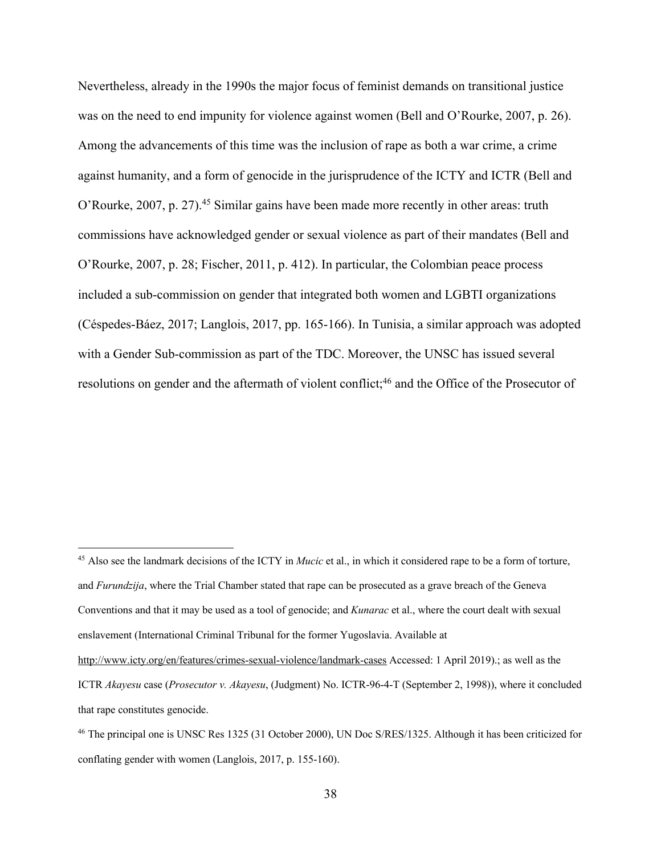Nevertheless, already in the 1990s the major focus of feminist demands on transitional justice was on the need to end impunity for violence against women (Bell and O'Rourke, 2007, p. 26). Among the advancements of this time was the inclusion of rape as both a war crime, a crime against humanity, and a form of genocide in the jurisprudence of the ICTY and ICTR (Bell and O'Rourke, 2007, p. 27).<sup>45</sup> Similar gains have been made more recently in other areas: truth commissions have acknowledged gender or sexual violence as part of their mandates (Bell and O'Rourke, 2007, p. 28; Fischer, 2011, p. 412). In particular, the Colombian peace process included a sub-commission on gender that integrated both women and LGBTI organizations (Céspedes-Báez, 2017; Langlois, 2017, pp. 165-166). In Tunisia, a similar approach was adopted with a Gender Sub-commission as part of the TDC. Moreover, the UNSC has issued several resolutions on gender and the aftermath of violent conflict;<sup>46</sup> and the Office of the Prosecutor of

<sup>45</sup> Also see the landmark decisions of the ICTY in *Mucic* et al., in which it considered rape to be a form of torture, and *Furundzija*, where the Trial Chamber stated that rape can be prosecuted as a grave breach of the Geneva Conventions and that it may be used as a tool of genocide; and *Kunarac* et al., where the court dealt with sexual enslavement (International Criminal Tribunal for the former Yugoslavia. Available at http://www.icty.org/en/features/crimes-sexual-violence/landmark-cases Accessed: 1 April 2019).; as well as the

ICTR *Akayesu* case (*Prosecutor v. Akayesu*, (Judgment) No. ICTR-96-4-T (September 2, 1998)), where it concluded that rape constitutes genocide.

<sup>46</sup> The principal one is UNSC Res 1325 (31 October 2000), UN Doc S/RES/1325. Although it has been criticized for conflating gender with women (Langlois, 2017, p. 155-160).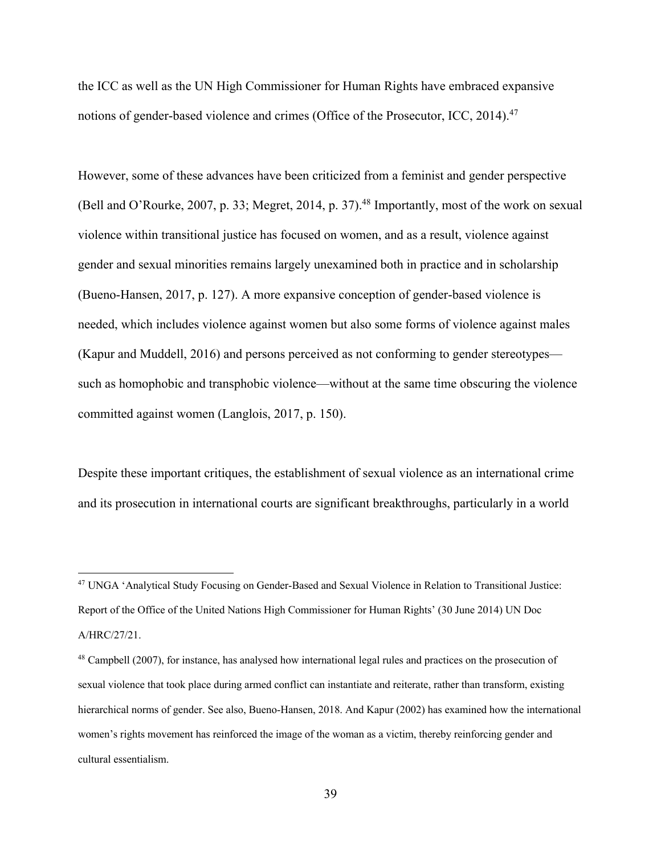the ICC as well as the UN High Commissioner for Human Rights have embraced expansive notions of gender-based violence and crimes (Office of the Prosecutor, ICC, 2014).<sup>47</sup>

However, some of these advances have been criticized from a feminist and gender perspective (Bell and O'Rourke, 2007, p. 33; Megret, 2014, p. 37).<sup>48</sup> Importantly, most of the work on sexual violence within transitional justice has focused on women, and as a result, violence against gender and sexual minorities remains largely unexamined both in practice and in scholarship (Bueno-Hansen, 2017, p. 127). A more expansive conception of gender-based violence is needed, which includes violence against women but also some forms of violence against males (Kapur and Muddell, 2016) and persons perceived as not conforming to gender stereotypes such as homophobic and transphobic violence—without at the same time obscuring the violence committed against women (Langlois, 2017, p. 150).

Despite these important critiques, the establishment of sexual violence as an international crime and its prosecution in international courts are significant breakthroughs, particularly in a world

<sup>47</sup> UNGA 'Analytical Study Focusing on Gender-Based and Sexual Violence in Relation to Transitional Justice: Report of the Office of the United Nations High Commissioner for Human Rights' (30 June 2014) UN Doc A/HRC/27/21.

<sup>48</sup> Campbell (2007), for instance, has analysed how international legal rules and practices on the prosecution of sexual violence that took place during armed conflict can instantiate and reiterate, rather than transform, existing hierarchical norms of gender. See also, Bueno-Hansen, 2018. And Kapur (2002) has examined how the international women's rights movement has reinforced the image of the woman as a victim, thereby reinforcing gender and cultural essentialism.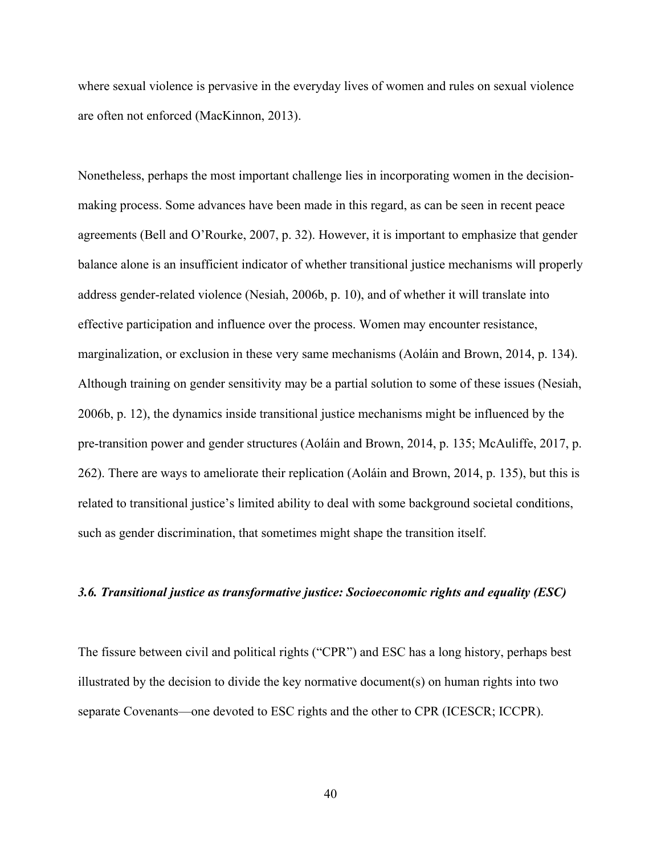where sexual violence is pervasive in the everyday lives of women and rules on sexual violence are often not enforced (MacKinnon, 2013).

Nonetheless, perhaps the most important challenge lies in incorporating women in the decisionmaking process. Some advances have been made in this regard, as can be seen in recent peace agreements (Bell and O'Rourke, 2007, p. 32). However, it is important to emphasize that gender balance alone is an insufficient indicator of whether transitional justice mechanisms will properly address gender-related violence (Nesiah, 2006b, p. 10), and of whether it will translate into effective participation and influence over the process. Women may encounter resistance, marginalization, or exclusion in these very same mechanisms (Aoláin and Brown, 2014, p. 134). Although training on gender sensitivity may be a partial solution to some of these issues (Nesiah, 2006b, p. 12), the dynamics inside transitional justice mechanisms might be influenced by the pre-transition power and gender structures (Aoláin and Brown, 2014, p. 135; McAuliffe, 2017, p. 262). There are ways to ameliorate their replication (Aoláin and Brown, 2014, p. 135), but this is related to transitional justice's limited ability to deal with some background societal conditions, such as gender discrimination, that sometimes might shape the transition itself.

## *3.6. Transitional justice as transformative justice: Socioeconomic rights and equality (ESC)*

The fissure between civil and political rights ("CPR") and ESC has a long history, perhaps best illustrated by the decision to divide the key normative document(s) on human rights into two separate Covenants—one devoted to ESC rights and the other to CPR (ICESCR; ICCPR).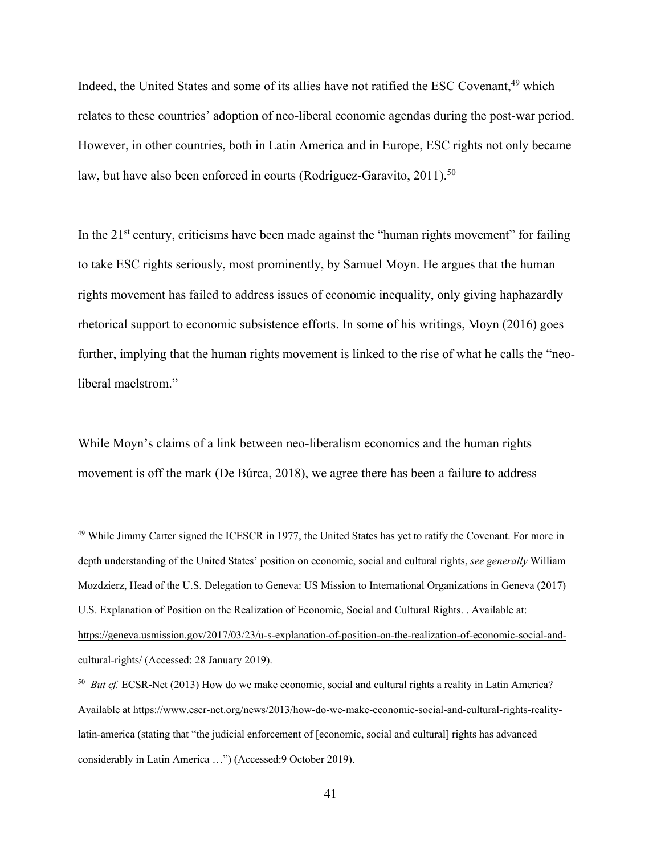Indeed, the United States and some of its allies have not ratified the ESC Covenant,<sup>49</sup> which relates to these countries' adoption of neo-liberal economic agendas during the post-war period. However, in other countries, both in Latin America and in Europe, ESC rights not only became law, but have also been enforced in courts (Rodriguez-Garavito, 2011).<sup>50</sup>

In the  $21<sup>st</sup>$  century, criticisms have been made against the "human rights movement" for failing to take ESC rights seriously, most prominently, by Samuel Moyn. He argues that the human rights movement has failed to address issues of economic inequality, only giving haphazardly rhetorical support to economic subsistence efforts. In some of his writings, Moyn (2016) goes further, implying that the human rights movement is linked to the rise of what he calls the "neoliberal maelstrom."

While Moyn's claims of a link between neo-liberalism economics and the human rights movement is off the mark (De Búrca, 2018), we agree there has been a failure to address

<sup>49</sup> While Jimmy Carter signed the ICESCR in 1977, the United States has yet to ratify the Covenant. For more in depth understanding of the United States' position on economic, social and cultural rights, *see generally* William Mozdzierz, Head of the U.S. Delegation to Geneva: US Mission to International Organizations in Geneva (2017) U.S. Explanation of Position on the Realization of Economic, Social and Cultural Rights. . Available at: https://geneva.usmission.gov/2017/03/23/u-s-explanation-of-position-on-the-realization-of-economic-social-andcultural-rights/ (Accessed: 28 January 2019).

<sup>50</sup> *But cf.* ECSR-Net (2013) How do we make economic, social and cultural rights a reality in Latin America? Available at https://www.escr-net.org/news/2013/how-do-we-make-economic-social-and-cultural-rights-realitylatin-america (stating that "the judicial enforcement of [economic, social and cultural] rights has advanced considerably in Latin America …") (Accessed:9 October 2019).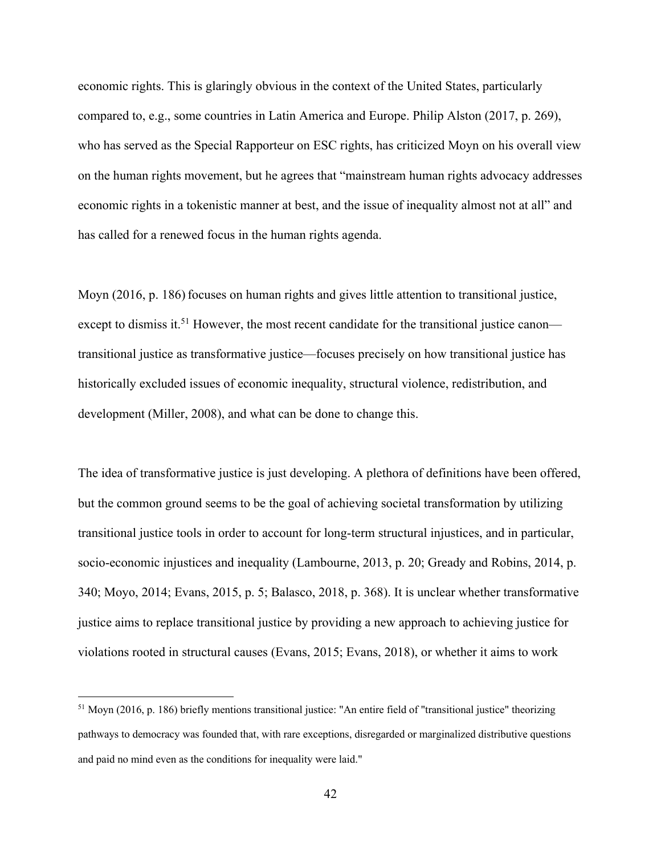economic rights. This is glaringly obvious in the context of the United States, particularly compared to, e.g., some countries in Latin America and Europe. Philip Alston (2017, p. 269), who has served as the Special Rapporteur on ESC rights, has criticized Moyn on his overall view on the human rights movement, but he agrees that "mainstream human rights advocacy addresses economic rights in a tokenistic manner at best, and the issue of inequality almost not at all" and has called for a renewed focus in the human rights agenda.

Moyn (2016, p. 186) focuses on human rights and gives little attention to transitional justice, except to dismiss it.<sup>51</sup> However, the most recent candidate for the transitional justice canon transitional justice as transformative justice—focuses precisely on how transitional justice has historically excluded issues of economic inequality, structural violence, redistribution, and development (Miller, 2008), and what can be done to change this.

The idea of transformative justice is just developing. A plethora of definitions have been offered, but the common ground seems to be the goal of achieving societal transformation by utilizing transitional justice tools in order to account for long-term structural injustices, and in particular, socio-economic injustices and inequality (Lambourne, 2013, p. 20; Gready and Robins, 2014, p. 340; Moyo, 2014; Evans, 2015, p. 5; Balasco, 2018, p. 368). It is unclear whether transformative justice aims to replace transitional justice by providing a new approach to achieving justice for violations rooted in structural causes (Evans, 2015; Evans, 2018), or whether it aims to work

 $51$  Moyn (2016, p. 186) briefly mentions transitional justice: "An entire field of "transitional justice" theorizing pathways to democracy was founded that, with rare exceptions, disregarded or marginalized distributive questions and paid no mind even as the conditions for inequality were laid."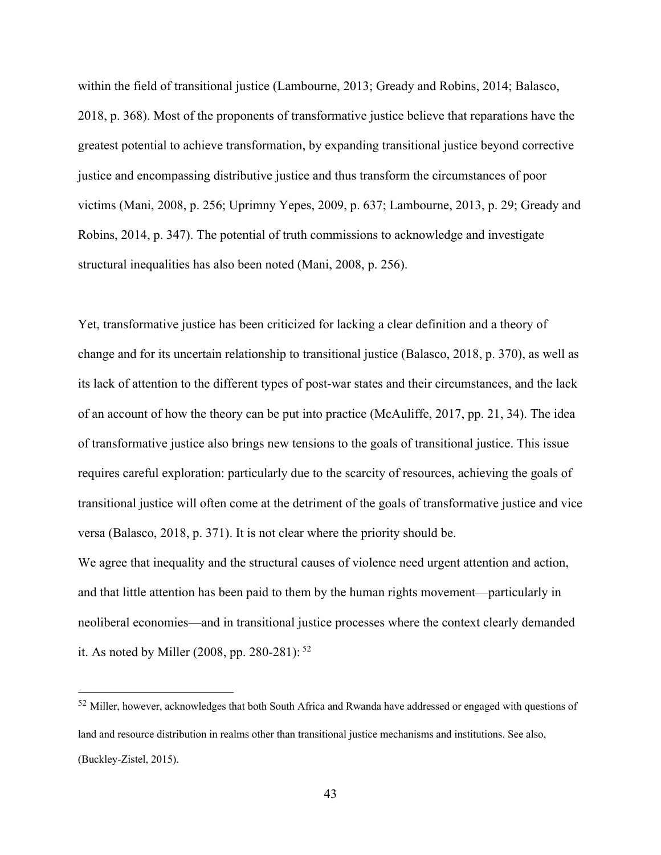within the field of transitional justice (Lambourne, 2013; Gready and Robins, 2014; Balasco, 2018, p. 368). Most of the proponents of transformative justice believe that reparations have the greatest potential to achieve transformation, by expanding transitional justice beyond corrective justice and encompassing distributive justice and thus transform the circumstances of poor victims (Mani, 2008, p. 256; Uprimny Yepes, 2009, p. 637; Lambourne, 2013, p. 29; Gready and Robins, 2014, p. 347). The potential of truth commissions to acknowledge and investigate structural inequalities has also been noted (Mani, 2008, p. 256).

Yet, transformative justice has been criticized for lacking a clear definition and a theory of change and for its uncertain relationship to transitional justice (Balasco, 2018, p. 370), as well as its lack of attention to the different types of post-war states and their circumstances, and the lack of an account of how the theory can be put into practice (McAuliffe, 2017, pp. 21, 34). The idea of transformative justice also brings new tensions to the goals of transitional justice. This issue requires careful exploration: particularly due to the scarcity of resources, achieving the goals of transitional justice will often come at the detriment of the goals of transformative justice and vice versa (Balasco, 2018, p. 371). It is not clear where the priority should be.

We agree that inequality and the structural causes of violence need urgent attention and action, and that little attention has been paid to them by the human rights movement—particularly in neoliberal economies—and in transitional justice processes where the context clearly demanded it. As noted by Miller (2008, pp. 280-281): <sup>52</sup>

<sup>&</sup>lt;sup>52</sup> Miller, however, acknowledges that both South Africa and Rwanda have addressed or engaged with questions of land and resource distribution in realms other than transitional justice mechanisms and institutions. See also, (Buckley-Zistel, 2015).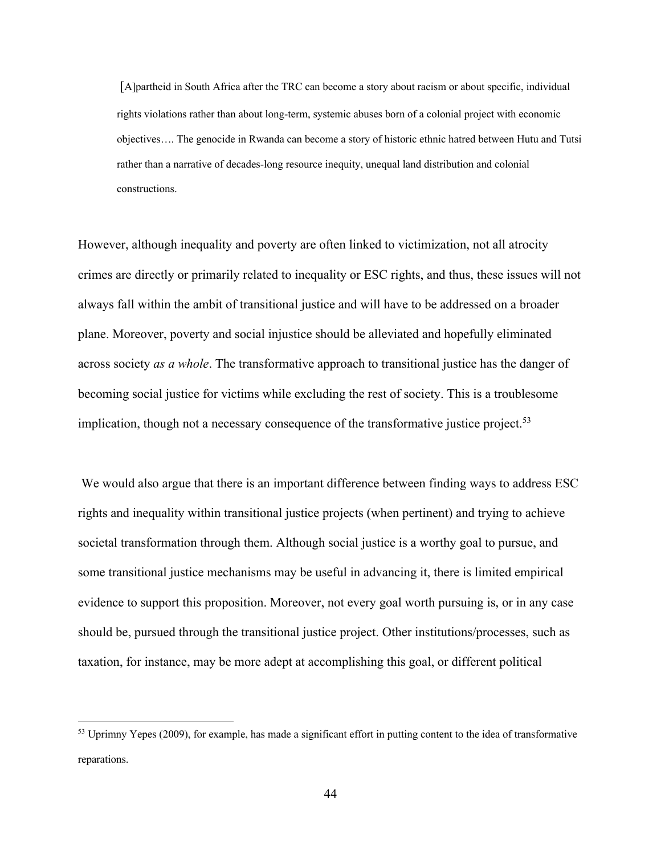[A]partheid in South Africa after the TRC can become a story about racism or about specific, individual rights violations rather than about long-term, systemic abuses born of a colonial project with economic objectives…. The genocide in Rwanda can become a story of historic ethnic hatred between Hutu and Tutsi rather than a narrative of decades-long resource inequity, unequal land distribution and colonial constructions.

However, although inequality and poverty are often linked to victimization, not all atrocity crimes are directly or primarily related to inequality or ESC rights, and thus, these issues will not always fall within the ambit of transitional justice and will have to be addressed on a broader plane. Moreover, poverty and social injustice should be alleviated and hopefully eliminated across society *as a whole*. The transformative approach to transitional justice has the danger of becoming social justice for victims while excluding the rest of society. This is a troublesome implication, though not a necessary consequence of the transformative justice project.<sup>53</sup>

We would also argue that there is an important difference between finding ways to address ESC rights and inequality within transitional justice projects (when pertinent) and trying to achieve societal transformation through them. Although social justice is a worthy goal to pursue, and some transitional justice mechanisms may be useful in advancing it, there is limited empirical evidence to support this proposition. Moreover, not every goal worth pursuing is, or in any case should be, pursued through the transitional justice project. Other institutions/processes, such as taxation, for instance, may be more adept at accomplishing this goal, or different political

<sup>&</sup>lt;sup>53</sup> Uprimny Yepes (2009), for example, has made a significant effort in putting content to the idea of transformative reparations.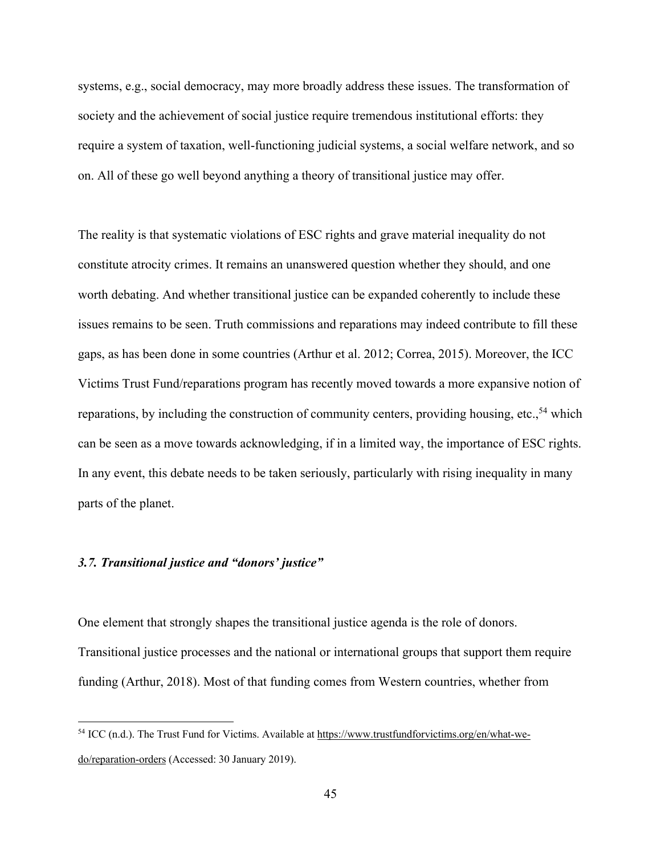systems, e.g., social democracy, may more broadly address these issues. The transformation of society and the achievement of social justice require tremendous institutional efforts: they require a system of taxation, well-functioning judicial systems, a social welfare network, and so on. All of these go well beyond anything a theory of transitional justice may offer.

The reality is that systematic violations of ESC rights and grave material inequality do not constitute atrocity crimes. It remains an unanswered question whether they should, and one worth debating. And whether transitional justice can be expanded coherently to include these issues remains to be seen. Truth commissions and reparations may indeed contribute to fill these gaps, as has been done in some countries (Arthur et al. 2012; Correa, 2015). Moreover, the ICC Victims Trust Fund/reparations program has recently moved towards a more expansive notion of reparations, by including the construction of community centers, providing housing, etc.,<sup>54</sup> which can be seen as a move towards acknowledging, if in a limited way, the importance of ESC rights. In any event, this debate needs to be taken seriously, particularly with rising inequality in many parts of the planet.

# *3.7. Transitional justice and "donors' justice"*

One element that strongly shapes the transitional justice agenda is the role of donors. Transitional justice processes and the national or international groups that support them require funding (Arthur, 2018). Most of that funding comes from Western countries, whether from

<sup>54</sup> ICC (n.d.). The Trust Fund for Victims. Available at https://www.trustfundforvictims.org/en/what-wedo/reparation-orders (Accessed: 30 January 2019).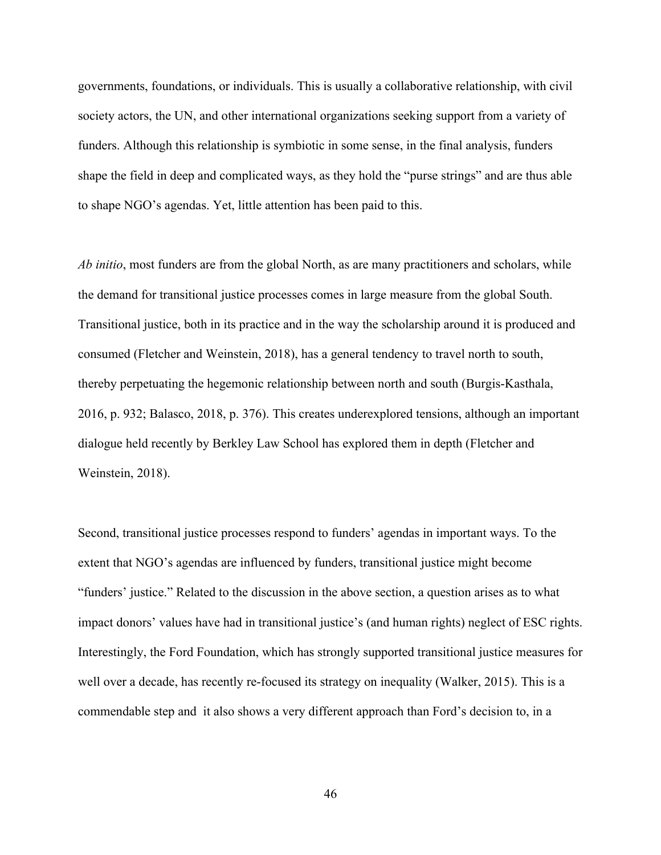governments, foundations, or individuals. This is usually a collaborative relationship, with civil society actors, the UN, and other international organizations seeking support from a variety of funders. Although this relationship is symbiotic in some sense, in the final analysis, funders shape the field in deep and complicated ways, as they hold the "purse strings" and are thus able to shape NGO's agendas. Yet, little attention has been paid to this.

*Ab initio*, most funders are from the global North, as are many practitioners and scholars, while the demand for transitional justice processes comes in large measure from the global South. Transitional justice, both in its practice and in the way the scholarship around it is produced and consumed (Fletcher and Weinstein, 2018), has a general tendency to travel north to south, thereby perpetuating the hegemonic relationship between north and south (Burgis-Kasthala, 2016, p. 932; Balasco, 2018, p. 376). This creates underexplored tensions, although an important dialogue held recently by Berkley Law School has explored them in depth (Fletcher and Weinstein, 2018).

Second, transitional justice processes respond to funders' agendas in important ways. To the extent that NGO's agendas are influenced by funders, transitional justice might become "funders' justice." Related to the discussion in the above section, a question arises as to what impact donors' values have had in transitional justice's (and human rights) neglect of ESC rights. Interestingly, the Ford Foundation, which has strongly supported transitional justice measures for well over a decade, has recently re-focused its strategy on inequality (Walker, 2015). This is a commendable step and it also shows a very different approach than Ford's decision to, in a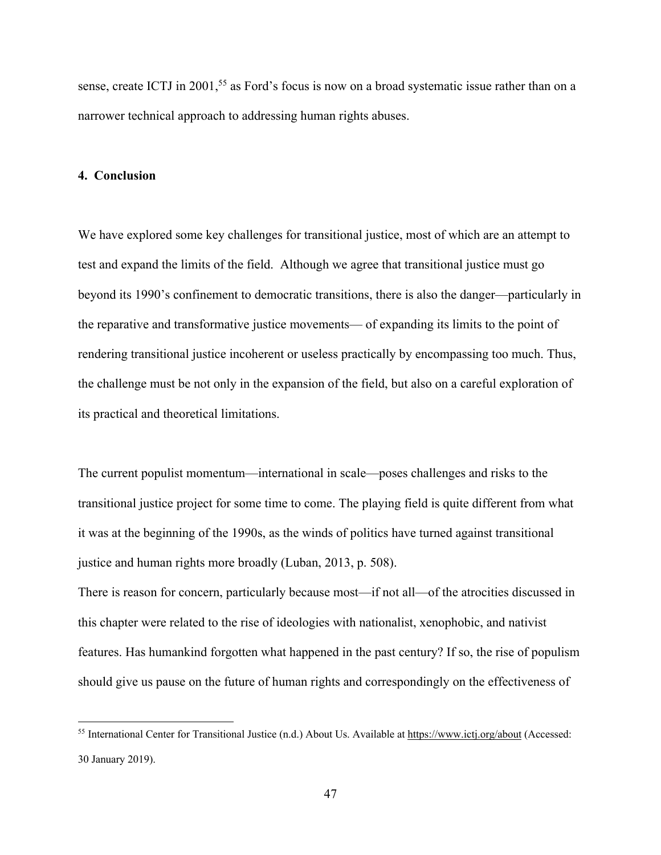sense, create ICTJ in 2001,<sup>55</sup> as Ford's focus is now on a broad systematic issue rather than on a narrower technical approach to addressing human rights abuses.

## **4. Conclusion**

We have explored some key challenges for transitional justice, most of which are an attempt to test and expand the limits of the field. Although we agree that transitional justice must go beyond its 1990's confinement to democratic transitions, there is also the danger—particularly in the reparative and transformative justice movements— of expanding its limits to the point of rendering transitional justice incoherent or useless practically by encompassing too much. Thus, the challenge must be not only in the expansion of the field, but also on a careful exploration of its practical and theoretical limitations.

The current populist momentum—international in scale—poses challenges and risks to the transitional justice project for some time to come. The playing field is quite different from what it was at the beginning of the 1990s, as the winds of politics have turned against transitional justice and human rights more broadly (Luban, 2013, p. 508).

There is reason for concern, particularly because most—if not all—of the atrocities discussed in this chapter were related to the rise of ideologies with nationalist, xenophobic, and nativist features. Has humankind forgotten what happened in the past century? If so, the rise of populism should give us pause on the future of human rights and correspondingly on the effectiveness of

<sup>55</sup> International Center for Transitional Justice (n.d.) About Us. Available at https://www.ictj.org/about (Accessed: 30 January 2019).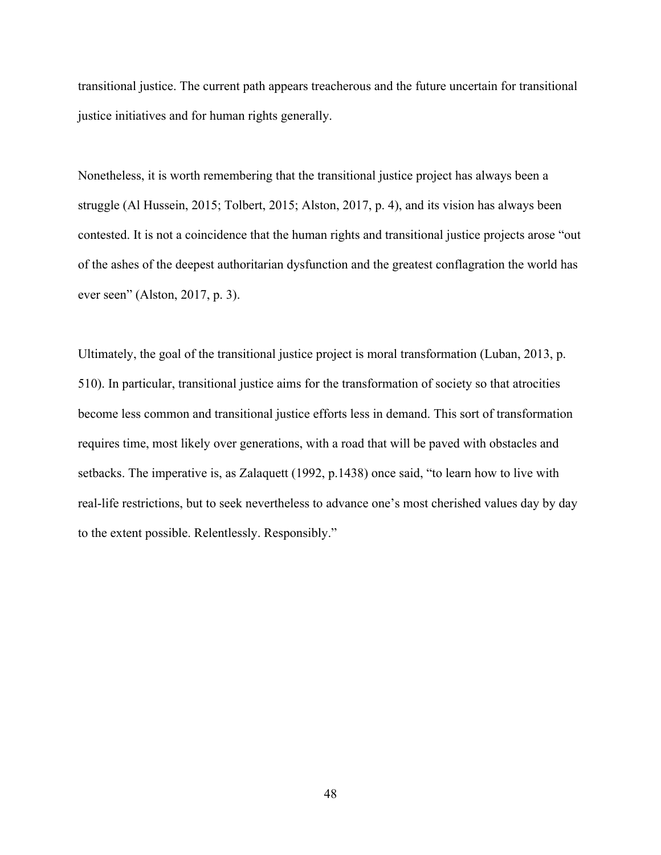transitional justice. The current path appears treacherous and the future uncertain for transitional justice initiatives and for human rights generally.

Nonetheless, it is worth remembering that the transitional justice project has always been a struggle (Al Hussein, 2015; Tolbert, 2015; Alston, 2017, p. 4), and its vision has always been contested. It is not a coincidence that the human rights and transitional justice projects arose "out of the ashes of the deepest authoritarian dysfunction and the greatest conflagration the world has ever seen" (Alston, 2017, p. 3).

Ultimately, the goal of the transitional justice project is moral transformation (Luban, 2013, p. 510). In particular, transitional justice aims for the transformation of society so that atrocities become less common and transitional justice efforts less in demand. This sort of transformation requires time, most likely over generations, with a road that will be paved with obstacles and setbacks. The imperative is, as Zalaquett (1992, p.1438) once said, "to learn how to live with real-life restrictions, but to seek nevertheless to advance one's most cherished values day by day to the extent possible. Relentlessly. Responsibly."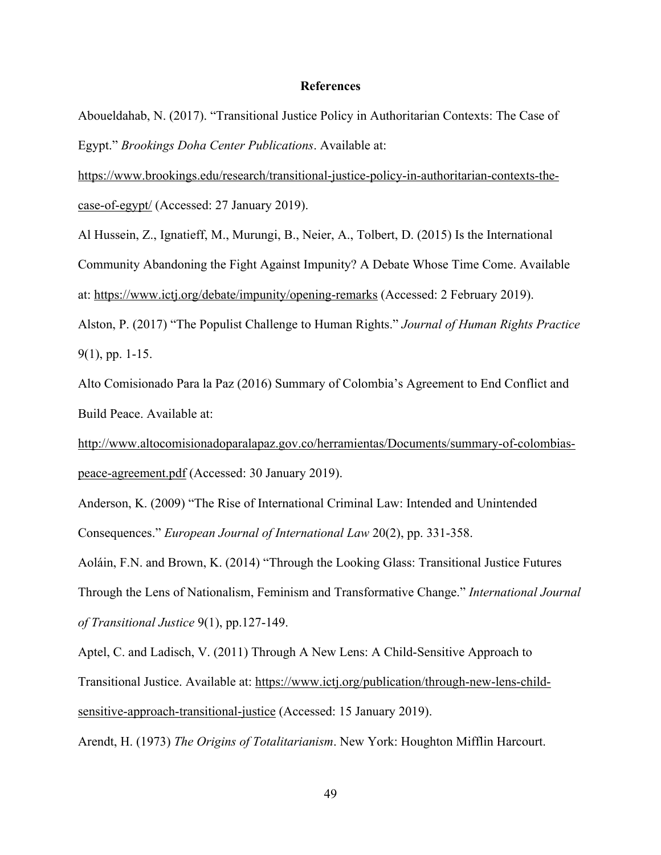## **References**

Aboueldahab, N. (2017). "Transitional Justice Policy in Authoritarian Contexts: The Case of Egypt." *Brookings Doha Center Publications*. Available at:

https://www.brookings.edu/research/transitional-justice-policy-in-authoritarian-contexts-thecase-of-egypt/ (Accessed: 27 January 2019).

Al Hussein, Z., Ignatieff, M., Murungi, B., Neier, A., Tolbert, D. (2015) Is the International Community Abandoning the Fight Against Impunity? A Debate Whose Time Come. Available at: https://www.ictj.org/debate/impunity/opening-remarks (Accessed: 2 February 2019).

Alston, P. (2017) "The Populist Challenge to Human Rights." *Journal of Human Rights Practice* 9(1), pp. 1-15.

Alto Comisionado Para la Paz (2016) Summary of Colombia's Agreement to End Conflict and Build Peace. Available at:

http://www.altocomisionadoparalapaz.gov.co/herramientas/Documents/summary-of-colombiaspeace-agreement.pdf (Accessed: 30 January 2019).

Anderson, K. (2009) "The Rise of International Criminal Law: Intended and Unintended Consequences." *European Journal of International Law* 20(2), pp. 331-358.

Aoláin, F.N. and Brown, K. (2014) "Through the Looking Glass: Transitional Justice Futures Through the Lens of Nationalism, Feminism and Transformative Change." *International Journal of Transitional Justice* 9(1), pp.127-149.

Aptel, C. and Ladisch, V. (2011) Through A New Lens: A Child-Sensitive Approach to Transitional Justice. Available at: https://www.ictj.org/publication/through-new-lens-childsensitive-approach-transitional-justice (Accessed: 15 January 2019).

Arendt, H. (1973) *The Origins of Totalitarianism*. New York: Houghton Mifflin Harcourt.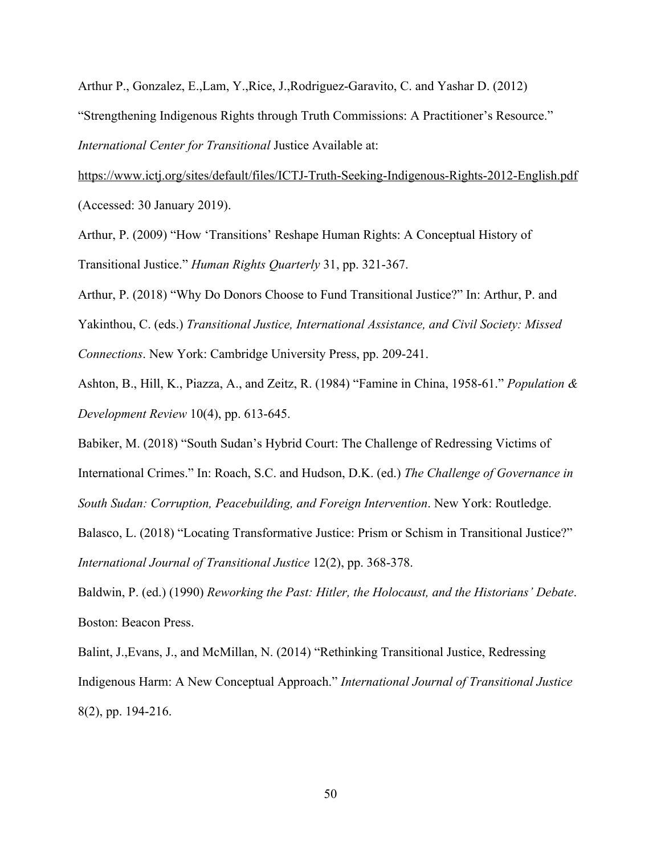Arthur P., Gonzalez, E.,Lam, Y.,Rice, J.,Rodriguez-Garavito, C. and Yashar D. (2012) "Strengthening Indigenous Rights through Truth Commissions: A Practitioner's Resource." *International Center for Transitional* Justice Available at:

https://www.ictj.org/sites/default/files/ICTJ-Truth-Seeking-Indigenous-Rights-2012-English.pdf (Accessed: 30 January 2019).

Arthur, P. (2009) "How 'Transitions' Reshape Human Rights: A Conceptual History of Transitional Justice." *Human Rights Quarterly* 31, pp. 321-367.

Arthur, P. (2018) "Why Do Donors Choose to Fund Transitional Justice?" In: Arthur, P. and

Yakinthou, C. (eds.) *Transitional Justice, International Assistance, and Civil Society: Missed*

*Connections*. New York: Cambridge University Press, pp. 209-241.

Ashton, B., Hill, K., Piazza, A., and Zeitz, R. (1984) "Famine in China, 1958-61." *Population & Development Review* 10(4), pp. 613-645.

Babiker, M. (2018) "South Sudan's Hybrid Court: The Challenge of Redressing Victims of

International Crimes." In: Roach, S.C. and Hudson, D.K. (ed.) *The Challenge of Governance in*

*South Sudan: Corruption, Peacebuilding, and Foreign Intervention*. New York: Routledge.

Balasco, L. (2018) "Locating Transformative Justice: Prism or Schism in Transitional Justice?" *International Journal of Transitional Justice* 12(2), pp. 368-378.

Baldwin, P. (ed.) (1990) *Reworking the Past: Hitler, the Holocaust, and the Historians' Debate*. Boston: Beacon Press.

Balint, J.,Evans, J., and McMillan, N. (2014) "Rethinking Transitional Justice, Redressing Indigenous Harm: A New Conceptual Approach." *International Journal of Transitional Justice* 8(2), pp. 194-216.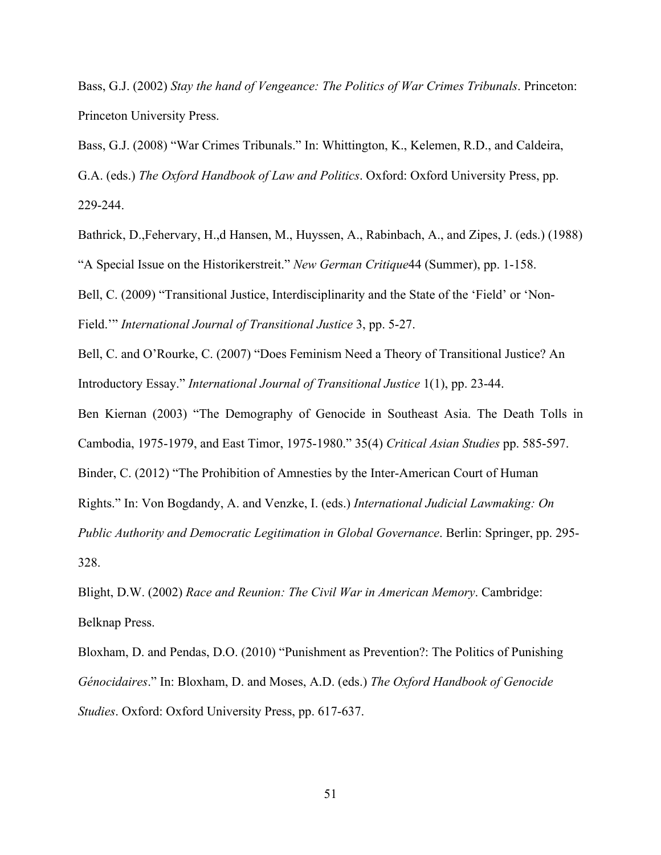Bass, G.J. (2002) *Stay the hand of Vengeance: The Politics of War Crimes Tribunals*. Princeton: Princeton University Press.

Bass, G.J. (2008) "War Crimes Tribunals." In: Whittington, K., Kelemen, R.D., and Caldeira, G.A. (eds.) *The Oxford Handbook of Law and Politics*. Oxford: Oxford University Press, pp. 229-244.

Bathrick, D.,Fehervary, H.,d Hansen, M., Huyssen, A., Rabinbach, A., and Zipes, J. (eds.) (1988) "A Special Issue on the Historikerstreit." *New German Critique*44 (Summer), pp. 1-158.

Bell, C. (2009) "Transitional Justice, Interdisciplinarity and the State of the 'Field' or 'Non-Field.'" *International Journal of Transitional Justice* 3, pp. 5-27.

Bell, C. and O'Rourke, C. (2007) "Does Feminism Need a Theory of Transitional Justice? An Introductory Essay." *International Journal of Transitional Justice* 1(1), pp. 23-44.

Ben Kiernan (2003) "The Demography of Genocide in Southeast Asia. The Death Tolls in

Cambodia, 1975-1979, and East Timor, 1975-1980." 35(4) *Critical Asian Studies* pp. 585-597.

Binder, C. (2012) "The Prohibition of Amnesties by the Inter-American Court of Human

Rights." In: Von Bogdandy, A. and Venzke, I. (eds.) *International Judicial Lawmaking: On*

*Public Authority and Democratic Legitimation in Global Governance*. Berlin: Springer, pp. 295- 328.

Blight, D.W. (2002) *Race and Reunion: The Civil War in American Memory*. Cambridge: Belknap Press.

Bloxham, D. and Pendas, D.O. (2010) "Punishment as Prevention?: The Politics of Punishing *Génocidaires*." In: Bloxham, D. and Moses, A.D. (eds.) *The Oxford Handbook of Genocide Studies*. Oxford: Oxford University Press, pp. 617-637.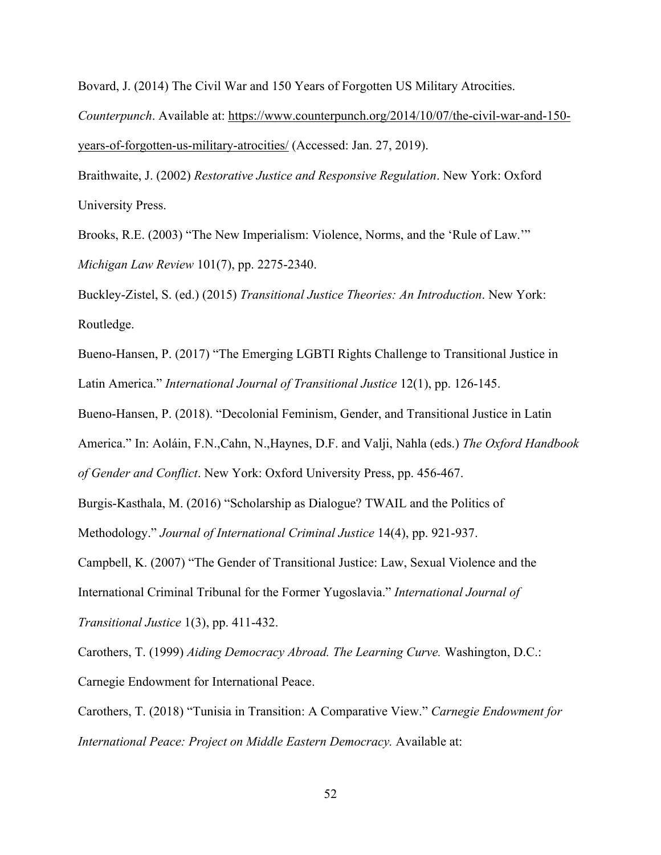Bovard, J. (2014) The Civil War and 150 Years of Forgotten US Military Atrocities.

*Counterpunch*. Available at: https://www.counterpunch.org/2014/10/07/the-civil-war-and-150 years-of-forgotten-us-military-atrocities/ (Accessed: Jan. 27, 2019).

Braithwaite, J. (2002) *Restorative Justice and Responsive Regulation*. New York: Oxford University Press.

Brooks, R.E. (2003) "The New Imperialism: Violence, Norms, and the 'Rule of Law.'" *Michigan Law Review* 101(7), pp. 2275-2340.

Buckley-Zistel, S. (ed.) (2015) *Transitional Justice Theories: An Introduction*. New York: Routledge.

Bueno-Hansen, P. (2017) "The Emerging LGBTI Rights Challenge to Transitional Justice in Latin America." *International Journal of Transitional Justice* 12(1), pp. 126-145.

Bueno-Hansen, P. (2018). "Decolonial Feminism, Gender, and Transitional Justice in Latin

America." In: Aoláin, F.N.,Cahn, N.,Haynes, D.F. and Valji, Nahla (eds.) *The Oxford Handbook*

*of Gender and Conflict*. New York: Oxford University Press, pp. 456-467.

Burgis-Kasthala, M. (2016) "Scholarship as Dialogue? TWAIL and the Politics of

Methodology." *Journal of International Criminal Justice* 14(4), pp. 921-937.

Campbell, K. (2007) "The Gender of Transitional Justice: Law, Sexual Violence and the International Criminal Tribunal for the Former Yugoslavia." *International Journal of*

*Transitional Justice* 1(3), pp. 411-432.

Carothers, T. (1999) *Aiding Democracy Abroad. The Learning Curve.* Washington, D.C.: Carnegie Endowment for International Peace.

Carothers, T. (2018) "Tunisia in Transition: A Comparative View." *Carnegie Endowment for International Peace: Project on Middle Eastern Democracy.* Available at: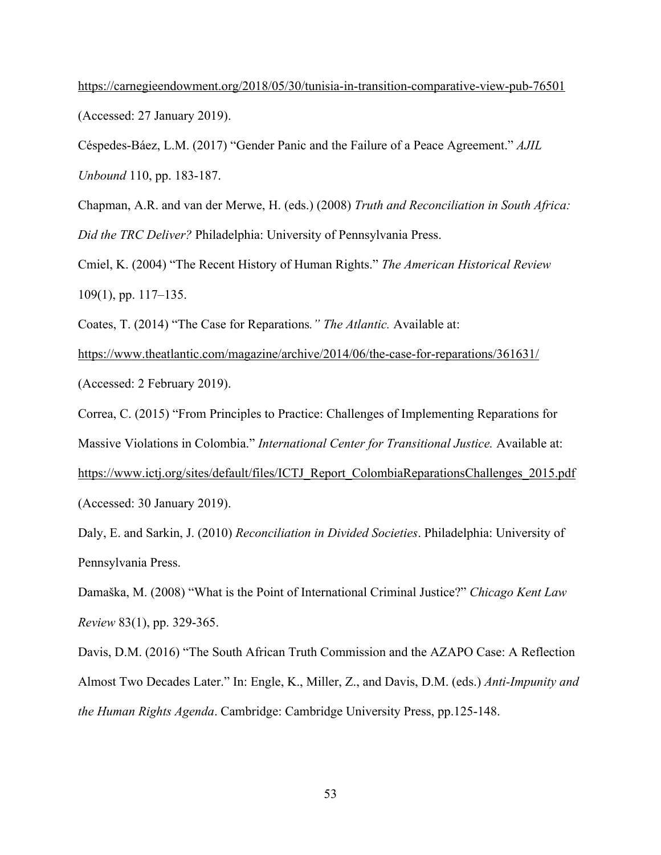https://carnegieendowment.org/2018/05/30/tunisia-in-transition-comparative-view-pub-76501 (Accessed: 27 January 2019).

Céspedes-Báez, L.M. (2017) "Gender Panic and the Failure of a Peace Agreement." *AJIL Unbound* 110, pp. 183-187.

Chapman, A.R. and van der Merwe, H. (eds.) (2008) *Truth and Reconciliation in South Africa: Did the TRC Deliver?* Philadelphia: University of Pennsylvania Press.

Cmiel, K. (2004) "The Recent History of Human Rights." *The American Historical Review* 109(1), pp. 117–135.

Coates, T. (2014) "The Case for Reparations*." The Atlantic.* Available at:

https://www.theatlantic.com/magazine/archive/2014/06/the-case-for-reparations/361631/ (Accessed: 2 February 2019).

Correa, C. (2015) "From Principles to Practice: Challenges of Implementing Reparations for

Massive Violations in Colombia." *International Center for Transitional Justice.* Available at:

https://www.ictj.org/sites/default/files/ICTJ\_Report\_ColombiaReparationsChallenges\_2015.pdf (Accessed: 30 January 2019).

Daly, E. and Sarkin, J. (2010) *Reconciliation in Divided Societies*. Philadelphia: University of Pennsylvania Press.

Damaška, M. (2008) "What is the Point of International Criminal Justice?" *Chicago Kent Law Review* 83(1), pp. 329-365.

Davis, D.M. (2016) "The South African Truth Commission and the AZAPO Case: A Reflection Almost Two Decades Later." In: Engle, K., Miller, Z., and Davis, D.M. (eds.) *Anti-Impunity and the Human Rights Agenda*. Cambridge: Cambridge University Press, pp.125-148.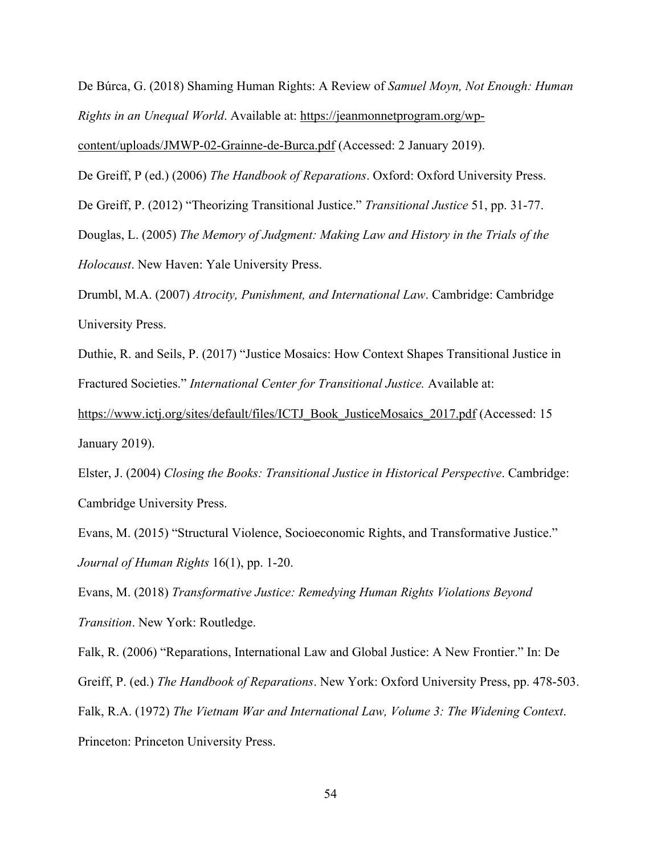De Búrca, G. (2018) Shaming Human Rights: A Review of *Samuel Moyn, Not Enough: Human Rights in an Unequal World*. Available at: https://jeanmonnetprogram.org/wp-

content/uploads/JMWP-02-Grainne-de-Burca.pdf (Accessed: 2 January 2019).

De Greiff, P (ed.) (2006) *The Handbook of Reparations*. Oxford: Oxford University Press.

De Greiff, P. (2012) "Theorizing Transitional Justice." *Transitional Justice* 51, pp. 31-77.

Douglas, L. (2005) *The Memory of Judgment: Making Law and History in the Trials of the*

*Holocaust*. New Haven: Yale University Press.

Drumbl, M.A. (2007) *Atrocity, Punishment, and International Law*. Cambridge: Cambridge University Press.

Duthie, R. and Seils, P. (2017) "Justice Mosaics: How Context Shapes Transitional Justice in Fractured Societies." *International Center for Transitional Justice.* Available at:

https://www.ictj.org/sites/default/files/ICTJ\_Book\_JusticeMosaics\_2017.pdf (Accessed: 15 January 2019).

Elster, J. (2004) *Closing the Books: Transitional Justice in Historical Perspective*. Cambridge: Cambridge University Press.

Evans, M. (2015) "Structural Violence, Socioeconomic Rights, and Transformative Justice." *Journal of Human Rights* 16(1), pp. 1-20.

Evans, M. (2018) *Transformative Justice: Remedying Human Rights Violations Beyond Transition*. New York: Routledge.

Falk, R. (2006) "Reparations, International Law and Global Justice: A New Frontier." In: De Greiff, P. (ed.) *The Handbook of Reparations*. New York: Oxford University Press, pp. 478-503. Falk, R.A. (1972) *The Vietnam War and International Law, Volume 3: The Widening Context*. Princeton: Princeton University Press.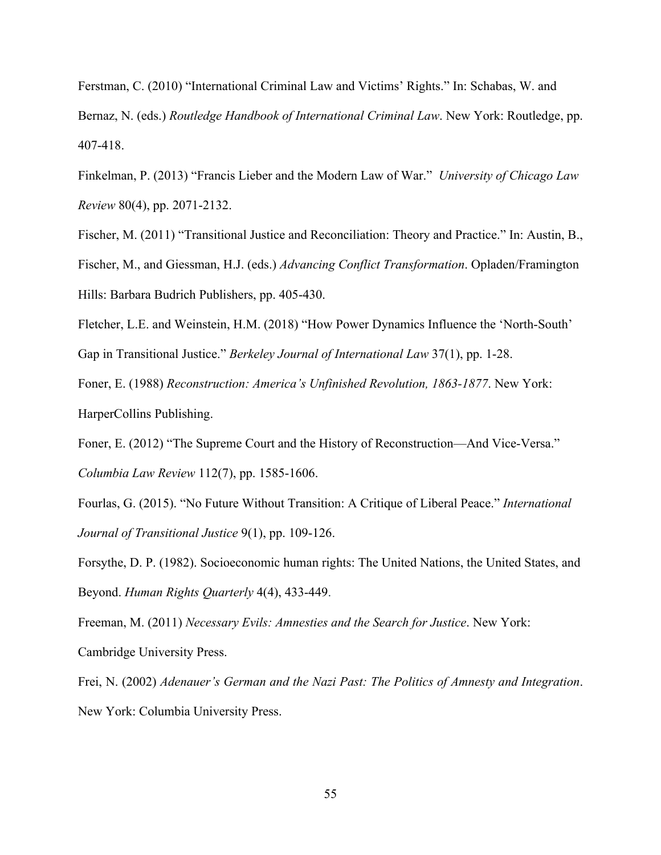Ferstman, C. (2010) "International Criminal Law and Victims' Rights." In: Schabas, W. and Bernaz, N. (eds.) *Routledge Handbook of International Criminal Law*. New York: Routledge, pp. 407-418.

Finkelman, P. (2013) "Francis Lieber and the Modern Law of War." *University of Chicago Law Review* 80(4), pp. 2071-2132.

Fischer, M. (2011) "Transitional Justice and Reconciliation: Theory and Practice." In: Austin, B., Fischer, M., and Giessman, H.J. (eds.) *Advancing Conflict Transformation*. Opladen/Framington Hills: Barbara Budrich Publishers, pp. 405-430.

Fletcher, L.E. and Weinstein, H.M. (2018) "How Power Dynamics Influence the 'North-South' Gap in Transitional Justice." *Berkeley Journal of International Law* 37(1), pp. 1-28.

Foner, E. (1988) *Reconstruction: America's Unfinished Revolution, 1863-1877*. New York: HarperCollins Publishing.

Foner, E. (2012) "The Supreme Court and the History of Reconstruction—And Vice-Versa." *Columbia Law Review* 112(7), pp. 1585-1606.

Fourlas, G. (2015). "No Future Without Transition: A Critique of Liberal Peace." *International Journal of Transitional Justice* 9(1), pp. 109-126.

Forsythe, D. P. (1982). Socioeconomic human rights: The United Nations, the United States, and Beyond. *Human Rights Quarterly* 4(4), 433-449.

Freeman, M. (2011) *Necessary Evils: Amnesties and the Search for Justice*. New York: Cambridge University Press.

Frei, N. (2002) *Adenauer's German and the Nazi Past: The Politics of Amnesty and Integration*. New York: Columbia University Press.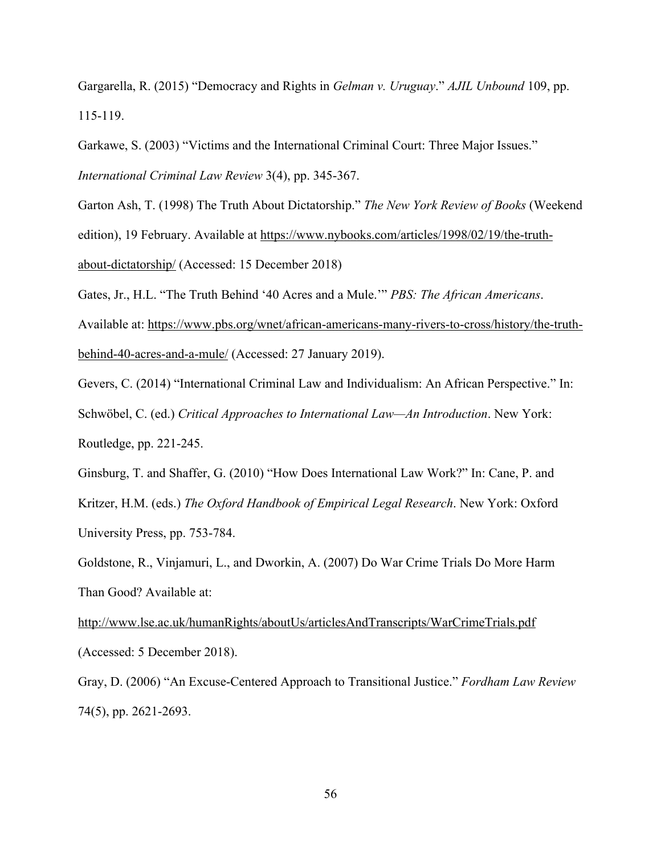Gargarella, R. (2015) "Democracy and Rights in *Gelman v. Uruguay*." *AJIL Unbound* 109, pp. 115-119.

Garkawe, S. (2003) "Victims and the International Criminal Court: Three Major Issues."

*International Criminal Law Review* 3(4), pp. 345-367.

Garton Ash, T. (1998) The Truth About Dictatorship." *The New York Review of Books* (Weekend edition), 19 February. Available at https://www.nybooks.com/articles/1998/02/19/the-truthabout-dictatorship/ (Accessed: 15 December 2018)

Gates, Jr., H.L. "The Truth Behind '40 Acres and a Mule.'" *PBS: The African Americans*.

Available at: https://www.pbs.org/wnet/african-americans-many-rivers-to-cross/history/the-truthbehind-40-acres-and-a-mule/ (Accessed: 27 January 2019).

Gevers, C. (2014) "International Criminal Law and Individualism: An African Perspective." In: Schwöbel, C. (ed.) *Critical Approaches to International Law—An Introduction*. New York: Routledge, pp. 221-245.

Ginsburg, T. and Shaffer, G. (2010) "How Does International Law Work?" In: Cane, P. and Kritzer, H.M. (eds.) *The Oxford Handbook of Empirical Legal Research*. New York: Oxford University Press, pp. 753-784.

Goldstone, R., Vinjamuri, L., and Dworkin, A. (2007) Do War Crime Trials Do More Harm Than Good? Available at:

http://www.lse.ac.uk/humanRights/aboutUs/articlesAndTranscripts/WarCrimeTrials.pdf (Accessed: 5 December 2018).

Gray, D. (2006) "An Excuse-Centered Approach to Transitional Justice." *Fordham Law Review* 74(5), pp. 2621-2693.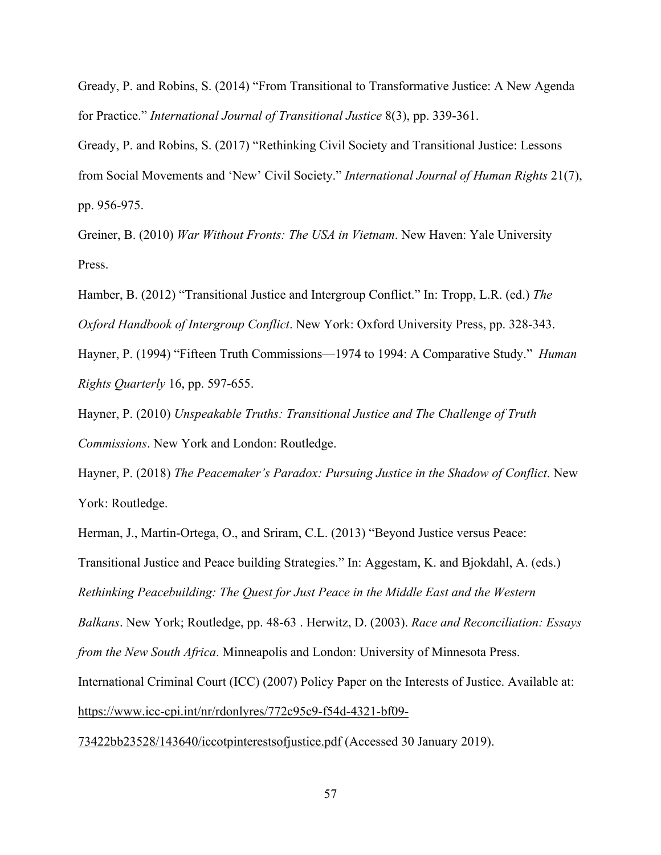Gready, P. and Robins, S. (2014) "From Transitional to Transformative Justice: A New Agenda for Practice." *International Journal of Transitional Justice* 8(3), pp. 339-361.

Gready, P. and Robins, S. (2017) "Rethinking Civil Society and Transitional Justice: Lessons from Social Movements and 'New' Civil Society." *International Journal of Human Rights* 21(7), pp. 956-975.

Greiner, B. (2010) *War Without Fronts: The USA in Vietnam*. New Haven: Yale University Press.

Hamber, B. (2012) "Transitional Justice and Intergroup Conflict." In: Tropp, L.R. (ed.) *The Oxford Handbook of Intergroup Conflict*. New York: Oxford University Press, pp. 328-343.

Hayner, P. (1994) "Fifteen Truth Commissions—1974 to 1994: A Comparative Study." *Human Rights Quarterly* 16, pp. 597-655.

Hayner, P. (2010) *Unspeakable Truths: Transitional Justice and The Challenge of Truth Commissions*. New York and London: Routledge.

Hayner, P. (2018) *The Peacemaker's Paradox: Pursuing Justice in the Shadow of Conflict*. New York: Routledge.

Herman, J., Martin-Ortega, O., and Sriram, C.L. (2013) "Beyond Justice versus Peace: Transitional Justice and Peace building Strategies." In: Aggestam, K. and Bjokdahl, A. (eds.) *Rethinking Peacebuilding: The Quest for Just Peace in the Middle East and the Western Balkans*. New York; Routledge, pp. 48-63 . Herwitz, D. (2003). *Race and Reconciliation: Essays from the New South Africa*. Minneapolis and London: University of Minnesota Press. International Criminal Court (ICC) (2007) Policy Paper on the Interests of Justice. Available at: https://www.icc-cpi.int/nr/rdonlyres/772c95c9-f54d-4321-bf09-

73422bb23528/143640/iccotpinterestsofjustice.pdf (Accessed 30 January 2019).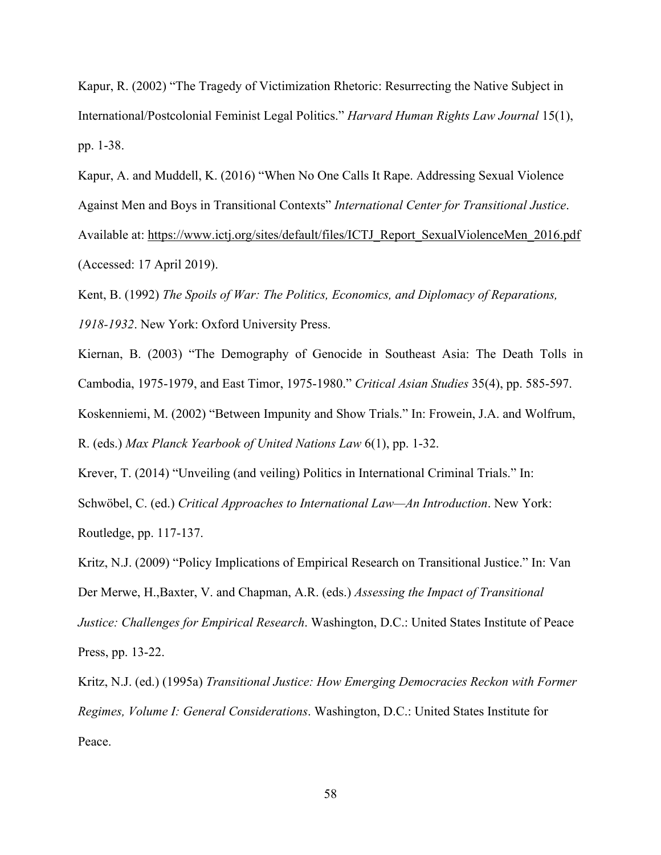Kapur, R. (2002) "The Tragedy of Victimization Rhetoric: Resurrecting the Native Subject in International/Postcolonial Feminist Legal Politics." *Harvard Human Rights Law Journal* 15(1), pp. 1-38.

Kapur, A. and Muddell, K. (2016) "When No One Calls It Rape. Addressing Sexual Violence Against Men and Boys in Transitional Contexts" *International Center for Transitional Justice*. Available at: https://www.ictj.org/sites/default/files/ICTJ\_Report\_SexualViolenceMen\_2016.pdf (Accessed: 17 April 2019).

Kent, B. (1992) *The Spoils of War: The Politics, Economics, and Diplomacy of Reparations, 1918-1932*. New York: Oxford University Press.

Kiernan, B. (2003) "The Demography of Genocide in Southeast Asia: The Death Tolls in Cambodia, 1975-1979, and East Timor, 1975-1980." *Critical Asian Studies* 35(4), pp. 585-597. Koskenniemi, M. (2002) "Between Impunity and Show Trials." In: Frowein, J.A. and Wolfrum,

R. (eds.) *Max Planck Yearbook of United Nations Law* 6(1), pp. 1-32.

Krever, T. (2014) "Unveiling (and veiling) Politics in International Criminal Trials." In: Schwöbel, C. (ed.) *Critical Approaches to International Law—An Introduction*. New York: Routledge, pp. 117-137.

Kritz, N.J. (2009) "Policy Implications of Empirical Research on Transitional Justice." In: Van Der Merwe, H.,Baxter, V. and Chapman, A.R. (eds.) *Assessing the Impact of Transitional Justice: Challenges for Empirical Research*. Washington, D.C.: United States Institute of Peace Press, pp. 13-22.

Kritz, N.J. (ed.) (1995a) *Transitional Justice: How Emerging Democracies Reckon with Former Regimes, Volume I: General Considerations*. Washington, D.C.: United States Institute for Peace.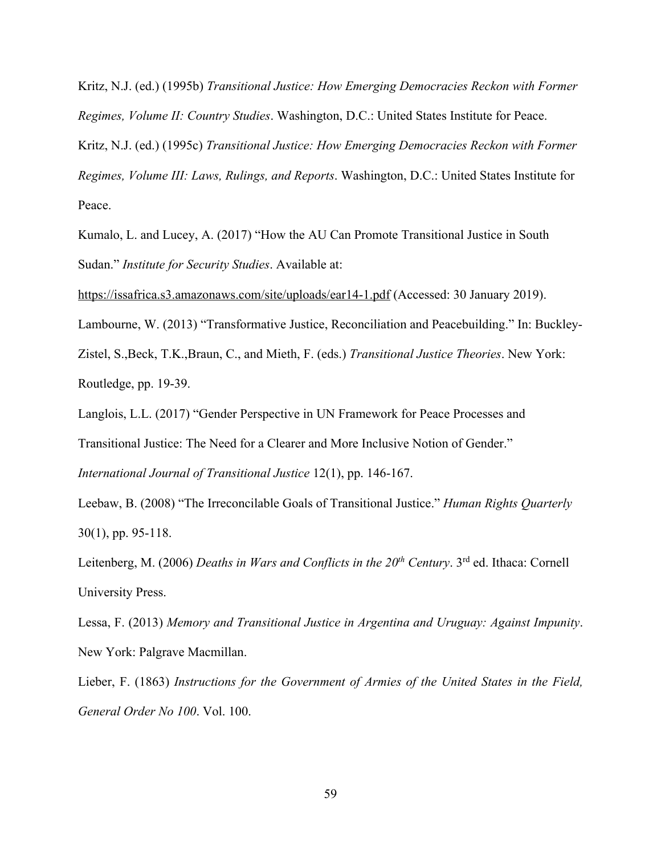Kritz, N.J. (ed.) (1995b) *Transitional Justice: How Emerging Democracies Reckon with Former Regimes, Volume II: Country Studies*. Washington, D.C.: United States Institute for Peace. Kritz, N.J. (ed.) (1995c) *Transitional Justice: How Emerging Democracies Reckon with Former Regimes, Volume III: Laws, Rulings, and Reports*. Washington, D.C.: United States Institute for Peace.

Kumalo, L. and Lucey, A. (2017) "How the AU Can Promote Transitional Justice in South Sudan." *Institute for Security Studies*. Available at:

https://issafrica.s3.amazonaws.com/site/uploads/ear14-1.pdf (Accessed: 30 January 2019).

Lambourne, W. (2013) "Transformative Justice, Reconciliation and Peacebuilding." In: Buckley-

Zistel, S.,Beck, T.K.,Braun, C., and Mieth, F. (eds.) *Transitional Justice Theories*. New York: Routledge, pp. 19-39.

Langlois, L.L. (2017) "Gender Perspective in UN Framework for Peace Processes and

Transitional Justice: The Need for a Clearer and More Inclusive Notion of Gender."

*International Journal of Transitional Justice* 12(1), pp. 146-167.

Leebaw, B. (2008) "The Irreconcilable Goals of Transitional Justice." *Human Rights Quarterly* 30(1), pp. 95-118.

Leitenberg, M. (2006) *Deaths in Wars and Conflicts in the 20th Century*. 3rd ed. Ithaca: Cornell University Press.

Lessa, F. (2013) *Memory and Transitional Justice in Argentina and Uruguay: Against Impunity*. New York: Palgrave Macmillan.

Lieber, F. (1863) *Instructions for the Government of Armies of the United States in the Field, General Order No 100*. Vol. 100.

59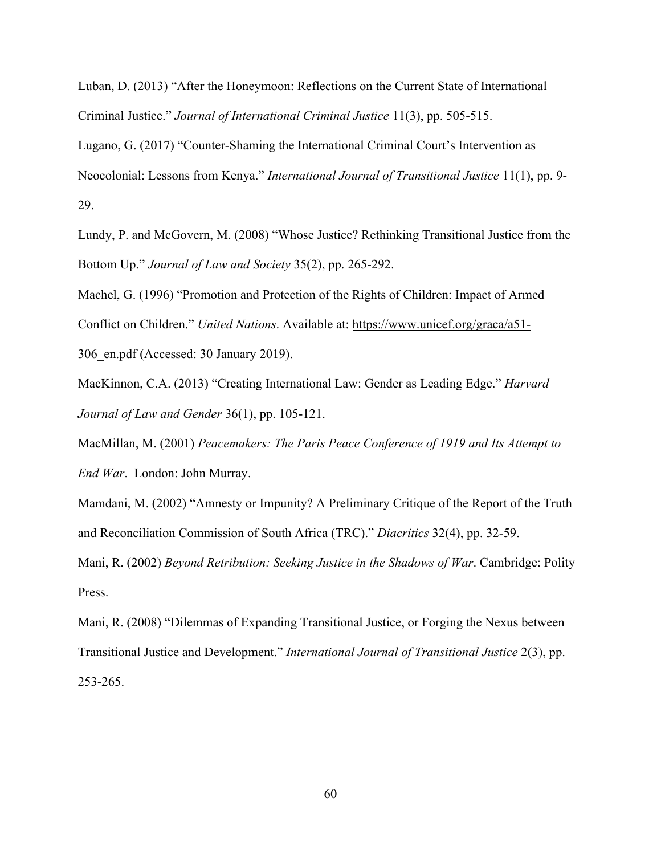Luban, D. (2013) "After the Honeymoon: Reflections on the Current State of International Criminal Justice." *Journal of International Criminal Justice* 11(3), pp. 505-515.

Lugano, G. (2017) "Counter-Shaming the International Criminal Court's Intervention as Neocolonial: Lessons from Kenya." *International Journal of Transitional Justice* 11(1), pp. 9- 29.

Lundy, P. and McGovern, M. (2008) "Whose Justice? Rethinking Transitional Justice from the Bottom Up." *Journal of Law and Society* 35(2), pp. 265-292.

Machel, G. (1996) "Promotion and Protection of the Rights of Children: Impact of Armed Conflict on Children." *United Nations*. Available at: https://www.unicef.org/graca/a51- 306\_en.pdf (Accessed: 30 January 2019).

MacKinnon, C.A. (2013) "Creating International Law: Gender as Leading Edge." *Harvard Journal of Law and Gender* 36(1), pp. 105-121.

MacMillan, M. (2001) *Peacemakers: The Paris Peace Conference of 1919 and Its Attempt to End War*. London: John Murray.

Mamdani, M. (2002) "Amnesty or Impunity? A Preliminary Critique of the Report of the Truth and Reconciliation Commission of South Africa (TRC)." *Diacritics* 32(4), pp. 32-59.

Mani, R. (2002) *Beyond Retribution: Seeking Justice in the Shadows of War*. Cambridge: Polity Press.

Mani, R. (2008) "Dilemmas of Expanding Transitional Justice, or Forging the Nexus between Transitional Justice and Development." *International Journal of Transitional Justice* 2(3), pp. 253-265.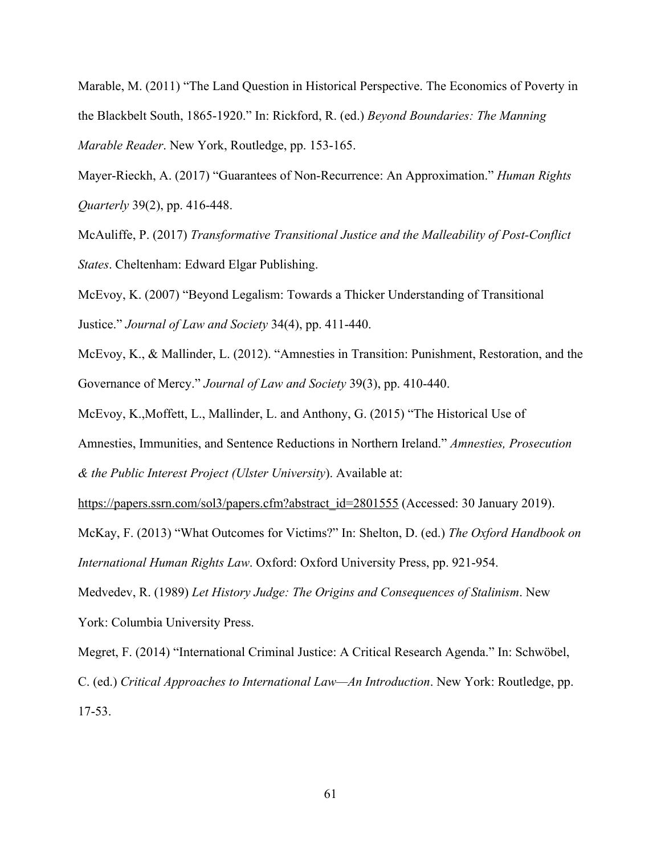Marable, M. (2011) "The Land Question in Historical Perspective. The Economics of Poverty in the Blackbelt South, 1865-1920." In: Rickford, R. (ed.) *Beyond Boundaries: The Manning Marable Reader*. New York, Routledge, pp. 153-165.

Mayer-Rieckh, A. (2017) "Guarantees of Non-Recurrence: An Approximation." *Human Rights Quarterly* 39(2), pp. 416-448.

McAuliffe, P. (2017) *Transformative Transitional Justice and the Malleability of Post-Conflict States*. Cheltenham: Edward Elgar Publishing.

McEvoy, K. (2007) "Beyond Legalism: Towards a Thicker Understanding of Transitional Justice." *Journal of Law and Society* 34(4), pp. 411-440.

McEvoy, K., & Mallinder, L. (2012). "Amnesties in Transition: Punishment, Restoration, and the Governance of Mercy." *Journal of Law and Society* 39(3), pp. 410-440.

McEvoy, K.,Moffett, L., Mallinder, L. and Anthony, G. (2015) "The Historical Use of

Amnesties, Immunities, and Sentence Reductions in Northern Ireland." *Amnesties, Prosecution*

*& the Public Interest Project (Ulster University*). Available at:

https://papers.ssrn.com/sol3/papers.cfm?abstract\_id=2801555 (Accessed: 30 January 2019).

McKay, F. (2013) "What Outcomes for Victims?" In: Shelton, D. (ed.) *The Oxford Handbook on International Human Rights Law*. Oxford: Oxford University Press, pp. 921-954.

Medvedev, R. (1989) *Let History Judge: The Origins and Consequences of Stalinism*. New York: Columbia University Press.

Megret, F. (2014) "International Criminal Justice: A Critical Research Agenda." In: Schwöbel, C. (ed.) *Critical Approaches to International Law—An Introduction*. New York: Routledge, pp. 17-53.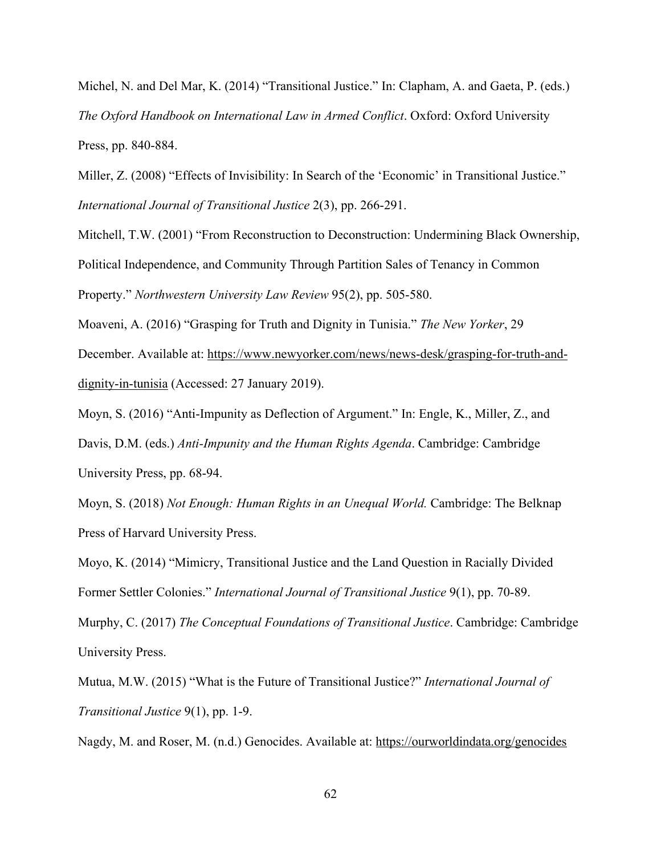Michel, N. and Del Mar, K. (2014) "Transitional Justice." In: Clapham, A. and Gaeta, P. (eds.) *The Oxford Handbook on International Law in Armed Conflict*. Oxford: Oxford University Press, pp. 840-884.

Miller, Z. (2008) "Effects of Invisibility: In Search of the 'Economic' in Transitional Justice." *International Journal of Transitional Justice* 2(3), pp. 266-291.

Mitchell, T.W. (2001) "From Reconstruction to Deconstruction: Undermining Black Ownership, Political Independence, and Community Through Partition Sales of Tenancy in Common Property." *Northwestern University Law Review* 95(2), pp. 505-580.

Moaveni, A. (2016) "Grasping for Truth and Dignity in Tunisia." *The New Yorker*, 29 December. Available at: https://www.newyorker.com/news/news-desk/grasping-for-truth-anddignity-in-tunisia (Accessed: 27 January 2019).

Moyn, S. (2016) "Anti-Impunity as Deflection of Argument." In: Engle, K., Miller, Z., and Davis, D.M. (eds.) *Anti-Impunity and the Human Rights Agenda*. Cambridge: Cambridge University Press, pp. 68-94.

Moyn, S. (2018) *Not Enough: Human Rights in an Unequal World.* Cambridge: The Belknap Press of Harvard University Press.

Moyo, K. (2014) "Mimicry, Transitional Justice and the Land Question in Racially Divided Former Settler Colonies." *International Journal of Transitional Justice* 9(1), pp. 70-89.

Murphy, C. (2017) *The Conceptual Foundations of Transitional Justice*. Cambridge: Cambridge University Press.

Mutua, M.W. (2015) "What is the Future of Transitional Justice?" *International Journal of Transitional Justice* 9(1), pp. 1-9.

Nagdy, M. and Roser, M. (n.d.) Genocides. Available at: https://ourworldindata.org/genocides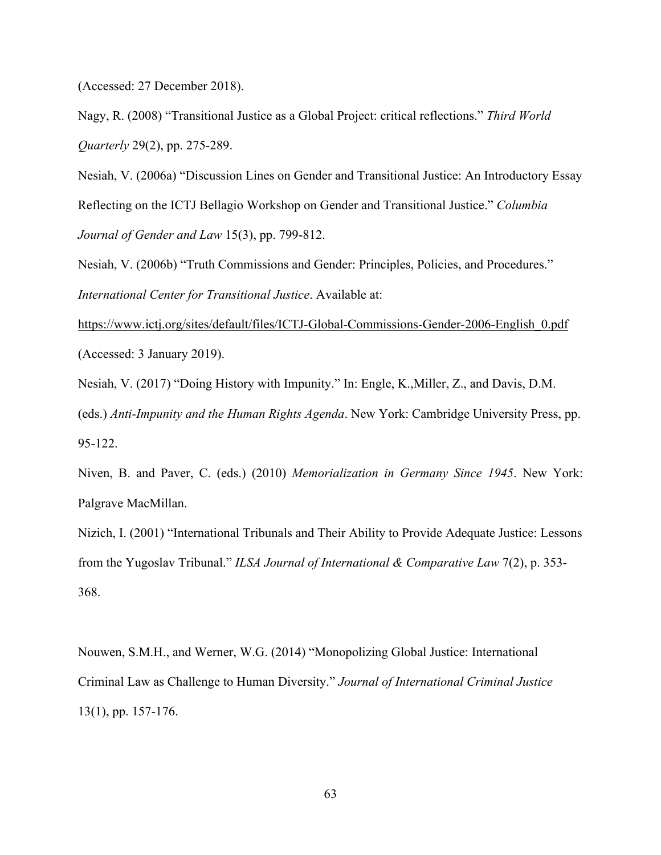(Accessed: 27 December 2018).

Nagy, R. (2008) "Transitional Justice as a Global Project: critical reflections." *Third World Quarterly* 29(2), pp. 275-289.

Nesiah, V. (2006a) "Discussion Lines on Gender and Transitional Justice: An Introductory Essay Reflecting on the ICTJ Bellagio Workshop on Gender and Transitional Justice." *Columbia Journal of Gender and Law* 15(3), pp. 799-812.

Nesiah, V. (2006b) "Truth Commissions and Gender: Principles, Policies, and Procedures." *International Center for Transitional Justice*. Available at:

https://www.ictj.org/sites/default/files/ICTJ-Global-Commissions-Gender-2006-English\_0.pdf (Accessed: 3 January 2019).

Nesiah, V. (2017) "Doing History with Impunity." In: Engle, K.,Miller, Z., and Davis, D.M.

(eds.) *Anti-Impunity and the Human Rights Agenda*. New York: Cambridge University Press, pp. 95-122.

Niven, B. and Paver, C. (eds.) (2010) *Memorialization in Germany Since 1945*. New York: Palgrave MacMillan.

Nizich, I. (2001) "International Tribunals and Their Ability to Provide Adequate Justice: Lessons from the Yugoslav Tribunal." *ILSA Journal of International & Comparative Law* 7(2), p. 353- 368.

Nouwen, S.M.H., and Werner, W.G. (2014) "Monopolizing Global Justice: International Criminal Law as Challenge to Human Diversity." *Journal of International Criminal Justice* 13(1), pp. 157-176.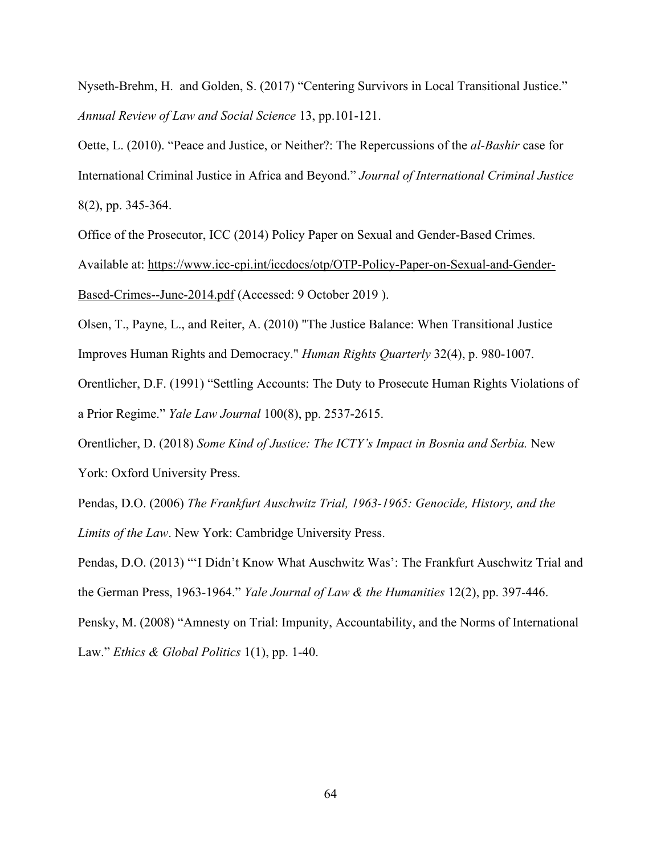Nyseth-Brehm, H. and Golden, S. (2017) "Centering Survivors in Local Transitional Justice." *Annual Review of Law and Social Science* 13, pp.101-121.

Oette, L. (2010). "Peace and Justice, or Neither?: The Repercussions of the *al-Bashir* case for International Criminal Justice in Africa and Beyond." *Journal of International Criminal Justice* 8(2), pp. 345-364.

Office of the Prosecutor, ICC (2014) Policy Paper on Sexual and Gender-Based Crimes.

Available at: https://www.icc-cpi.int/iccdocs/otp/OTP-Policy-Paper-on-Sexual-and-Gender-Based-Crimes--June-2014.pdf (Accessed: 9 October 2019 ).

Olsen, T., Payne, L., and Reiter, A. (2010) "The Justice Balance: When Transitional Justice Improves Human Rights and Democracy." *Human Rights Quarterly* 32(4), p. 980-1007.

Orentlicher, D.F. (1991) "Settling Accounts: The Duty to Prosecute Human Rights Violations of a Prior Regime." *Yale Law Journal* 100(8), pp. 2537-2615.

Orentlicher, D. (2018) *Some Kind of Justice: The ICTY's Impact in Bosnia and Serbia.* New York: Oxford University Press.

Pendas, D.O. (2006) *The Frankfurt Auschwitz Trial, 1963-1965: Genocide, History, and the Limits of the Law*. New York: Cambridge University Press.

Pendas, D.O. (2013) "'I Didn't Know What Auschwitz Was': The Frankfurt Auschwitz Trial and the German Press, 1963-1964." *Yale Journal of Law & the Humanities* 12(2), pp. 397-446.

Pensky, M. (2008) "Amnesty on Trial: Impunity, Accountability, and the Norms of International Law." *Ethics & Global Politics* 1(1), pp. 1-40.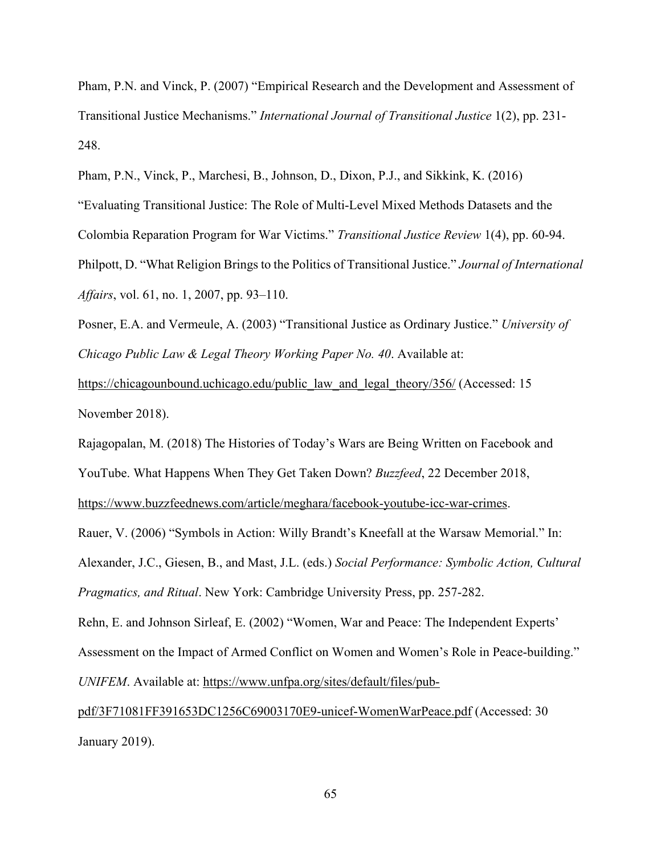Pham, P.N. and Vinck, P. (2007) "Empirical Research and the Development and Assessment of Transitional Justice Mechanisms." *International Journal of Transitional Justice* 1(2), pp. 231- 248.

Pham, P.N., Vinck, P., Marchesi, B., Johnson, D., Dixon, P.J., and Sikkink, K. (2016) "Evaluating Transitional Justice: The Role of Multi-Level Mixed Methods Datasets and the Colombia Reparation Program for War Victims." *Transitional Justice Review* 1(4), pp. 60-94. Philpott, D. "What Religion Brings to the Politics of Transitional Justice." *Journal of International Affairs*, vol. 61, no. 1, 2007, pp. 93–110.

Posner, E.A. and Vermeule, A. (2003) "Transitional Justice as Ordinary Justice." *University of Chicago Public Law & Legal Theory Working Paper No. 40*. Available at:

https://chicagounbound.uchicago.edu/public\_law\_and\_legal\_theory/356/ (Accessed: 15 November 2018).

Rajagopalan, M. (2018) The Histories of Today's Wars are Being Written on Facebook and YouTube. What Happens When They Get Taken Down? *Buzzfeed*, 22 December 2018,

https://www.buzzfeednews.com/article/meghara/facebook-youtube-icc-war-crimes.

Rauer, V. (2006) "Symbols in Action: Willy Brandt's Kneefall at the Warsaw Memorial." In: Alexander, J.C., Giesen, B., and Mast, J.L. (eds.) *Social Performance: Symbolic Action, Cultural Pragmatics, and Ritual*. New York: Cambridge University Press, pp. 257-282.

Rehn, E. and Johnson Sirleaf, E. (2002) "Women, War and Peace: The Independent Experts' Assessment on the Impact of Armed Conflict on Women and Women's Role in Peace-building." *UNIFEM*. Available at: https://www.unfpa.org/sites/default/files/pub-

pdf/3F71081FF391653DC1256C69003170E9-unicef-WomenWarPeace.pdf (Accessed: 30 January 2019).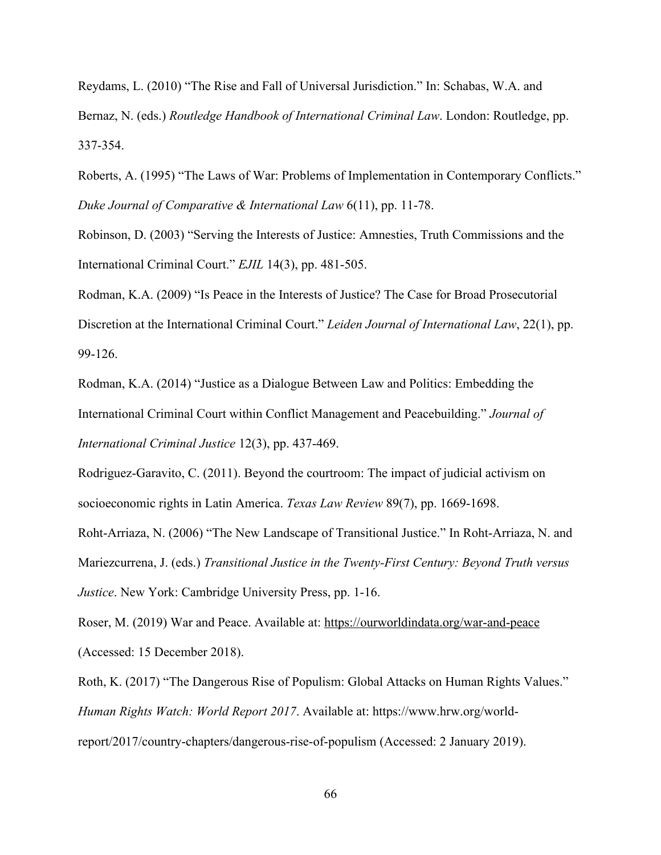Reydams, L. (2010) "The Rise and Fall of Universal Jurisdiction." In: Schabas, W.A. and Bernaz, N. (eds.) *Routledge Handbook of International Criminal Law*. London: Routledge, pp. 337-354.

Roberts, A. (1995) "The Laws of War: Problems of Implementation in Contemporary Conflicts." *Duke Journal of Comparative & International Law* 6(11), pp. 11-78.

Robinson, D. (2003) "Serving the Interests of Justice: Amnesties, Truth Commissions and the International Criminal Court." *EJIL* 14(3), pp. 481-505.

Rodman, K.A. (2009) "Is Peace in the Interests of Justice? The Case for Broad Prosecutorial Discretion at the International Criminal Court." *Leiden Journal of International Law*, 22(1), pp. 99-126.

Rodman, K.A. (2014) "Justice as a Dialogue Between Law and Politics: Embedding the International Criminal Court within Conflict Management and Peacebuilding." *Journal of International Criminal Justice* 12(3), pp. 437-469.

Rodriguez-Garavito, C. (2011). Beyond the courtroom: The impact of judicial activism on socioeconomic rights in Latin America. *Texas Law Review* 89(7), pp. 1669-1698.

Roht-Arriaza, N. (2006) "The New Landscape of Transitional Justice." In Roht-Arriaza, N. and Mariezcurrena, J. (eds.) *Transitional Justice in the Twenty-First Century: Beyond Truth versus Justice*. New York: Cambridge University Press, pp. 1-16.

Roser, M. (2019) War and Peace. Available at: https://ourworldindata.org/war-and-peace (Accessed: 15 December 2018).

Roth, K. (2017) "The Dangerous Rise of Populism: Global Attacks on Human Rights Values." *Human Rights Watch: World Report 2017*. Available at: https://www.hrw.org/worldreport/2017/country-chapters/dangerous-rise-of-populism (Accessed: 2 January 2019).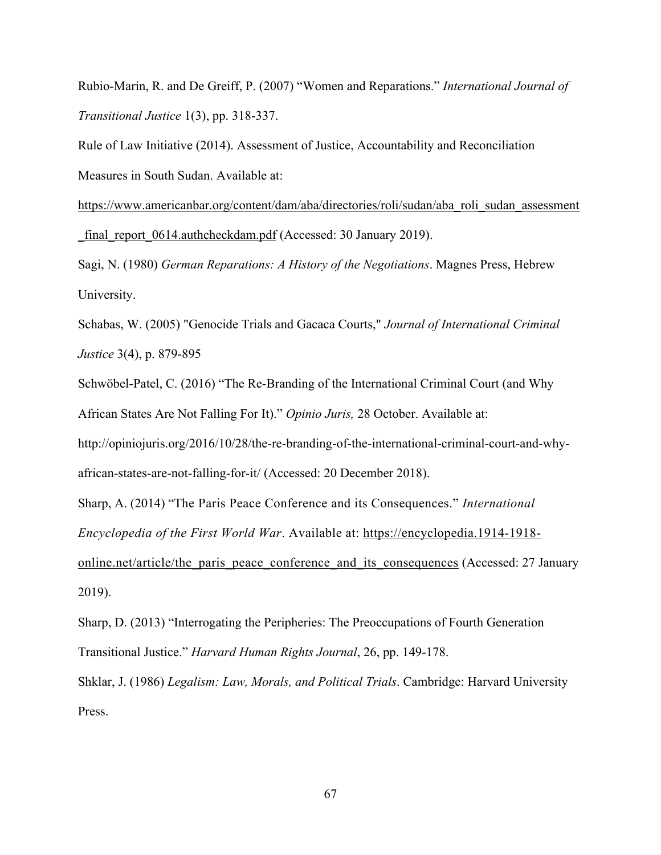Rubio-Marín, R. and De Greiff, P. (2007) "Women and Reparations." *International Journal of Transitional Justice* 1(3), pp. 318-337.

Rule of Law Initiative (2014). Assessment of Justice, Accountability and Reconciliation Measures in South Sudan. Available at:

https://www.americanbar.org/content/dam/aba/directories/roli/sudan/aba\_roli\_sudan\_assessment final\_report\_0614.authcheckdam.pdf (Accessed: 30 January 2019).

Sagi, N. (1980) *German Reparations: A History of the Negotiations*. Magnes Press, Hebrew University.

Schabas, W. (2005) "Genocide Trials and Gacaca Courts," *Journal of International Criminal Justice* 3(4), p. 879-895

Schwöbel-Patel, C. (2016) "The Re-Branding of the International Criminal Court (and Why African States Are Not Falling For It)." *Opinio Juris,* 28 October. Available at:

http://opiniojuris.org/2016/10/28/the-re-branding-of-the-international-criminal-court-and-whyafrican-states-are-not-falling-for-it/ (Accessed: 20 December 2018).

Sharp, A. (2014) "The Paris Peace Conference and its Consequences." *International Encyclopedia of the First World War*. Available at: https://encyclopedia.1914-1918 online.net/article/the paris peace conference and its consequences (Accessed: 27 January 2019).

Sharp, D. (2013) "Interrogating the Peripheries: The Preoccupations of Fourth Generation Transitional Justice." *Harvard Human Rights Journal*, 26, pp. 149-178.

Shklar, J. (1986) *Legalism: Law, Morals, and Political Trials*. Cambridge: Harvard University Press.

67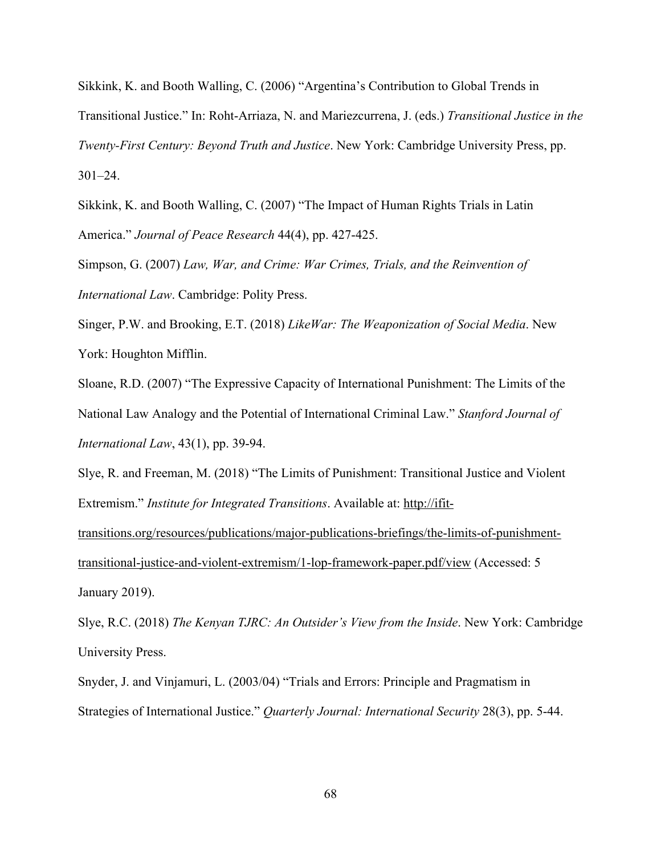Sikkink, K. and Booth Walling, C. (2006) "Argentina's Contribution to Global Trends in Transitional Justice." In: Roht-Arriaza, N. and Mariezcurrena, J. (eds.) *Transitional Justice in the Twenty-First Century: Beyond Truth and Justice*. New York: Cambridge University Press, pp. 301–24.

Sikkink, K. and Booth Walling, C. (2007) "The Impact of Human Rights Trials in Latin America." *Journal of Peace Research* 44(4), pp. 427-425.

Simpson, G. (2007) *Law, War, and Crime: War Crimes, Trials, and the Reinvention of International Law*. Cambridge: Polity Press.

Singer, P.W. and Brooking, E.T. (2018) *LikeWar: The Weaponization of Social Media*. New York: Houghton Mifflin.

Sloane, R.D. (2007) "The Expressive Capacity of International Punishment: The Limits of the National Law Analogy and the Potential of International Criminal Law." *Stanford Journal of International Law*, 43(1), pp. 39-94.

Slye, R. and Freeman, M. (2018) "The Limits of Punishment: Transitional Justice and Violent Extremism." *Institute for Integrated Transitions*. Available at: http://ifit-

transitions.org/resources/publications/major-publications-briefings/the-limits-of-punishmenttransitional-justice-and-violent-extremism/1-lop-framework-paper.pdf/view (Accessed: 5 January 2019).

Slye, R.C. (2018) *The Kenyan TJRC: An Outsider's View from the Inside*. New York: Cambridge University Press.

Snyder, J. and Vinjamuri, L. (2003/04) "Trials and Errors: Principle and Pragmatism in Strategies of International Justice." *Quarterly Journal: International Security* 28(3), pp. 5-44.

68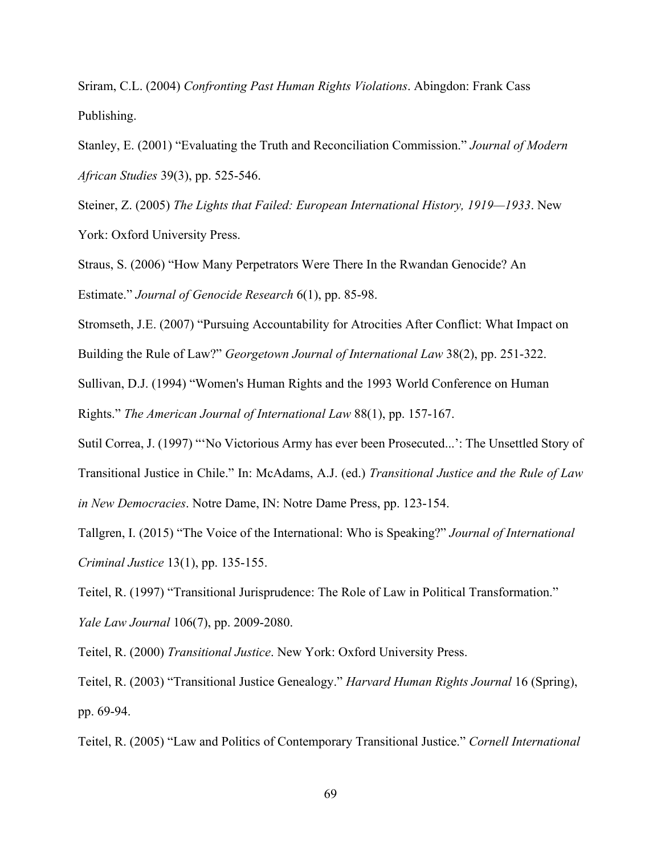Sriram, C.L. (2004) *Confronting Past Human Rights Violations*. Abingdon: Frank Cass Publishing.

Stanley, E. (2001) "Evaluating the Truth and Reconciliation Commission." *Journal of Modern African Studies* 39(3), pp. 525-546.

Steiner, Z. (2005) *The Lights that Failed: European International History, 1919—1933*. New York: Oxford University Press.

Straus, S. (2006) "How Many Perpetrators Were There In the Rwandan Genocide? An Estimate." *Journal of Genocide Research* 6(1), pp. 85-98.

Stromseth, J.E. (2007) "Pursuing Accountability for Atrocities After Conflict: What Impact on

Building the Rule of Law?" *Georgetown Journal of International Law* 38(2), pp. 251-322.

Sullivan, D.J. (1994) "Women's Human Rights and the 1993 World Conference on Human Rights." *The American Journal of International Law* 88(1), pp. 157-167.

Sutil Correa, J. (1997) "'No Victorious Army has ever been Prosecuted...': The Unsettled Story of Transitional Justice in Chile." In: McAdams, A.J. (ed.) *Transitional Justice and the Rule of Law in New Democracies*. Notre Dame, IN: Notre Dame Press, pp. 123-154.

Tallgren, I. (2015) "The Voice of the International: Who is Speaking?" *Journal of International Criminal Justice* 13(1), pp. 135-155.

Teitel, R. (1997) "Transitional Jurisprudence: The Role of Law in Political Transformation." *Yale Law Journal* 106(7), pp. 2009-2080.

Teitel, R. (2000) *Transitional Justice*. New York: Oxford University Press.

Teitel, R. (2003) "Transitional Justice Genealogy." *Harvard Human Rights Journal* 16 (Spring), pp. 69-94.

Teitel, R. (2005) "Law and Politics of Contemporary Transitional Justice." *Cornell International*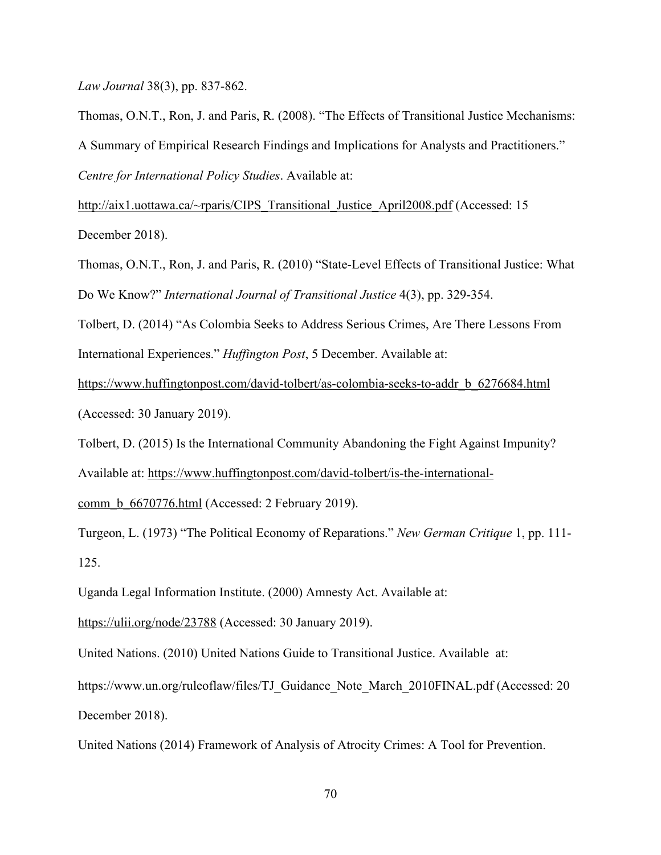*Law Journal* 38(3), pp. 837-862.

Thomas, O.N.T., Ron, J. and Paris, R. (2008). "The Effects of Transitional Justice Mechanisms: A Summary of Empirical Research Findings and Implications for Analysts and Practitioners." *Centre for International Policy Studies*. Available at:

http://aix1.uottawa.ca/~rparis/CIPS Transitional Justice April2008.pdf (Accessed: 15 December 2018).

Thomas, O.N.T., Ron, J. and Paris, R. (2010) "State-Level Effects of Transitional Justice: What Do We Know?" *International Journal of Transitional Justice* 4(3), pp. 329-354.

Tolbert, D. (2014) "As Colombia Seeks to Address Serious Crimes, Are There Lessons From International Experiences." *Huffington Post*, 5 December. Available at:

https://www.huffingtonpost.com/david-tolbert/as-colombia-seeks-to-addr\_b\_6276684.html (Accessed: 30 January 2019).

Tolbert, D. (2015) Is the International Community Abandoning the Fight Against Impunity? Available at: https://www.huffingtonpost.com/david-tolbert/is-the-international-

comm\_b\_6670776.html (Accessed: 2 February 2019).

Turgeon, L. (1973) "The Political Economy of Reparations." *New German Critique* 1, pp. 111- 125.

Uganda Legal Information Institute. (2000) Amnesty Act. Available at:

https://ulii.org/node/23788 (Accessed: 30 January 2019).

United Nations. (2010) United Nations Guide to Transitional Justice. Available at:

https://www.un.org/ruleoflaw/files/TJ\_Guidance\_Note\_March\_2010FINAL.pdf (Accessed: 20 December 2018).

United Nations (2014) Framework of Analysis of Atrocity Crimes: A Tool for Prevention.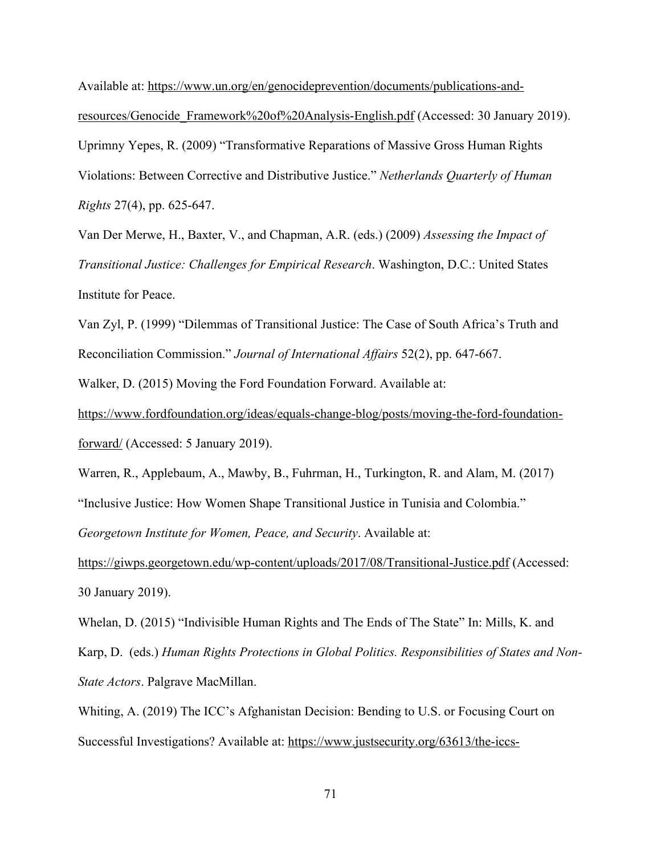Available at: https://www.un.org/en/genocideprevention/documents/publications-andresources/Genocide\_Framework%20of%20Analysis-English.pdf (Accessed: 30 January 2019). Uprimny Yepes, R. (2009) "Transformative Reparations of Massive Gross Human Rights Violations: Between Corrective and Distributive Justice." *Netherlands Quarterly of Human Rights* 27(4), pp. 625-647.

Van Der Merwe, H., Baxter, V., and Chapman, A.R. (eds.) (2009) *Assessing the Impact of Transitional Justice: Challenges for Empirical Research*. Washington, D.C.: United States Institute for Peace.

Van Zyl, P. (1999) "Dilemmas of Transitional Justice: The Case of South Africa's Truth and Reconciliation Commission." *Journal of International Affairs* 52(2), pp. 647-667.

Walker, D. (2015) Moving the Ford Foundation Forward. Available at:

https://www.fordfoundation.org/ideas/equals-change-blog/posts/moving-the-ford-foundationforward/ (Accessed: 5 January 2019).

Warren, R., Applebaum, A., Mawby, B., Fuhrman, H., Turkington, R. and Alam, M. (2017) "Inclusive Justice: How Women Shape Transitional Justice in Tunisia and Colombia." *Georgetown Institute for Women, Peace, and Security*. Available at:

https://giwps.georgetown.edu/wp-content/uploads/2017/08/Transitional-Justice.pdf (Accessed: 30 January 2019).

Whelan, D. (2015) "Indivisible Human Rights and The Ends of The State" In: Mills, K. and Karp, D. (eds.) *Human Rights Protections in Global Politics. Responsibilities of States and Non-State Actors*. Palgrave MacMillan.

Whiting, A. (2019) The ICC's Afghanistan Decision: Bending to U.S. or Focusing Court on Successful Investigations? Available at: https://www.justsecurity.org/63613/the-iccs-

71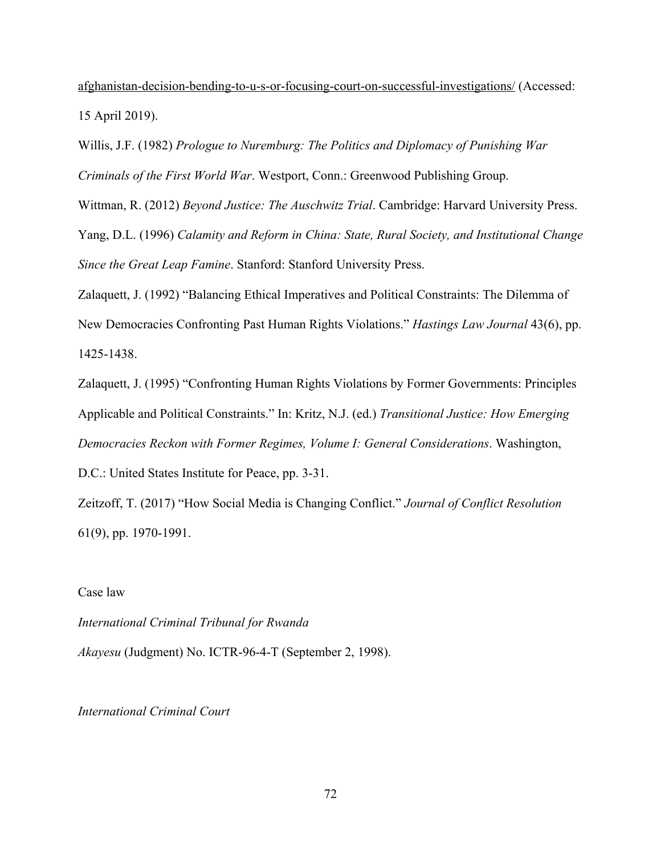afghanistan-decision-bending-to-u-s-or-focusing-court-on-successful-investigations/ (Accessed: 15 April 2019).

Willis, J.F. (1982) *Prologue to Nuremburg: The Politics and Diplomacy of Punishing War Criminals of the First World War*. Westport, Conn.: Greenwood Publishing Group.

Wittman, R. (2012) *Beyond Justice: The Auschwitz Trial*. Cambridge: Harvard University Press.

Yang, D.L. (1996) *Calamity and Reform in China: State, Rural Society, and Institutional Change Since the Great Leap Famine*. Stanford: Stanford University Press.

Zalaquett, J. (1992) "Balancing Ethical Imperatives and Political Constraints: The Dilemma of New Democracies Confronting Past Human Rights Violations." *Hastings Law Journal* 43(6), pp. 1425-1438.

Zalaquett, J. (1995) "Confronting Human Rights Violations by Former Governments: Principles Applicable and Political Constraints." In: Kritz, N.J. (ed.) *Transitional Justice: How Emerging Democracies Reckon with Former Regimes, Volume I: General Considerations*. Washington, D.C.: United States Institute for Peace, pp. 3-31.

Zeitzoff, T. (2017) "How Social Media is Changing Conflict." *Journal of Conflict Resolution* 61(9), pp. 1970-1991.

Case law

*International Criminal Tribunal for Rwanda Akayesu* (Judgment) No. ICTR-96-4-T (September 2, 1998).

*International Criminal Court*